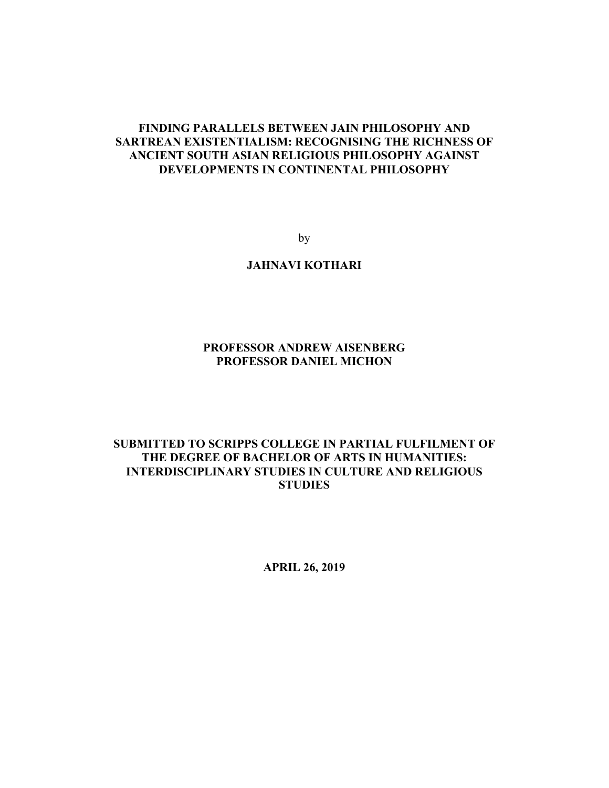# **FINDING PARALLELS BETWEEN JAIN PHILOSOPHY AND SARTREAN EXISTENTIALISM: RECOGNISING THE RICHNESS OF ANCIENT SOUTH ASIAN RELIGIOUS PHILOSOPHY AGAINST DEVELOPMENTS IN CONTINENTAL PHILOSOPHY**

by

# **JAHNAVI KOTHARI**

# **PROFESSOR ANDREW AISENBERG PROFESSOR DANIEL MICHON**

# **SUBMITTED TO SCRIPPS COLLEGE IN PARTIAL FULFILMENT OF THE DEGREE OF BACHELOR OF ARTS IN HUMANITIES: INTERDISCIPLINARY STUDIES IN CULTURE AND RELIGIOUS STUDIES**

**APRIL 26, 2019**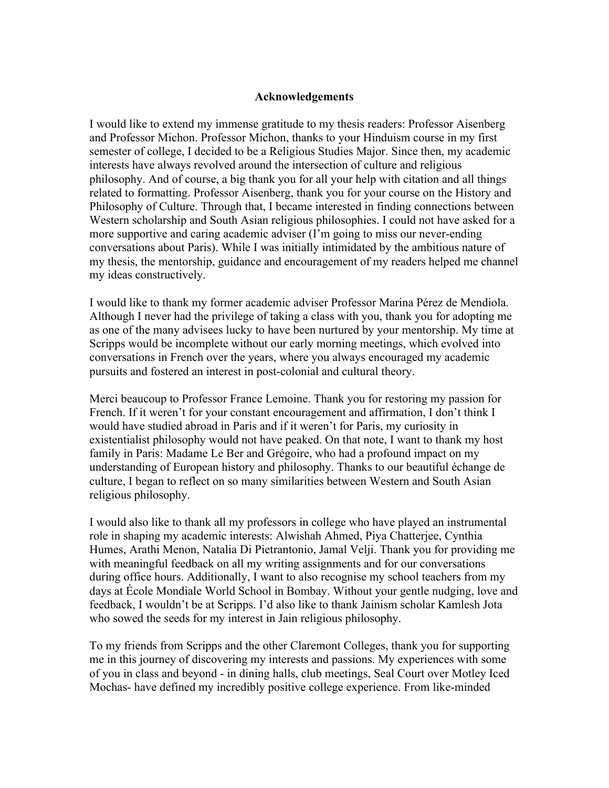## **Acknowledgements**

I would like to extend my immense gratitude to my thesis readers: Professor Aisenberg and Professor Michon. Professor Michon, thanks to your Hinduism course in my first semester of college, I decided to be a Religious Studies Major. Since then, my academic interests have always revolved around the intersection of culture and religious philosophy. And of course, a big thank you for all your help with citation and all things related to formatting. Professor Aisenberg, thank you for your course on the History and Philosophy of Culture. Through that, I became interested in finding connections between Western scholarship and South Asian religious philosophies. I could not have asked for a more supportive and caring academic adviser (I'm going to miss our never-ending conversations about Paris). While I was initially intimidated by the ambitious nature of my thesis, the mentorship, guidance and encouragement of my readers helped me channel my ideas constructively.

I would like to thank my former academic adviser Professor Marina Pérez de Mendiola. Although I never had the privilege of taking a class with you, thank you for adopting me as one of the many advisees lucky to have been nurtured by your mentorship. My time at Scripps would be incomplete without our early morning meetings, which evolved into conversations in French over the years, where you always encouraged my academic pursuits and fostered an interest in post-colonial and cultural theory.

Merci beaucoup to Professor France Lemoine. Thank you for restoring my passion for French. If it weren't for your constant encouragement and affirmation, I don't think I would have studied abroad in Paris and if it weren't for Paris, my curiosity in existentialist philosophy would not have peaked. On that note, I want to thank my host family in Paris: Madame Le Ber and Grégoire, who had a profound impact on my understanding of European history and philosophy. Thanks to our beautiful échange de culture, I began to reflect on so many similarities between Western and South Asian religious philosophy.

I would also like to thank all my professors in college who have played an instrumental role in shaping my academic interests: Alwishah Ahmed, Piya Chatterjee, Cynthia Humes, Arathi Menon, Natalia Di Pietrantonio, Jamal Velji. Thank you for providing me with meaningful feedback on all my writing assignments and for our conversations during office hours. Additionally, I want to also recognise my school teachers from my days at École Mondiale World School in Bombay. Without your gentle nudging, love and feedback, I wouldn't be at Scripps. I'd also like to thank Jainism scholar Kamlesh Jota who sowed the seeds for my interest in Jain religious philosophy.

To my friends from Scripps and the other Claremont Colleges, thank you for supporting me in this journey of discovering my interests and passions. My experiences with some of you in class and beyond - in dining halls, club meetings, Seal Court over Motley Iced Mochas- have defined my incredibly positive college experience. From like-minded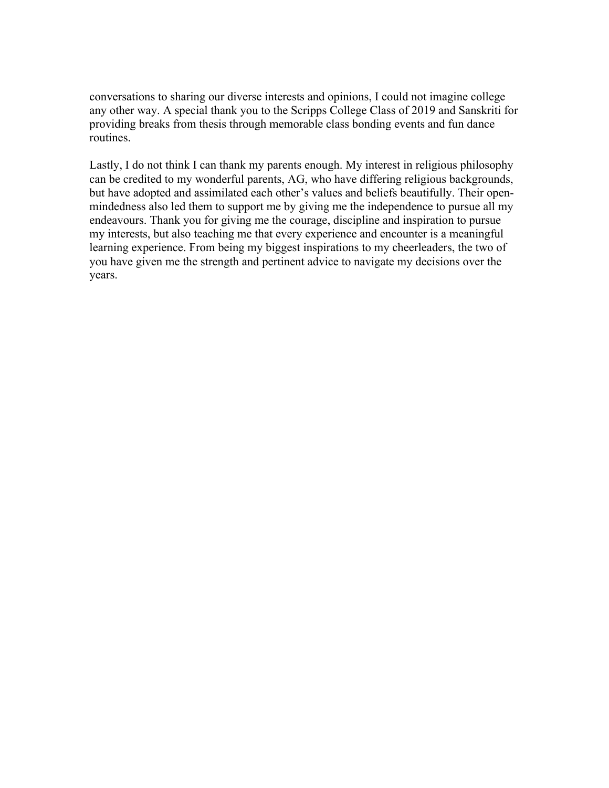conversations to sharing our diverse interests and opinions, I could not imagine college any other way. A special thank you to the Scripps College Class of 2019 and Sanskriti for providing breaks from thesis through memorable class bonding events and fun dance routines.

Lastly, I do not think I can thank my parents enough. My interest in religious philosophy can be credited to my wonderful parents, AG, who have differing religious backgrounds, but have adopted and assimilated each other's values and beliefs beautifully. Their openmindedness also led them to support me by giving me the independence to pursue all my endeavours. Thank you for giving me the courage, discipline and inspiration to pursue my interests, but also teaching me that every experience and encounter is a meaningful learning experience. From being my biggest inspirations to my cheerleaders, the two of you have given me the strength and pertinent advice to navigate my decisions over the years.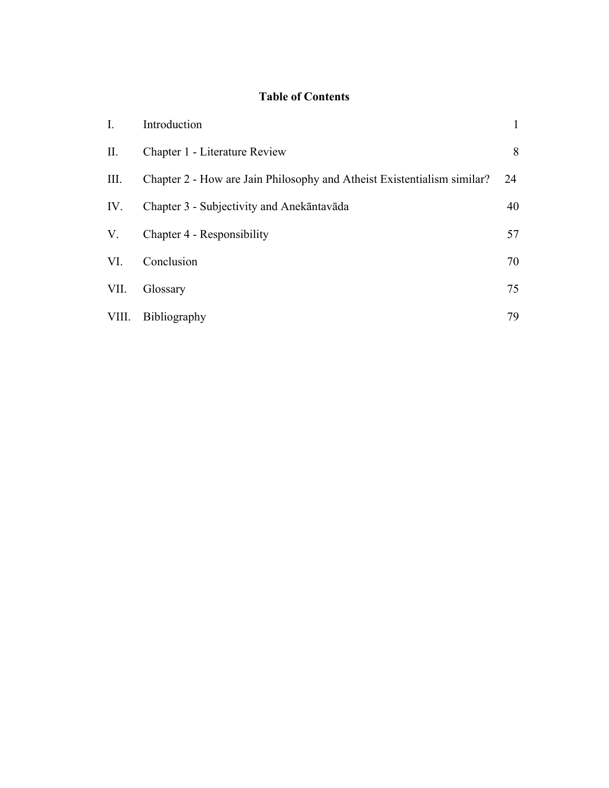# **Table of Contents**

| I.    | Introduction                                                            | $\mathbf{1}$ |
|-------|-------------------------------------------------------------------------|--------------|
| П.    | Chapter 1 - Literature Review                                           | 8            |
| Ш.    | Chapter 2 - How are Jain Philosophy and Atheist Existentialism similar? | 24           |
| IV.   | Chapter 3 - Subjectivity and Anekāntavāda                               | 40           |
| V.    | Chapter 4 - Responsibility                                              | 57           |
| VI.   | Conclusion                                                              | 70           |
| VII.  | Glossary                                                                | 75           |
| VIII. | Bibliography                                                            | 79           |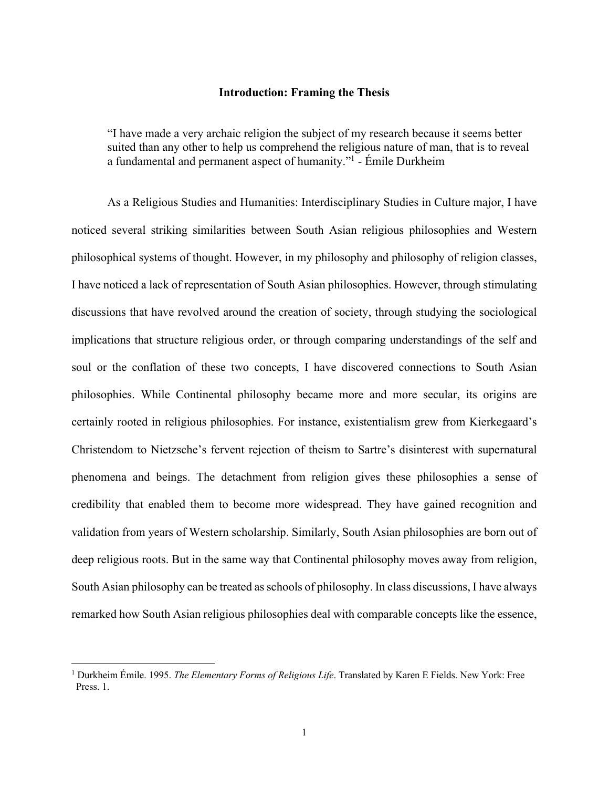## **Introduction: Framing the Thesis**

"I have made a very archaic religion the subject of my research because it seems better suited than any other to help us comprehend the religious nature of man, that is to reveal a fundamental and permanent aspect of humanity."1 - Émile Durkheim

As a Religious Studies and Humanities: Interdisciplinary Studies in Culture major, I have noticed several striking similarities between South Asian religious philosophies and Western philosophical systems of thought. However, in my philosophy and philosophy of religion classes, I have noticed a lack of representation of South Asian philosophies. However, through stimulating discussions that have revolved around the creation of society, through studying the sociological implications that structure religious order, or through comparing understandings of the self and soul or the conflation of these two concepts, I have discovered connections to South Asian philosophies. While Continental philosophy became more and more secular, its origins are certainly rooted in religious philosophies. For instance, existentialism grew from Kierkegaard's Christendom to Nietzsche's fervent rejection of theism to Sartre's disinterest with supernatural phenomena and beings. The detachment from religion gives these philosophies a sense of credibility that enabled them to become more widespread. They have gained recognition and validation from years of Western scholarship. Similarly, South Asian philosophies are born out of deep religious roots. But in the same way that Continental philosophy moves away from religion, South Asian philosophy can be treated as schools of philosophy. In class discussions, I have always remarked how South Asian religious philosophies deal with comparable concepts like the essence,

<sup>1</sup> Durkheim Émile. 1995. *The Elementary Forms of Religious Life*. Translated by Karen E Fields. New York: Free Press. 1.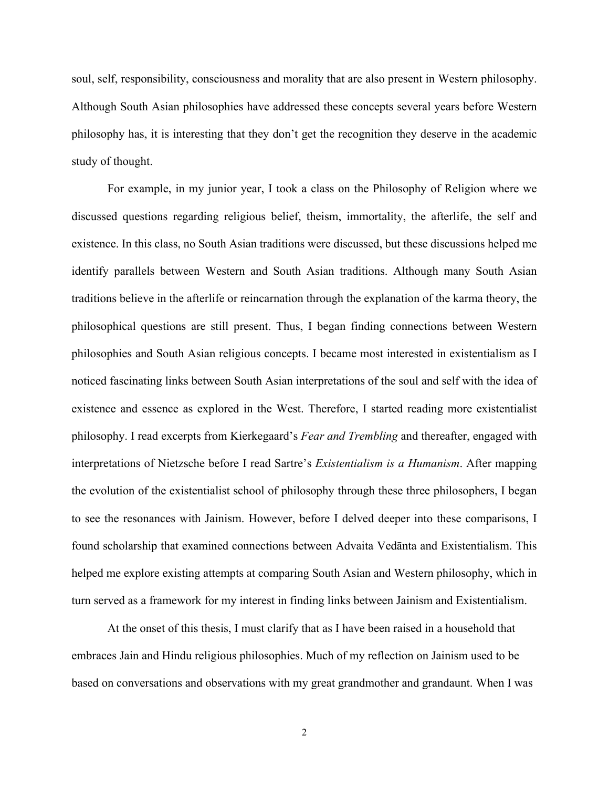soul, self, responsibility, consciousness and morality that are also present in Western philosophy. Although South Asian philosophies have addressed these concepts several years before Western philosophy has, it is interesting that they don't get the recognition they deserve in the academic study of thought.

For example, in my junior year, I took a class on the Philosophy of Religion where we discussed questions regarding religious belief, theism, immortality, the afterlife, the self and existence. In this class, no South Asian traditions were discussed, but these discussions helped me identify parallels between Western and South Asian traditions. Although many South Asian traditions believe in the afterlife or reincarnation through the explanation of the karma theory, the philosophical questions are still present. Thus, I began finding connections between Western philosophies and South Asian religious concepts. I became most interested in existentialism as I noticed fascinating links between South Asian interpretations of the soul and self with the idea of existence and essence as explored in the West. Therefore, I started reading more existentialist philosophy. I read excerpts from Kierkegaard's *Fear and Trembling* and thereafter, engaged with interpretations of Nietzsche before I read Sartre's *Existentialism is a Humanism*. After mapping the evolution of the existentialist school of philosophy through these three philosophers, I began to see the resonances with Jainism. However, before I delved deeper into these comparisons, I found scholarship that examined connections between Advaita Vedānta and Existentialism. This helped me explore existing attempts at comparing South Asian and Western philosophy, which in turn served as a framework for my interest in finding links between Jainism and Existentialism.

At the onset of this thesis, I must clarify that as I have been raised in a household that embraces Jain and Hindu religious philosophies. Much of my reflection on Jainism used to be based on conversations and observations with my great grandmother and grandaunt. When I was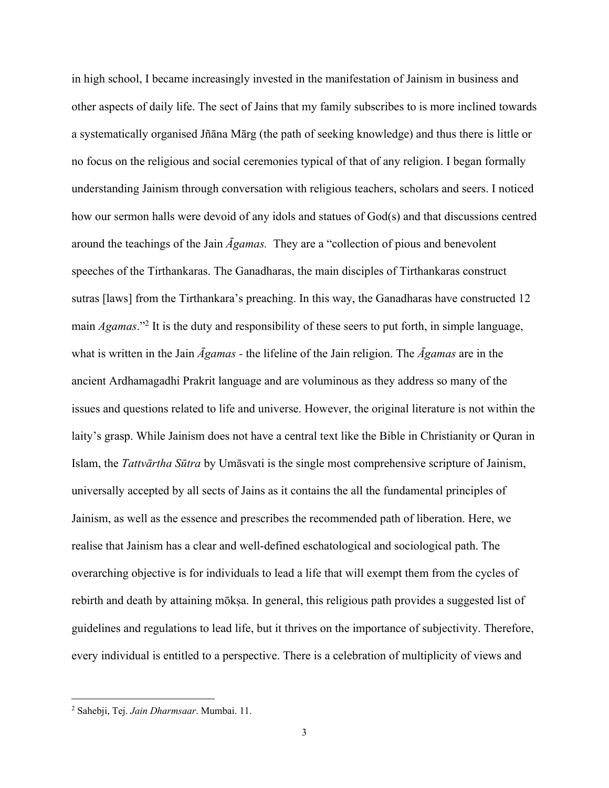in high school, I became increasingly invested in the manifestation of Jainism in business and other aspects of daily life. The sect of Jains that my family subscribes to is more inclined towards a systematically organised Jñāna Mārg (the path of seeking knowledge) and thus there is little or no focus on the religious and social ceremonies typical of that of any religion. I began formally understanding Jainism through conversation with religious teachers, scholars and seers. I noticed how our sermon halls were devoid of any idols and statues of God(s) and that discussions centred around the teachings of the Jain *Āgamas.* They are a "collection of pious and benevolent speeches of the Tirthankaras. The Ganadharas, the main disciples of Tirthankaras construct sutras [laws] from the Tirthankara's preaching. In this way, the Ganadharas have constructed 12 main *Agamas*."2 It is the duty and responsibility of these seers to put forth, in simple language, what is written in the Jain *Āgamas -* the lifeline of the Jain religion. The *Āgamas* are in the ancient Ardhamagadhi Prakrit language and are voluminous as they address so many of the issues and questions related to life and universe. However, the original literature is not within the laity's grasp. While Jainism does not have a central text like the Bible in Christianity or Quran in Islam, the *Tattvārtha Sūtra* by Umāsvati is the single most comprehensive scripture of Jainism, universally accepted by all sects of Jains as it contains the all the fundamental principles of Jainism, as well as the essence and prescribes the recommended path of liberation. Here, we realise that Jainism has a clear and well-defined eschatological and sociological path. The overarching objective is for individuals to lead a life that will exempt them from the cycles of rebirth and death by attaining mōkṣa. In general, this religious path provides a suggested list of guidelines and regulations to lead life, but it thrives on the importance of subjectivity. Therefore, every individual is entitled to a perspective. There is a celebration of multiplicity of views and

<sup>2</sup> Sahebji, Tej. *Jain Dharmsaar*. Mumbai. 11.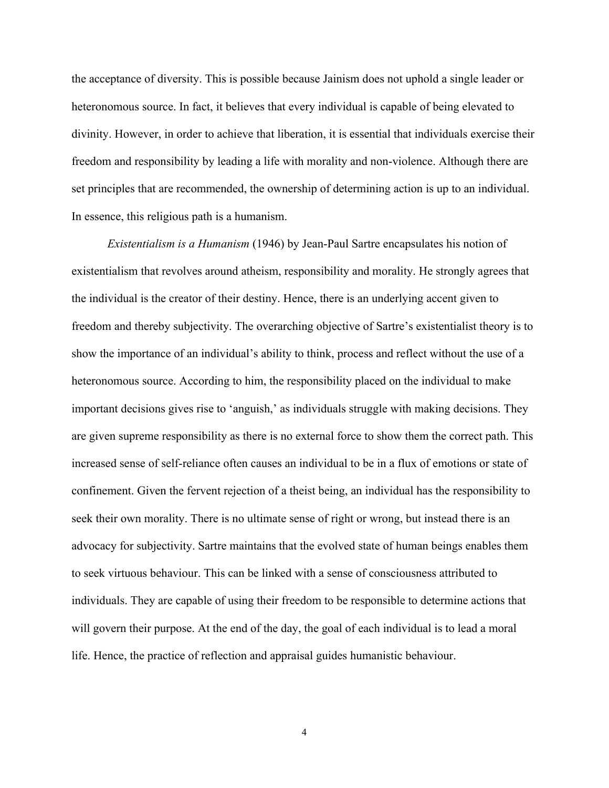the acceptance of diversity. This is possible because Jainism does not uphold a single leader or heteronomous source. In fact, it believes that every individual is capable of being elevated to divinity. However, in order to achieve that liberation, it is essential that individuals exercise their freedom and responsibility by leading a life with morality and non-violence. Although there are set principles that are recommended, the ownership of determining action is up to an individual. In essence, this religious path is a humanism.

*Existentialism is a Humanism* (1946) by Jean-Paul Sartre encapsulates his notion of existentialism that revolves around atheism, responsibility and morality. He strongly agrees that the individual is the creator of their destiny. Hence, there is an underlying accent given to freedom and thereby subjectivity. The overarching objective of Sartre's existentialist theory is to show the importance of an individual's ability to think, process and reflect without the use of a heteronomous source. According to him, the responsibility placed on the individual to make important decisions gives rise to 'anguish,' as individuals struggle with making decisions. They are given supreme responsibility as there is no external force to show them the correct path. This increased sense of self-reliance often causes an individual to be in a flux of emotions or state of confinement. Given the fervent rejection of a theist being, an individual has the responsibility to seek their own morality. There is no ultimate sense of right or wrong, but instead there is an advocacy for subjectivity. Sartre maintains that the evolved state of human beings enables them to seek virtuous behaviour. This can be linked with a sense of consciousness attributed to individuals. They are capable of using their freedom to be responsible to determine actions that will govern their purpose. At the end of the day, the goal of each individual is to lead a moral life. Hence, the practice of reflection and appraisal guides humanistic behaviour.

4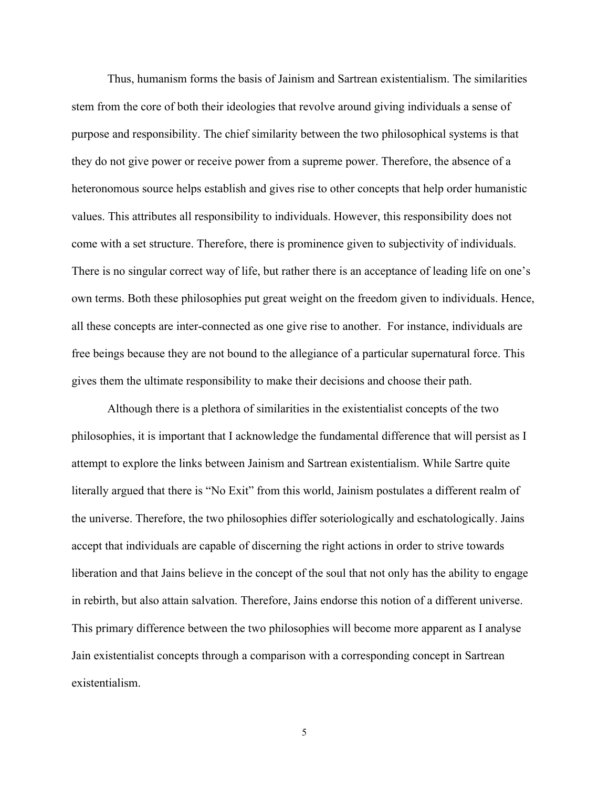Thus, humanism forms the basis of Jainism and Sartrean existentialism. The similarities stem from the core of both their ideologies that revolve around giving individuals a sense of purpose and responsibility. The chief similarity between the two philosophical systems is that they do not give power or receive power from a supreme power. Therefore, the absence of a heteronomous source helps establish and gives rise to other concepts that help order humanistic values. This attributes all responsibility to individuals. However, this responsibility does not come with a set structure. Therefore, there is prominence given to subjectivity of individuals. There is no singular correct way of life, but rather there is an acceptance of leading life on one's own terms. Both these philosophies put great weight on the freedom given to individuals. Hence, all these concepts are inter-connected as one give rise to another. For instance, individuals are free beings because they are not bound to the allegiance of a particular supernatural force. This gives them the ultimate responsibility to make their decisions and choose their path.

Although there is a plethora of similarities in the existentialist concepts of the two philosophies, it is important that I acknowledge the fundamental difference that will persist as I attempt to explore the links between Jainism and Sartrean existentialism. While Sartre quite literally argued that there is "No Exit" from this world, Jainism postulates a different realm of the universe. Therefore, the two philosophies differ soteriologically and eschatologically. Jains accept that individuals are capable of discerning the right actions in order to strive towards liberation and that Jains believe in the concept of the soul that not only has the ability to engage in rebirth, but also attain salvation. Therefore, Jains endorse this notion of a different universe. This primary difference between the two philosophies will become more apparent as I analyse Jain existentialist concepts through a comparison with a corresponding concept in Sartrean existentialism.

5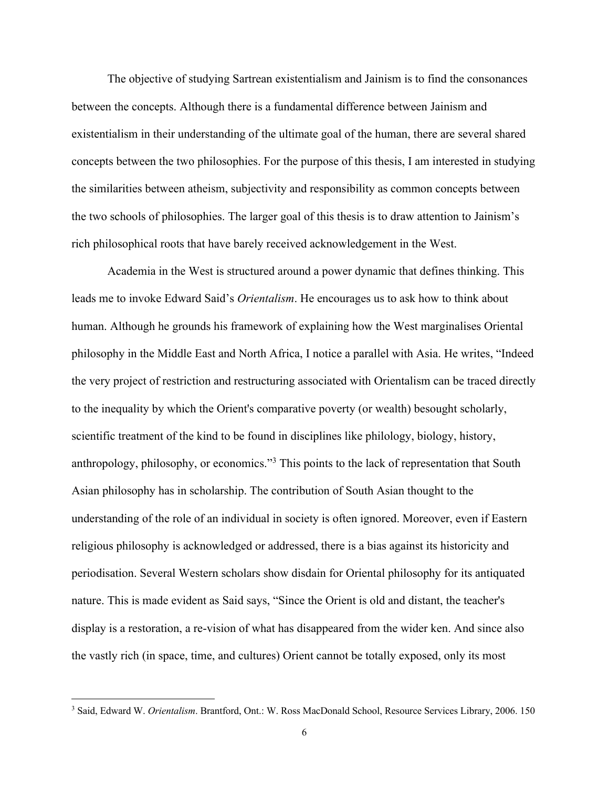The objective of studying Sartrean existentialism and Jainism is to find the consonances between the concepts. Although there is a fundamental difference between Jainism and existentialism in their understanding of the ultimate goal of the human, there are several shared concepts between the two philosophies. For the purpose of this thesis, I am interested in studying the similarities between atheism, subjectivity and responsibility as common concepts between the two schools of philosophies. The larger goal of this thesis is to draw attention to Jainism's rich philosophical roots that have barely received acknowledgement in the West.

Academia in the West is structured around a power dynamic that defines thinking. This leads me to invoke Edward Said's *Orientalism*. He encourages us to ask how to think about human. Although he grounds his framework of explaining how the West marginalises Oriental philosophy in the Middle East and North Africa, I notice a parallel with Asia. He writes, "Indeed the very project of restriction and restructuring associated with Orientalism can be traced directly to the inequality by which the Orient's comparative poverty (or wealth) besought scholarly, scientific treatment of the kind to be found in disciplines like philology, biology, history, anthropology, philosophy, or economics."3 This points to the lack of representation that South Asian philosophy has in scholarship. The contribution of South Asian thought to the understanding of the role of an individual in society is often ignored. Moreover, even if Eastern religious philosophy is acknowledged or addressed, there is a bias against its historicity and periodisation. Several Western scholars show disdain for Oriental philosophy for its antiquated nature. This is made evident as Said says, "Since the Orient is old and distant, the teacher's display is a restoration, a re-vision of what has disappeared from the wider ken. And since also the vastly rich (in space, time, and cultures) Orient cannot be totally exposed, only its most

<sup>3</sup> Said, Edward W. *Orientalism*. Brantford, Ont.: W. Ross MacDonald School, Resource Services Library, 2006. 150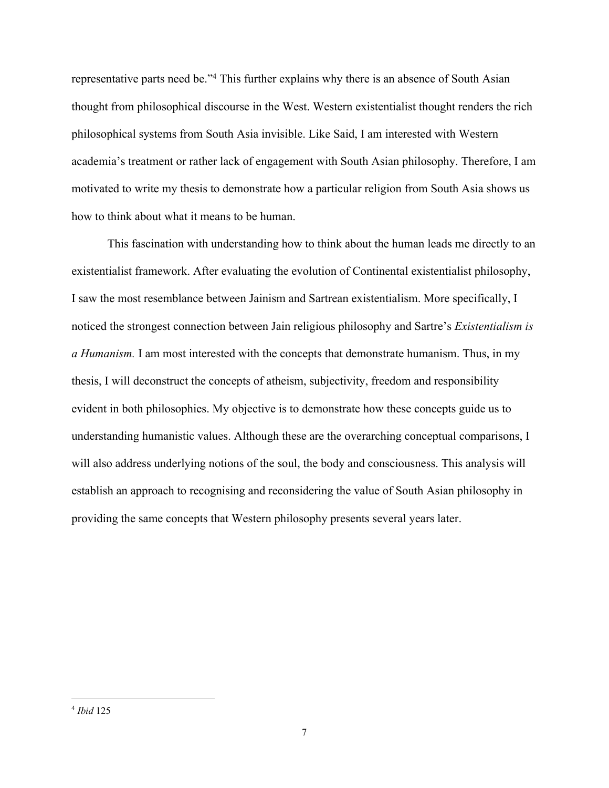representative parts need be."4 This further explains why there is an absence of South Asian thought from philosophical discourse in the West. Western existentialist thought renders the rich philosophical systems from South Asia invisible. Like Said, I am interested with Western academia's treatment or rather lack of engagement with South Asian philosophy. Therefore, I am motivated to write my thesis to demonstrate how a particular religion from South Asia shows us how to think about what it means to be human.

This fascination with understanding how to think about the human leads me directly to an existentialist framework. After evaluating the evolution of Continental existentialist philosophy, I saw the most resemblance between Jainism and Sartrean existentialism. More specifically, I noticed the strongest connection between Jain religious philosophy and Sartre's *Existentialism is a Humanism.* I am most interested with the concepts that demonstrate humanism. Thus, in my thesis, I will deconstruct the concepts of atheism, subjectivity, freedom and responsibility evident in both philosophies. My objective is to demonstrate how these concepts guide us to understanding humanistic values. Although these are the overarching conceptual comparisons, I will also address underlying notions of the soul, the body and consciousness. This analysis will establish an approach to recognising and reconsidering the value of South Asian philosophy in providing the same concepts that Western philosophy presents several years later.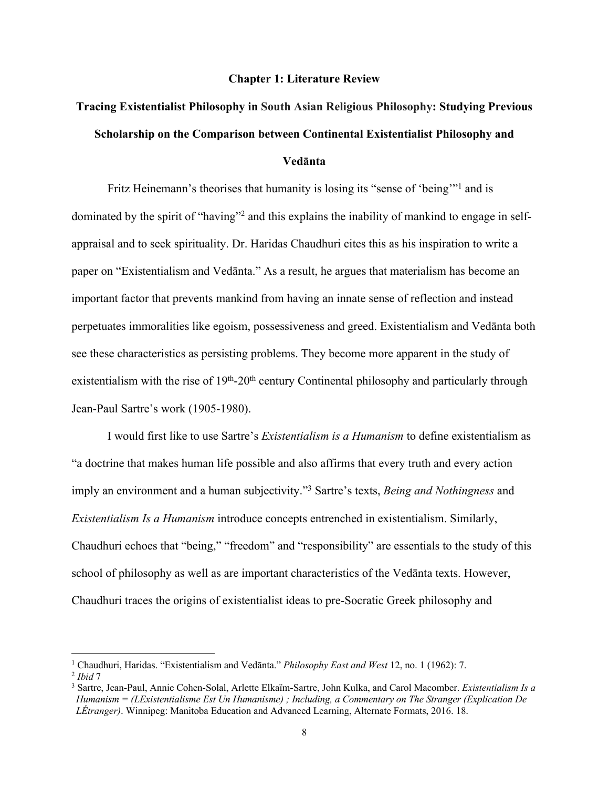#### **Chapter 1: Literature Review**

# **Tracing Existentialist Philosophy in South Asian Religious Philosophy: Studying Previous Scholarship on the Comparison between Continental Existentialist Philosophy and Vedānta**

Fritz Heinemann's theorises that humanity is losing its "sense of 'being'"<sup>1</sup> and is dominated by the spirit of "having"2 and this explains the inability of mankind to engage in selfappraisal and to seek spirituality. Dr. Haridas Chaudhuri cites this as his inspiration to write a paper on "Existentialism and Vedānta." As a result, he argues that materialism has become an important factor that prevents mankind from having an innate sense of reflection and instead perpetuates immoralities like egoism, possessiveness and greed. Existentialism and Vedānta both see these characteristics as persisting problems. They become more apparent in the study of existentialism with the rise of  $19<sup>th</sup>$ -20<sup>th</sup> century Continental philosophy and particularly through Jean-Paul Sartre's work (1905-1980).

I would first like to use Sartre's *Existentialism is a Humanism* to define existentialism as "a doctrine that makes human life possible and also affirms that every truth and every action imply an environment and a human subjectivity."3 Sartre's texts, *Being and Nothingness* and *Existentialism Is a Humanism* introduce concepts entrenched in existentialism. Similarly, Chaudhuri echoes that "being," "freedom" and "responsibility" are essentials to the study of this school of philosophy as well as are important characteristics of the Vedānta texts. However, Chaudhuri traces the origins of existentialist ideas to pre-Socratic Greek philosophy and

<sup>1</sup> Chaudhuri, Haridas. "Existentialism and Vedānta." *Philosophy East and West* 12, no. 1 (1962): 7. 2 *Ibid* <sup>7</sup>

<sup>3</sup> Sartre, Jean-Paul, Annie Cohen-Solal, Arlette Elkaïm-Sartre, John Kulka, and Carol Macomber. *Existentialism Is a Humanism = (LExistentialisme Est Un Humanisme) ; Including, a Commentary on The Stranger (Explication De LÉtranger)*. Winnipeg: Manitoba Education and Advanced Learning, Alternate Formats, 2016. 18.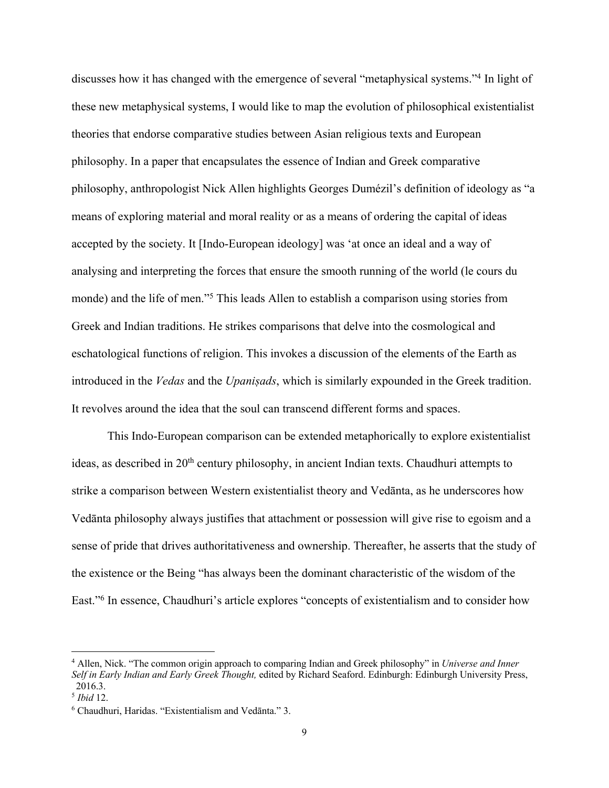discusses how it has changed with the emergence of several "metaphysical systems."4 In light of these new metaphysical systems, I would like to map the evolution of philosophical existentialist theories that endorse comparative studies between Asian religious texts and European philosophy. In a paper that encapsulates the essence of Indian and Greek comparative philosophy, anthropologist Nick Allen highlights Georges Dumézil's definition of ideology as "a means of exploring material and moral reality or as a means of ordering the capital of ideas accepted by the society. It [Indo-European ideology] was 'at once an ideal and a way of analysing and interpreting the forces that ensure the smooth running of the world (le cours du monde) and the life of men."5 This leads Allen to establish a comparison using stories from Greek and Indian traditions. He strikes comparisons that delve into the cosmological and eschatological functions of religion. This invokes a discussion of the elements of the Earth as introduced in the *Vedas* and the *Upaniṣads*, which is similarly expounded in the Greek tradition. It revolves around the idea that the soul can transcend different forms and spaces.

This Indo-European comparison can be extended metaphorically to explore existentialist ideas, as described in 20<sup>th</sup> century philosophy, in ancient Indian texts. Chaudhuri attempts to strike a comparison between Western existentialist theory and Vedānta, as he underscores how Vedānta philosophy always justifies that attachment or possession will give rise to egoism and a sense of pride that drives authoritativeness and ownership. Thereafter, he asserts that the study of the existence or the Being "has always been the dominant characteristic of the wisdom of the East."6 In essence, Chaudhuri's article explores "concepts of existentialism and to consider how

<sup>4</sup> Allen, Nick. "The common origin approach to comparing Indian and Greek philosophy" in *Universe and Inner Self in Early Indian and Early Greek Thought,* edited by Richard Seaford. Edinburgh: Edinburgh University Press, 2016.3.

<sup>5</sup> *Ibid* 12.

<sup>6</sup> Chaudhuri, Haridas. "Existentialism and Vedānta." 3.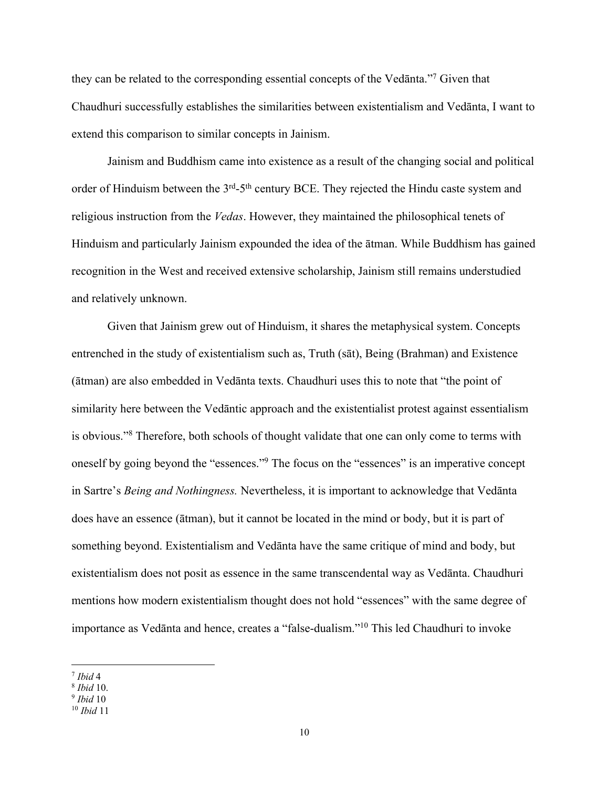they can be related to the corresponding essential concepts of the Vedānta."7 Given that Chaudhuri successfully establishes the similarities between existentialism and Vedānta, I want to extend this comparison to similar concepts in Jainism.

Jainism and Buddhism came into existence as a result of the changing social and political order of Hinduism between the 3<sup>rd</sup>-5<sup>th</sup> century BCE. They rejected the Hindu caste system and religious instruction from the *Vedas*. However, they maintained the philosophical tenets of Hinduism and particularly Jainism expounded the idea of the ātman. While Buddhism has gained recognition in the West and received extensive scholarship, Jainism still remains understudied and relatively unknown.

Given that Jainism grew out of Hinduism, it shares the metaphysical system. Concepts entrenched in the study of existentialism such as, Truth (sāt), Being (Brahman) and Existence (ātman) are also embedded in Vedānta texts. Chaudhuri uses this to note that "the point of similarity here between the Vedāntic approach and the existentialist protest against essentialism is obvious."8 Therefore, both schools of thought validate that one can only come to terms with oneself by going beyond the "essences."9 The focus on the "essences" is an imperative concept in Sartre's *Being and Nothingness.* Nevertheless, it is important to acknowledge that Vedānta does have an essence (ātman), but it cannot be located in the mind or body, but it is part of something beyond. Existentialism and Vedānta have the same critique of mind and body, but existentialism does not posit as essence in the same transcendental way as Vedānta. Chaudhuri mentions how modern existentialism thought does not hold "essences" with the same degree of importance as Vedānta and hence, creates a "false-dualism."10 This led Chaudhuri to invoke

 $\overline{a}$  $<sup>7</sup>$  *Ibid* 4</sup>

<sup>8</sup> *Ibid* 10.

<sup>9</sup> *Ibid* 10

<sup>10</sup> *Ibid* 11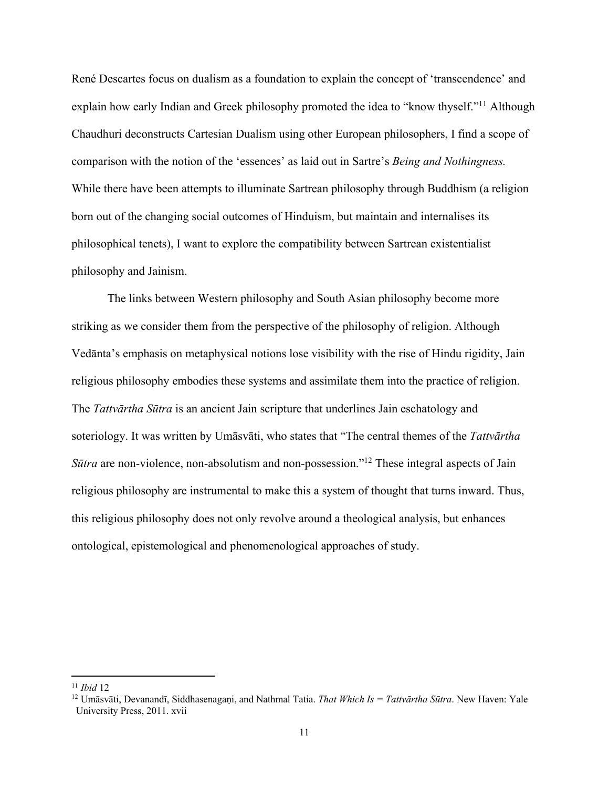René Descartes focus on dualism as a foundation to explain the concept of 'transcendence' and explain how early Indian and Greek philosophy promoted the idea to "know thyself."<sup>11</sup> Although Chaudhuri deconstructs Cartesian Dualism using other European philosophers, I find a scope of comparison with the notion of the 'essences' as laid out in Sartre's *Being and Nothingness.* While there have been attempts to illuminate Sartrean philosophy through Buddhism (a religion born out of the changing social outcomes of Hinduism, but maintain and internalises its philosophical tenets), I want to explore the compatibility between Sartrean existentialist philosophy and Jainism.

The links between Western philosophy and South Asian philosophy become more striking as we consider them from the perspective of the philosophy of religion. Although Vedānta's emphasis on metaphysical notions lose visibility with the rise of Hindu rigidity, Jain religious philosophy embodies these systems and assimilate them into the practice of religion. The *Tattvārtha Sūtra* is an ancient Jain scripture that underlines Jain eschatology and soteriology. It was written by Umāsvāti, who states that "The central themes of the *Tattvārtha Sūtra* are non-violence, non-absolutism and non-possession."12 These integral aspects of Jain religious philosophy are instrumental to make this a system of thought that turns inward. Thus, this religious philosophy does not only revolve around a theological analysis, but enhances ontological, epistemological and phenomenological approaches of study.

<sup>11</sup> *Ibid* 12

<sup>&</sup>lt;sup>12</sup> Umāsvāti, Devanandī, Siddhasenagani, and Nathmal Tatia. *That Which Is = Tattvārtha Sūtra*. New Haven: Yale University Press, 2011. xvii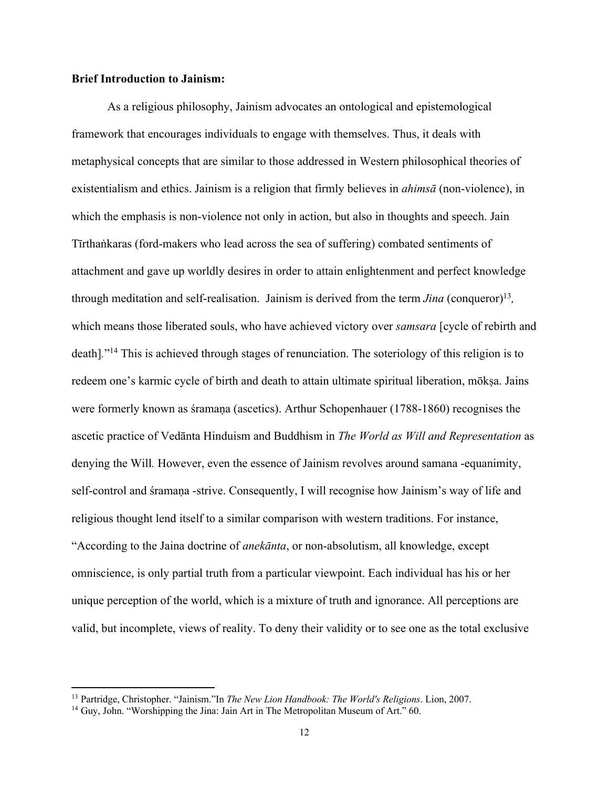## **Brief Introduction to Jainism:**

As a religious philosophy, Jainism advocates an ontological and epistemological framework that encourages individuals to engage with themselves. Thus, it deals with metaphysical concepts that are similar to those addressed in Western philosophical theories of existentialism and ethics. Jainism is a religion that firmly believes in *ahimsā* (non-violence), in which the emphasis is non-violence not only in action, but also in thoughts and speech. Jain Tīrthaṅkaras (ford-makers who lead across the sea of suffering) combated sentiments of attachment and gave up worldly desires in order to attain enlightenment and perfect knowledge through meditation and self-realisation. Jainism is derived from the term *Jina* (conqueror)13*,*  which means those liberated souls, who have achieved victory over *samsara* [cycle of rebirth and death]*.*"14 This is achieved through stages of renunciation. The soteriology of this religion is to redeem one's karmic cycle of birth and death to attain ultimate spiritual liberation, mōksa. Jains were formerly known as śramaṇa (ascetics). Arthur Schopenhauer (1788-1860) recognises the ascetic practice of Vedānta Hinduism and Buddhism in *The World as Will and Representation* as denying the Will. However, even the essence of Jainism revolves around samana -equanimity, self-control and śramaṇa -strive. Consequently, I will recognise how Jainism's way of life and religious thought lend itself to a similar comparison with western traditions. For instance, "According to the Jaina doctrine of *anekānta*, or non-absolutism, all knowledge, except omniscience, is only partial truth from a particular viewpoint. Each individual has his or her unique perception of the world, which is a mixture of truth and ignorance. All perceptions are valid, but incomplete, views of reality. To deny their validity or to see one as the total exclusive

<sup>13</sup> Partridge, Christopher. "Jainism."In *The New Lion Handbook: The World's Religions*. Lion, 2007.

<sup>&</sup>lt;sup>14</sup> Guy, John. "Worshipping the Jina: Jain Art in The Metropolitan Museum of Art." 60.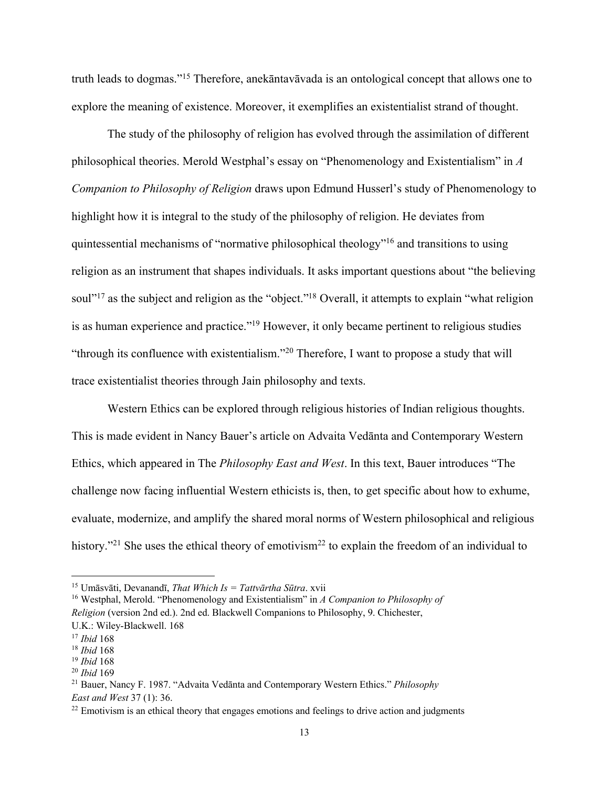truth leads to dogmas."15 Therefore, anekāntavāvada is an ontological concept that allows one to explore the meaning of existence. Moreover, it exemplifies an existentialist strand of thought.

The study of the philosophy of religion has evolved through the assimilation of different philosophical theories. Merold Westphal's essay on "Phenomenology and Existentialism" in *A Companion to Philosophy of Religion* draws upon Edmund Husserl's study of Phenomenology to highlight how it is integral to the study of the philosophy of religion. He deviates from quintessential mechanisms of "normative philosophical theology"16 and transitions to using religion as an instrument that shapes individuals. It asks important questions about "the believing soul"<sup>17</sup> as the subject and religion as the "object."<sup>18</sup> Overall, it attempts to explain "what religion" is as human experience and practice."19 However, it only became pertinent to religious studies "through its confluence with existentialism."20 Therefore, I want to propose a study that will trace existentialist theories through Jain philosophy and texts.

Western Ethics can be explored through religious histories of Indian religious thoughts. This is made evident in Nancy Bauer's article on Advaita Vedānta and Contemporary Western Ethics, which appeared in The *Philosophy East and West*. In this text, Bauer introduces "The challenge now facing influential Western ethicists is, then, to get specific about how to exhume, evaluate, modernize, and amplify the shared moral norms of Western philosophical and religious history."<sup>21</sup> She uses the ethical theory of emotivism<sup>22</sup> to explain the freedom of an individual to

<sup>15</sup> Umāsvāti, Devanandī, *That Which Is = Tattvārtha Sūtra*. xvii

<sup>16</sup> Westphal, Merold. "Phenomenology and Existentialism" in *A Companion to Philosophy of Religion* (version 2nd ed.). 2nd ed. Blackwell Companions to Philosophy, 9. Chichester,

U.K.: Wiley-Blackwell. 168

<sup>17</sup> *Ibid* 168

<sup>18</sup> *Ibid* 168 19 *Ibid* <sup>168</sup>

<sup>20</sup> *Ibid* 169 21 Bauer, Nancy F. 1987. "Advaita Vedānta and Contemporary Western Ethics." *Philosophy East and West* 37 (1): 36.

<sup>&</sup>lt;sup>22</sup> Emotivism is an ethical theory that engages emotions and feelings to drive action and judgments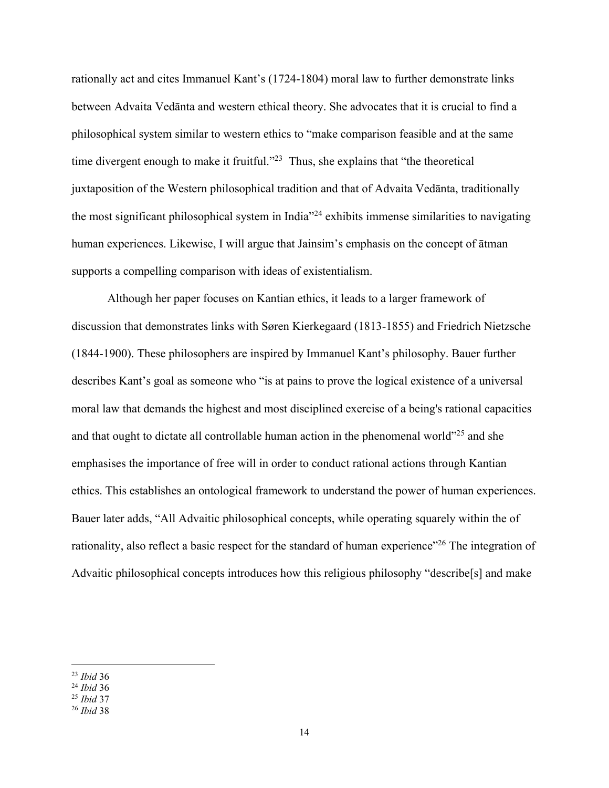rationally act and cites Immanuel Kant's (1724-1804) moral law to further demonstrate links between Advaita Vedānta and western ethical theory. She advocates that it is crucial to find a philosophical system similar to western ethics to "make comparison feasible and at the same time divergent enough to make it fruitful."<sup>23</sup> Thus, she explains that "the theoretical juxtaposition of the Western philosophical tradition and that of Advaita Vedānta, traditionally the most significant philosophical system in India"24 exhibits immense similarities to navigating human experiences. Likewise, I will argue that Jainsim's emphasis on the concept of ātman supports a compelling comparison with ideas of existentialism.

Although her paper focuses on Kantian ethics, it leads to a larger framework of discussion that demonstrates links with Søren Kierkegaard (1813-1855) and Friedrich Nietzsche (1844-1900). These philosophers are inspired by Immanuel Kant's philosophy. Bauer further describes Kant's goal as someone who "is at pains to prove the logical existence of a universal moral law that demands the highest and most disciplined exercise of a being's rational capacities and that ought to dictate all controllable human action in the phenomenal world"25 and she emphasises the importance of free will in order to conduct rational actions through Kantian ethics. This establishes an ontological framework to understand the power of human experiences. Bauer later adds, "All Advaitic philosophical concepts, while operating squarely within the of rationality, also reflect a basic respect for the standard of human experience"<sup>26</sup> The integration of Advaitic philosophical concepts introduces how this religious philosophy "describe[s] and make

 $\overline{a}$ <sup>23</sup> *Ibid* 36

<sup>24</sup> *Ibid* 36

<sup>25</sup> *Ibid* 37

<sup>26</sup> *Ibid* 38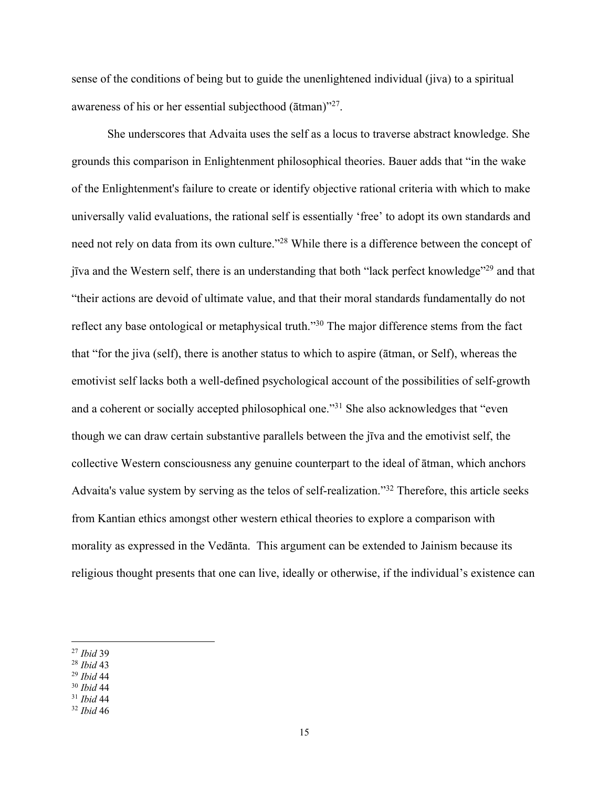sense of the conditions of being but to guide the unenlightened individual (jiva) to a spiritual awareness of his or her essential subjecthood (ātman)"27.

She underscores that Advaita uses the self as a locus to traverse abstract knowledge. She grounds this comparison in Enlightenment philosophical theories. Bauer adds that "in the wake of the Enlightenment's failure to create or identify objective rational criteria with which to make universally valid evaluations, the rational self is essentially 'free' to adopt its own standards and need not rely on data from its own culture."<sup>28</sup> While there is a difference between the concept of jīva and the Western self, there is an understanding that both "lack perfect knowledge"29 and that "their actions are devoid of ultimate value, and that their moral standards fundamentally do not reflect any base ontological or metaphysical truth."30 The major difference stems from the fact that "for the jiva (self), there is another status to which to aspire (ātman, or Self), whereas the emotivist self lacks both a well-defined psychological account of the possibilities of self-growth and a coherent or socially accepted philosophical one."31 She also acknowledges that "even though we can draw certain substantive parallels between the jīva and the emotivist self, the collective Western consciousness any genuine counterpart to the ideal of ātman, which anchors Advaita's value system by serving as the telos of self-realization."32 Therefore, this article seeks from Kantian ethics amongst other western ethical theories to explore a comparison with morality as expressed in the Vedānta. This argument can be extended to Jainism because its religious thought presents that one can live, ideally or otherwise, if the individual's existence can

- <sup>28</sup> *Ibid* 43
- <sup>29</sup> *Ibid* 44
- <sup>30</sup> *Ibid* 44
- <sup>31</sup> *Ibid* 44
- <sup>32</sup> *Ibid* 46

<sup>27</sup> *Ibid* 39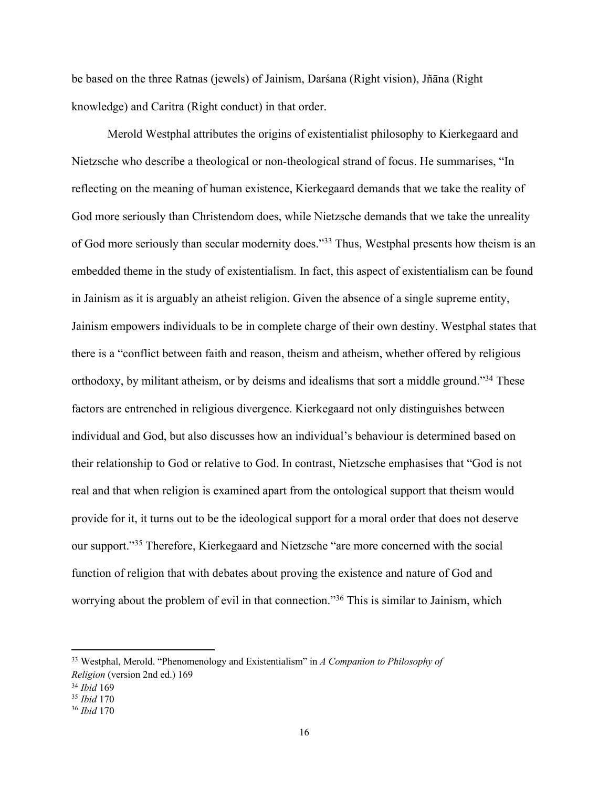be based on the three Ratnas (jewels) of Jainism, Darśana (Right vision), Jñāna (Right knowledge) and Caritra (Right conduct) in that order.

Merold Westphal attributes the origins of existentialist philosophy to Kierkegaard and Nietzsche who describe a theological or non-theological strand of focus. He summarises, "In reflecting on the meaning of human existence, Kierkegaard demands that we take the reality of God more seriously than Christendom does, while Nietzsche demands that we take the unreality of God more seriously than secular modernity does."33 Thus, Westphal presents how theism is an embedded theme in the study of existentialism. In fact, this aspect of existentialism can be found in Jainism as it is arguably an atheist religion. Given the absence of a single supreme entity, Jainism empowers individuals to be in complete charge of their own destiny. Westphal states that there is a "conflict between faith and reason, theism and atheism, whether offered by religious orthodoxy, by militant atheism, or by deisms and idealisms that sort a middle ground."34 These factors are entrenched in religious divergence. Kierkegaard not only distinguishes between individual and God, but also discusses how an individual's behaviour is determined based on their relationship to God or relative to God. In contrast, Nietzsche emphasises that "God is not real and that when religion is examined apart from the ontological support that theism would provide for it, it turns out to be the ideological support for a moral order that does not deserve our support."35 Therefore, Kierkegaard and Nietzsche "are more concerned with the social function of religion that with debates about proving the existence and nature of God and worrying about the problem of evil in that connection."36 This is similar to Jainism, which

<sup>33</sup> Westphal, Merold. "Phenomenology and Existentialism" in *A Companion to Philosophy of Religion* (version 2nd ed.) 169

<sup>34</sup> *Ibid* 169

<sup>35</sup> *Ibid* 170

<sup>36</sup> *Ibid* 170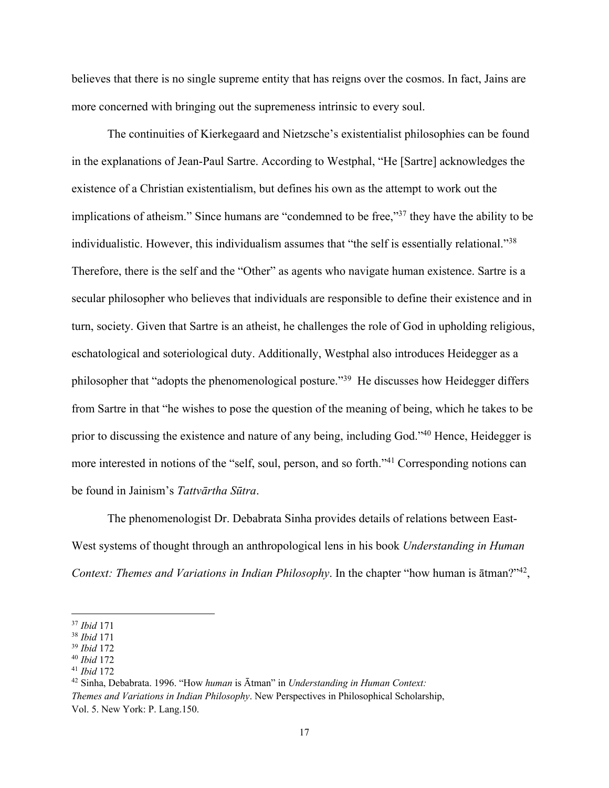believes that there is no single supreme entity that has reigns over the cosmos. In fact, Jains are more concerned with bringing out the supremeness intrinsic to every soul.

The continuities of Kierkegaard and Nietzsche's existentialist philosophies can be found in the explanations of Jean-Paul Sartre. According to Westphal, "He [Sartre] acknowledges the existence of a Christian existentialism, but defines his own as the attempt to work out the implications of atheism." Since humans are "condemned to be free,"<sup>37</sup> they have the ability to be individualistic. However, this individualism assumes that "the self is essentially relational."38 Therefore, there is the self and the "Other" as agents who navigate human existence. Sartre is a secular philosopher who believes that individuals are responsible to define their existence and in turn, society. Given that Sartre is an atheist, he challenges the role of God in upholding religious, eschatological and soteriological duty. Additionally, Westphal also introduces Heidegger as a philosopher that "adopts the phenomenological posture."39 He discusses how Heidegger differs from Sartre in that "he wishes to pose the question of the meaning of being, which he takes to be prior to discussing the existence and nature of any being, including God."40 Hence, Heidegger is more interested in notions of the "self, soul, person, and so forth."41 Corresponding notions can be found in Jainism's *Tattvārtha Sūtra*.

The phenomenologist Dr. Debabrata Sinha provides details of relations between East-West systems of thought through an anthropological lens in his book *Understanding in Human Context: Themes and Variations in Indian Philosophy*. In the chapter "how human is ātman?"42,

<sup>37</sup> *Ibid* 171

<sup>38</sup> *Ibid* 171

<sup>39</sup> *Ibid* 172

<sup>40</sup> *Ibid* 172

<sup>41</sup> *Ibid* 172

<sup>42</sup> Sinha, Debabrata. 1996. "How *human* is Ātman" in *Understanding in Human Context: Themes and Variations in Indian Philosophy*. New Perspectives in Philosophical Scholarship, Vol. 5. New York: P. Lang.150.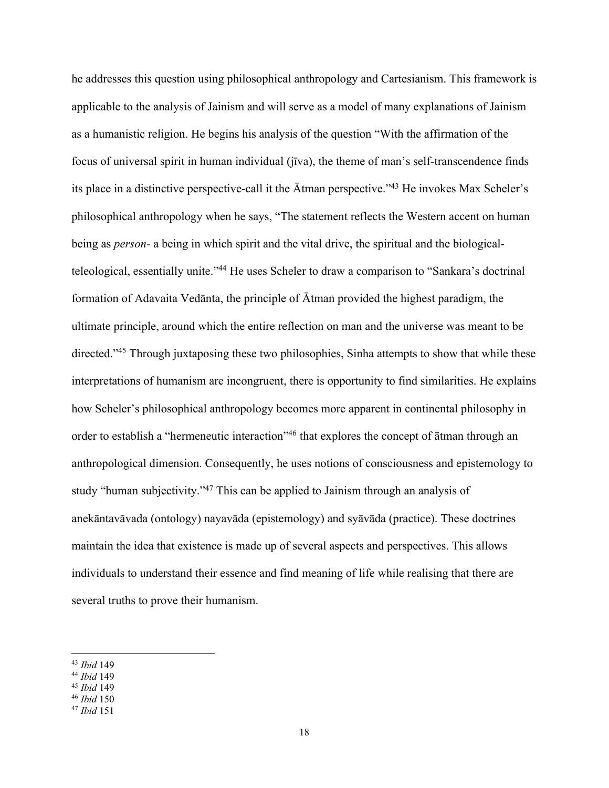he addresses this question using philosophical anthropology and Cartesianism. This framework is applicable to the analysis of Jainism and will serve as a model of many explanations of Jainism as a humanistic religion. He begins his analysis of the question "With the affirmation of the focus of universal spirit in human individual (jīva), the theme of man's self-transcendence finds its place in a distinctive perspective-call it the Ātman perspective."43 He invokes Max Scheler's philosophical anthropology when he says, "The statement reflects the Western accent on human being as *person-* a being in which spirit and the vital drive, the spiritual and the biologicalteleological, essentially unite."44 He uses Scheler to draw a comparison to "Sankara's doctrinal formation of Adavaita Vedānta, the principle of Ātman provided the highest paradigm, the ultimate principle, around which the entire reflection on man and the universe was meant to be directed."45 Through juxtaposing these two philosophies, Sinha attempts to show that while these interpretations of humanism are incongruent, there is opportunity to find similarities. He explains how Scheler's philosophical anthropology becomes more apparent in continental philosophy in order to establish a "hermeneutic interaction"<sup>46</sup> that explores the concept of  $\bar{a}$ tman through an anthropological dimension. Consequently, he uses notions of consciousness and epistemology to study "human subjectivity."47 This can be applied to Jainism through an analysis of anekāntavāvada (ontology) nayavāda (epistemology) and syāvāda (practice). These doctrines maintain the idea that existence is made up of several aspects and perspectives. This allows individuals to understand their essence and find meaning of life while realising that there are several truths to prove their humanism.

<sup>43</sup> *Ibid* 149

<sup>44</sup> *Ibid* 149

<sup>45</sup> *Ibid* 149

<sup>46</sup> *Ibid* 150

<sup>47</sup> *Ibid* 151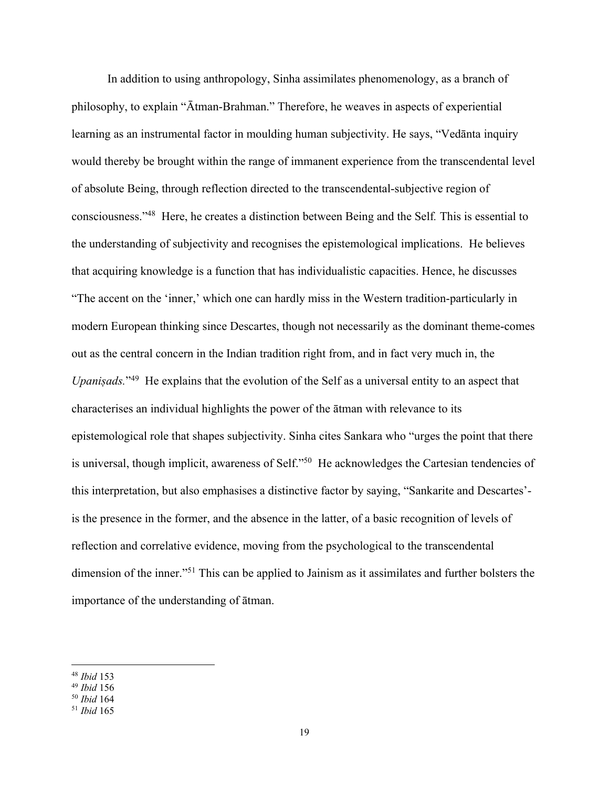In addition to using anthropology, Sinha assimilates phenomenology, as a branch of philosophy, to explain "Ātman-Brahman." Therefore, he weaves in aspects of experiential learning as an instrumental factor in moulding human subjectivity. He says, "Vedānta inquiry would thereby be brought within the range of immanent experience from the transcendental level of absolute Being, through reflection directed to the transcendental-subjective region of consciousness."48 Here, he creates a distinction between Being and the Self*.* This is essential to the understanding of subjectivity and recognises the epistemological implications. He believes that acquiring knowledge is a function that has individualistic capacities. Hence, he discusses "The accent on the 'inner,' which one can hardly miss in the Western tradition-particularly in modern European thinking since Descartes, though not necessarily as the dominant theme-comes out as the central concern in the Indian tradition right from, and in fact very much in, the *Upaniṣads.*"49 He explains that the evolution of the Self as a universal entity to an aspect that characterises an individual highlights the power of the ātman with relevance to its epistemological role that shapes subjectivity. Sinha cites Sankara who "urges the point that there is universal, though implicit, awareness of Self."<sup>50</sup> He acknowledges the Cartesian tendencies of this interpretation, but also emphasises a distinctive factor by saying, "Sankarite and Descartes' is the presence in the former, and the absence in the latter, of a basic recognition of levels of reflection and correlative evidence, moving from the psychological to the transcendental dimension of the inner."<sup>51</sup> This can be applied to Jainism as it assimilates and further bolsters the importance of the understanding of ātman.

<sup>48</sup> *Ibid* 153

<sup>49</sup> *Ibid* 156

<sup>50</sup> *Ibid* 164

<sup>51</sup> *Ibid* 165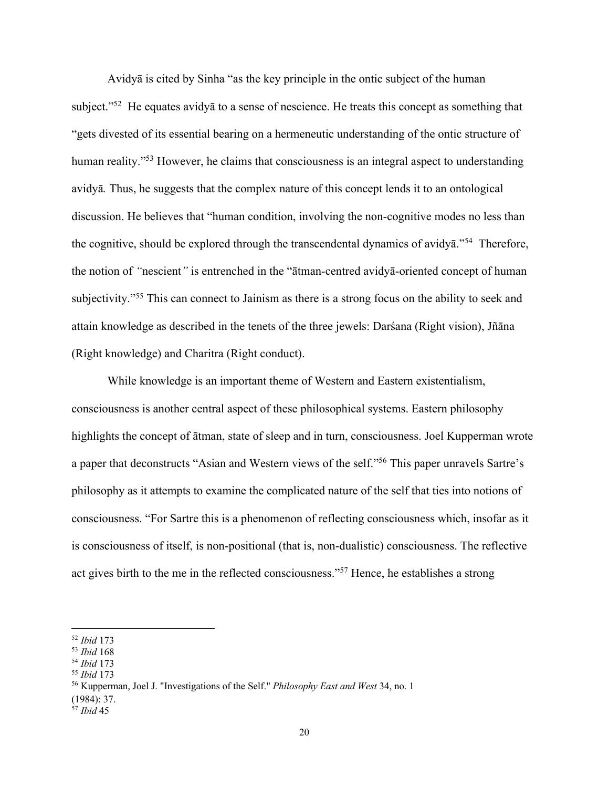Avidyā is cited by Sinha "as the key principle in the ontic subject of the human subject."<sup>52</sup> He equates avidya to a sense of nescience. He treats this concept as something that "gets divested of its essential bearing on a hermeneutic understanding of the ontic structure of human reality."<sup>53</sup> However, he claims that consciousness is an integral aspect to understanding avidyā*.* Thus, he suggests that the complex nature of this concept lends it to an ontological discussion. He believes that "human condition, involving the non-cognitive modes no less than the cognitive, should be explored through the transcendental dynamics of avidyā."54 Therefore, the notion of *"*nescient*"* is entrenched in the "ātman*-*centred avidyā-oriented concept of human subjectivity."<sup>55</sup> This can connect to Jainism as there is a strong focus on the ability to seek and attain knowledge as described in the tenets of the three jewels: Darśana (Right vision), Jñāna (Right knowledge) and Charitra (Right conduct).

While knowledge is an important theme of Western and Eastern existentialism, consciousness is another central aspect of these philosophical systems. Eastern philosophy highlights the concept of ātman, state of sleep and in turn, consciousness. Joel Kupperman wrote a paper that deconstructs "Asian and Western views of the self."56 This paper unravels Sartre's philosophy as it attempts to examine the complicated nature of the self that ties into notions of consciousness. "For Sartre this is a phenomenon of reflecting consciousness which, insofar as it is consciousness of itself, is non-positional (that is, non-dualistic) consciousness. The reflective act gives birth to the me in the reflected consciousness."57 Hence, he establishes a strong

<sup>52</sup> *Ibid* 173

<sup>53</sup> *Ibid* 168

<sup>54</sup> *Ibid* 173

<sup>55</sup> *Ibid* 173

<sup>56</sup> Kupperman, Joel J. "Investigations of the Self." *Philosophy East and West* 34, no. 1

<sup>(1984): 37.</sup>

<sup>57</sup> *Ibid* 45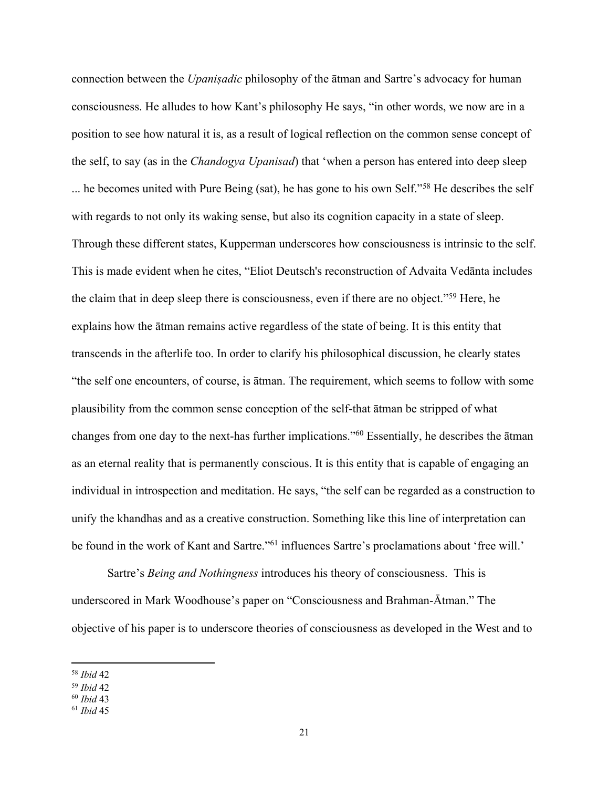connection between the *Upaniṣadic* philosophy of the ātman and Sartre's advocacy for human consciousness. He alludes to how Kant's philosophy He says, "in other words, we now are in a position to see how natural it is, as a result of logical reflection on the common sense concept of the self, to say (as in the *Chandogya Upanisad*) that 'when a person has entered into deep sleep ... he becomes united with Pure Being (sat), he has gone to his own Self."58 He describes the self with regards to not only its waking sense, but also its cognition capacity in a state of sleep. Through these different states, Kupperman underscores how consciousness is intrinsic to the self. This is made evident when he cites, "Eliot Deutsch's reconstruction of Advaita Vedānta includes the claim that in deep sleep there is consciousness, even if there are no object."59 Here, he explains how the ātman remains active regardless of the state of being. It is this entity that transcends in the afterlife too. In order to clarify his philosophical discussion, he clearly states "the self one encounters, of course, is ātman. The requirement, which seems to follow with some plausibility from the common sense conception of the self-that ātman be stripped of what changes from one day to the next-has further implications."60 Essentially, he describes the ātman as an eternal reality that is permanently conscious. It is this entity that is capable of engaging an individual in introspection and meditation. He says, "the self can be regarded as a construction to unify the khandhas and as a creative construction. Something like this line of interpretation can be found in the work of Kant and Sartre."<sup>61</sup> influences Sartre's proclamations about 'free will.'

Sartre's *Being and Nothingness* introduces his theory of consciousness. This is underscored in Mark Woodhouse's paper on "Consciousness and Brahman-Ātman." The objective of his paper is to underscore theories of consciousness as developed in the West and to

<sup>58</sup> *Ibid* 42

<sup>59</sup> *Ibid* 42

<sup>60</sup> *Ibid* 43

<sup>61</sup> *Ibid* 45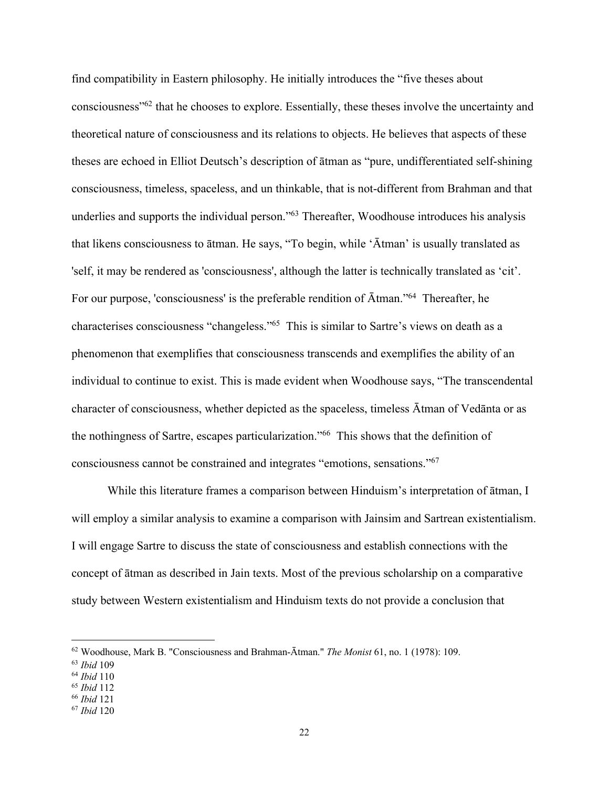find compatibility in Eastern philosophy. He initially introduces the "five theses about consciousness"62 that he chooses to explore. Essentially, these theses involve the uncertainty and theoretical nature of consciousness and its relations to objects. He believes that aspects of these theses are echoed in Elliot Deutsch's description of ātman as "pure, undifferentiated self-shining consciousness, timeless, spaceless, and un thinkable, that is not-different from Brahman and that underlies and supports the individual person."<sup>63</sup> Thereafter, Woodhouse introduces his analysis that likens consciousness to ātman. He says, "To begin, while 'Ātman' is usually translated as 'self, it may be rendered as 'consciousness', although the latter is technically translated as 'cit'. For our purpose, 'consciousness' is the preferable rendition of Ātman."64 Thereafter, he characterises consciousness "changeless."65 This is similar to Sartre's views on death as a phenomenon that exemplifies that consciousness transcends and exemplifies the ability of an individual to continue to exist. This is made evident when Woodhouse says, "The transcendental character of consciousness, whether depicted as the spaceless, timeless Ātman of Vedānta or as the nothingness of Sartre, escapes particularization."66 This shows that the definition of consciousness cannot be constrained and integrates "emotions, sensations."67

While this literature frames a comparison between Hinduism's interpretation of ātman, I will employ a similar analysis to examine a comparison with Jainsim and Sartrean existentialism. I will engage Sartre to discuss the state of consciousness and establish connections with the concept of ātman as described in Jain texts. Most of the previous scholarship on a comparative study between Western existentialism and Hinduism texts do not provide a conclusion that

<sup>62</sup> Woodhouse, Mark B. "Consciousness and Brahman-Ātman." *The Monist* 61, no. 1 (1978): 109.

<sup>63</sup> *Ibid* 109

<sup>64</sup> *Ibid* 110

<sup>65</sup> *Ibid* 112

<sup>66</sup> *Ibid* 121

<sup>67</sup> *Ibid* 120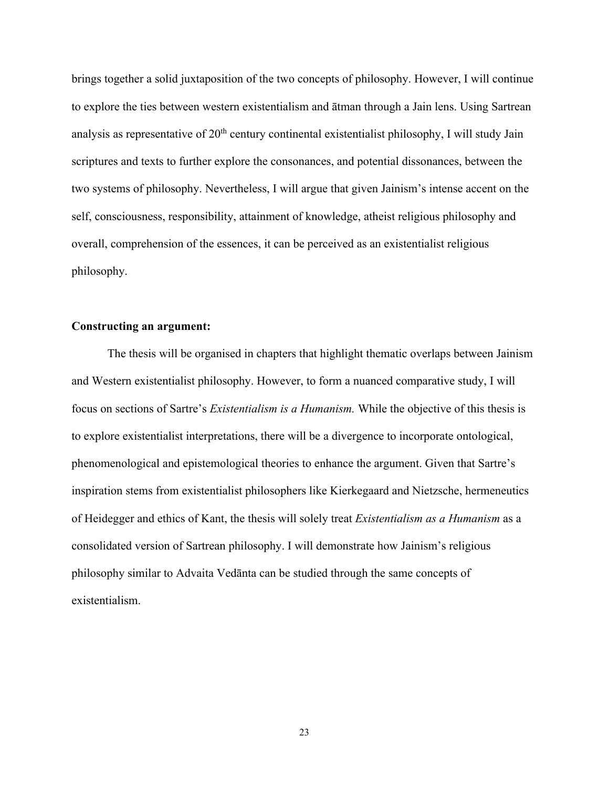brings together a solid juxtaposition of the two concepts of philosophy. However, I will continue to explore the ties between western existentialism and ātman through a Jain lens. Using Sartrean analysis as representative of 20<sup>th</sup> century continental existentialist philosophy, I will study Jain scriptures and texts to further explore the consonances, and potential dissonances, between the two systems of philosophy. Nevertheless, I will argue that given Jainism's intense accent on the self, consciousness, responsibility, attainment of knowledge, atheist religious philosophy and overall, comprehension of the essences, it can be perceived as an existentialist religious philosophy.

## **Constructing an argument:**

The thesis will be organised in chapters that highlight thematic overlaps between Jainism and Western existentialist philosophy. However, to form a nuanced comparative study, I will focus on sections of Sartre's *Existentialism is a Humanism.* While the objective of this thesis is to explore existentialist interpretations, there will be a divergence to incorporate ontological, phenomenological and epistemological theories to enhance the argument. Given that Sartre's inspiration stems from existentialist philosophers like Kierkegaard and Nietzsche, hermeneutics of Heidegger and ethics of Kant, the thesis will solely treat *Existentialism as a Humanism* as a consolidated version of Sartrean philosophy. I will demonstrate how Jainism's religious philosophy similar to Advaita Vedānta can be studied through the same concepts of existentialism.

23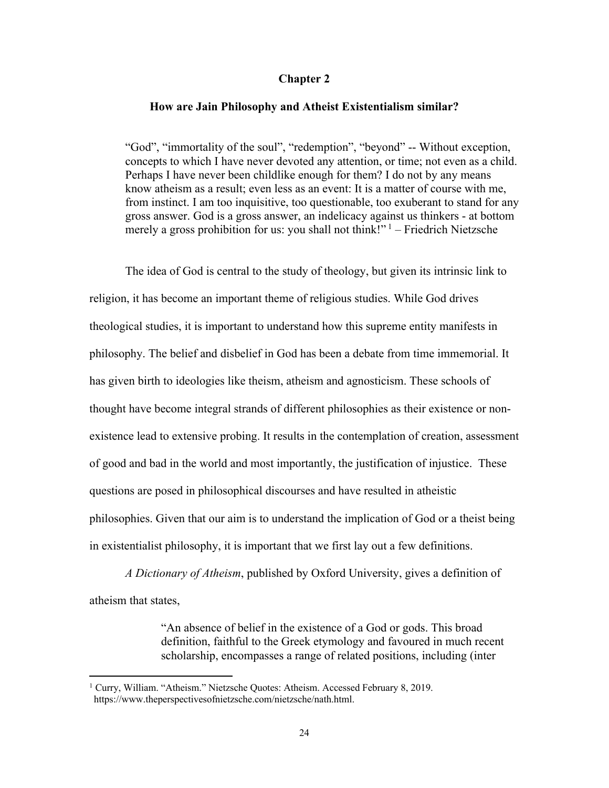## **Chapter 2**

### **How are Jain Philosophy and Atheist Existentialism similar?**

"God", "immortality of the soul", "redemption", "beyond" -- Without exception, concepts to which I have never devoted any attention, or time; not even as a child. Perhaps I have never been childlike enough for them? I do not by any means know atheism as a result; even less as an event: It is a matter of course with me, from instinct. I am too inquisitive, too questionable, too exuberant to stand for any gross answer. God is a gross answer, an indelicacy against us thinkers - at bottom merely a gross prohibition for us: you shall not think!"  $1 -$  Friedrich Nietzsche

The idea of God is central to the study of theology, but given its intrinsic link to religion, it has become an important theme of religious studies. While God drives theological studies, it is important to understand how this supreme entity manifests in philosophy. The belief and disbelief in God has been a debate from time immemorial. It has given birth to ideologies like theism, atheism and agnosticism. These schools of thought have become integral strands of different philosophies as their existence or nonexistence lead to extensive probing. It results in the contemplation of creation, assessment of good and bad in the world and most importantly, the justification of injustice. These questions are posed in philosophical discourses and have resulted in atheistic philosophies. Given that our aim is to understand the implication of God or a theist being in existentialist philosophy, it is important that we first lay out a few definitions.

*A Dictionary of Atheism*, published by Oxford University, gives a definition of atheism that states,

> "An absence of belief in the existence of a God or gods. This broad definition, faithful to the Greek etymology and favoured in much recent scholarship, encompasses a range of related positions, including (inter

<sup>&</sup>lt;sup>1</sup> Curry, William. "Atheism." Nietzsche Quotes: Atheism. Accessed February 8, 2019. https://www.theperspectivesofnietzsche.com/nietzsche/nath.html.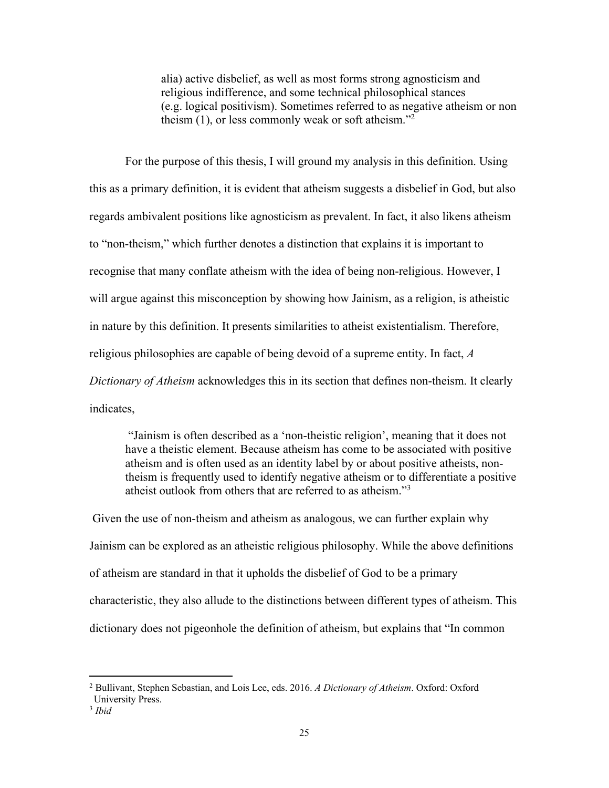alia) active disbelief, as well as most forms strong agnosticism and religious indifference, and some technical philosophical stances (e.g. logical positivism). Sometimes referred to as negative atheism or non theism  $(1)$ , or less commonly weak or soft atheism."<sup>2</sup>

For the purpose of this thesis, I will ground my analysis in this definition. Using this as a primary definition, it is evident that atheism suggests a disbelief in God, but also regards ambivalent positions like agnosticism as prevalent. In fact, it also likens atheism to "non-theism," which further denotes a distinction that explains it is important to recognise that many conflate atheism with the idea of being non-religious. However, I will argue against this misconception by showing how Jainism, as a religion, is atheistic in nature by this definition. It presents similarities to atheist existentialism. Therefore, religious philosophies are capable of being devoid of a supreme entity. In fact, *A Dictionary of Atheism* acknowledges this in its section that defines non-theism. It clearly indicates,

"Jainism is often described as a 'non-theistic religion', meaning that it does not have a theistic element. Because atheism has come to be associated with positive atheism and is often used as an identity label by or about positive atheists, nontheism is frequently used to identify negative atheism or to differentiate a positive atheist outlook from others that are referred to as atheism."3

Given the use of non-theism and atheism as analogous, we can further explain why Jainism can be explored as an atheistic religious philosophy. While the above definitions of atheism are standard in that it upholds the disbelief of God to be a primary characteristic, they also allude to the distinctions between different types of atheism. This dictionary does not pigeonhole the definition of atheism, but explains that "In common

<sup>2</sup> Bullivant, Stephen Sebastian, and Lois Lee, eds. 2016. *A Dictionary of Atheism*. Oxford: Oxford University Press.

<sup>3</sup> *Ibid*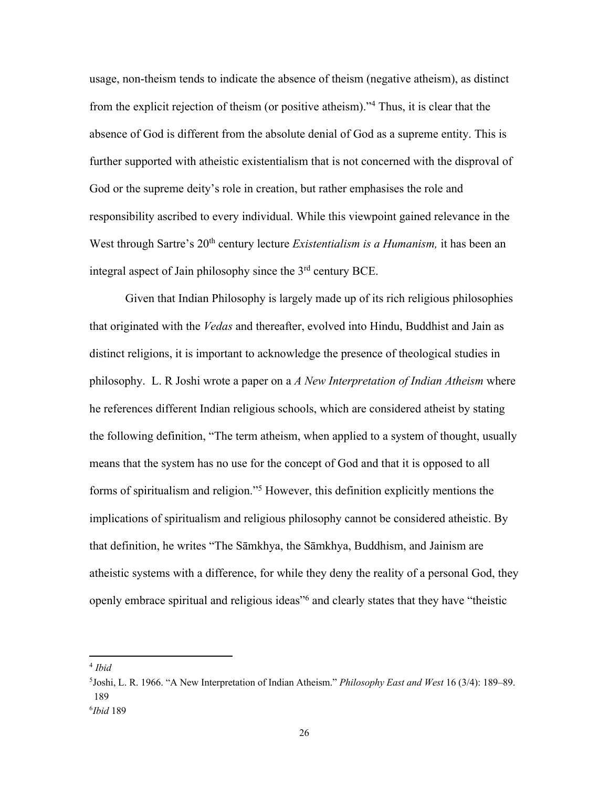usage, non-theism tends to indicate the absence of theism (negative atheism), as distinct from the explicit rejection of theism (or positive atheism)."4 Thus, it is clear that the absence of God is different from the absolute denial of God as a supreme entity. This is further supported with atheistic existentialism that is not concerned with the disproval of God or the supreme deity's role in creation, but rather emphasises the role and responsibility ascribed to every individual. While this viewpoint gained relevance in the West through Sartre's 20<sup>th</sup> century lecture *Existentialism is a Humanism*, it has been an integral aspect of Jain philosophy since the  $3<sup>rd</sup>$  century BCE.

Given that Indian Philosophy is largely made up of its rich religious philosophies that originated with the *Vedas* and thereafter, evolved into Hindu, Buddhist and Jain as distinct religions, it is important to acknowledge the presence of theological studies in philosophy. L. R Joshi wrote a paper on a *A New Interpretation of Indian Atheism* where he references different Indian religious schools, which are considered atheist by stating the following definition, "The term atheism, when applied to a system of thought, usually means that the system has no use for the concept of God and that it is opposed to all forms of spiritualism and religion."5 However, this definition explicitly mentions the implications of spiritualism and religious philosophy cannot be considered atheistic. By that definition, he writes "The Sāmkhya, the Sāmkhya, Buddhism, and Jainism are atheistic systems with a difference, for while they deny the reality of a personal God, they openly embrace spiritual and religious ideas"6 and clearly states that they have "theistic

<sup>4</sup> *Ibid*

<sup>5</sup> Joshi, L. R. 1966. "A New Interpretation of Indian Atheism." *Philosophy East and West* 16 (3/4): 189–89. 189

<sup>6</sup> *Ibid* 189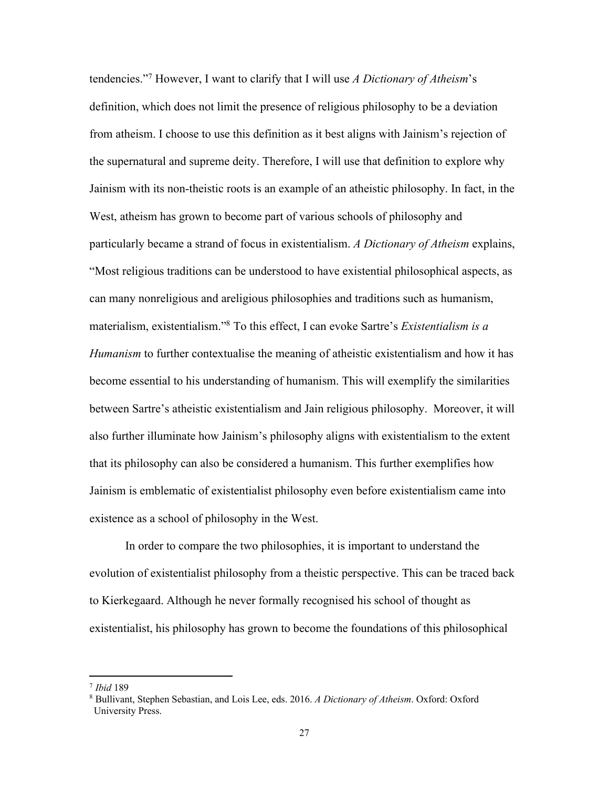tendencies."7 However, I want to clarify that I will use *A Dictionary of Atheism*'s definition, which does not limit the presence of religious philosophy to be a deviation from atheism. I choose to use this definition as it best aligns with Jainism's rejection of the supernatural and supreme deity. Therefore, I will use that definition to explore why Jainism with its non-theistic roots is an example of an atheistic philosophy. In fact, in the West, atheism has grown to become part of various schools of philosophy and particularly became a strand of focus in existentialism. *A Dictionary of Atheism* explains, "Most religious traditions can be understood to have existential philosophical aspects, as can many nonreligious and areligious philosophies and traditions such as humanism, materialism, existentialism."8 To this effect, I can evoke Sartre's *Existentialism is a Humanism* to further contextualise the meaning of atheistic existentialism and how it has become essential to his understanding of humanism. This will exemplify the similarities between Sartre's atheistic existentialism and Jain religious philosophy. Moreover, it will also further illuminate how Jainism's philosophy aligns with existentialism to the extent that its philosophy can also be considered a humanism. This further exemplifies how Jainism is emblematic of existentialist philosophy even before existentialism came into existence as a school of philosophy in the West.

In order to compare the two philosophies, it is important to understand the evolution of existentialist philosophy from a theistic perspective. This can be traced back to Kierkegaard. Although he never formally recognised his school of thought as existentialist, his philosophy has grown to become the foundations of this philosophical

<sup>7</sup> *Ibid* 189

<sup>8</sup> Bullivant, Stephen Sebastian, and Lois Lee, eds. 2016. *A Dictionary of Atheism*. Oxford: Oxford University Press.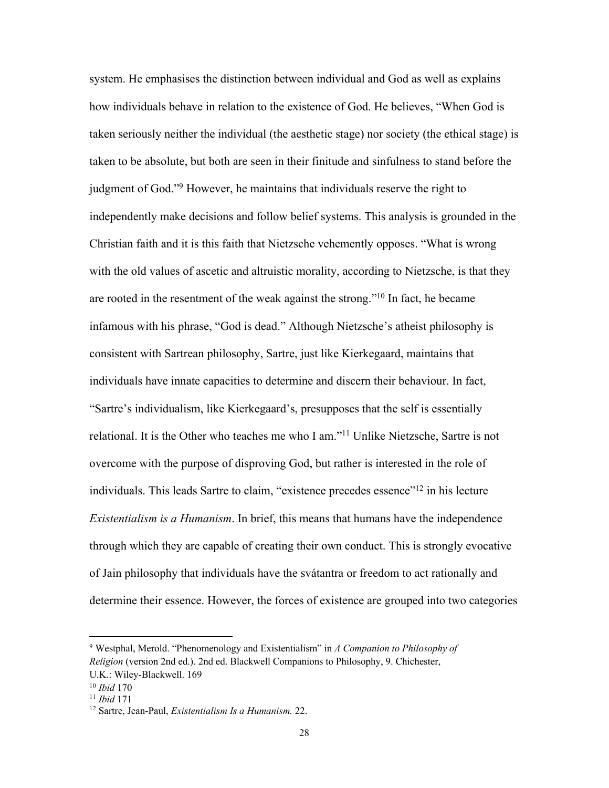system. He emphasises the distinction between individual and God as well as explains how individuals behave in relation to the existence of God. He believes, "When God is taken seriously neither the individual (the aesthetic stage) nor society (the ethical stage) is taken to be absolute, but both are seen in their finitude and sinfulness to stand before the judgment of God."9 However, he maintains that individuals reserve the right to independently make decisions and follow belief systems. This analysis is grounded in the Christian faith and it is this faith that Nietzsche vehemently opposes. "What is wrong with the old values of ascetic and altruistic morality, according to Nietzsche, is that they are rooted in the resentment of the weak against the strong."<sup>10</sup> In fact, he became infamous with his phrase, "God is dead." Although Nietzsche's atheist philosophy is consistent with Sartrean philosophy, Sartre, just like Kierkegaard, maintains that individuals have innate capacities to determine and discern their behaviour. In fact, "Sartre's individualism, like Kierkegaard's, presupposes that the self is essentially relational. It is the Other who teaches me who I am."11 Unlike Nietzsche, Sartre is not overcome with the purpose of disproving God, but rather is interested in the role of individuals. This leads Sartre to claim, "existence precedes essence"<sup>12</sup> in his lecture *Existentialism is a Humanism*. In brief, this means that humans have the independence through which they are capable of creating their own conduct. This is strongly evocative of Jain philosophy that individuals have the svátantra or freedom to act rationally and determine their essence. However, the forces of existence are grouped into two categories

<sup>9</sup> Westphal, Merold. "Phenomenology and Existentialism" in *A Companion to Philosophy of Religion* (version 2nd ed.). 2nd ed. Blackwell Companions to Philosophy, 9. Chichester,

U.K.: Wiley-Blackwell. 169

<sup>10</sup> *Ibid* 170

<sup>11</sup> *Ibid* 171

<sup>12</sup> Sartre, Jean-Paul, *Existentialism Is a Humanism.* 22.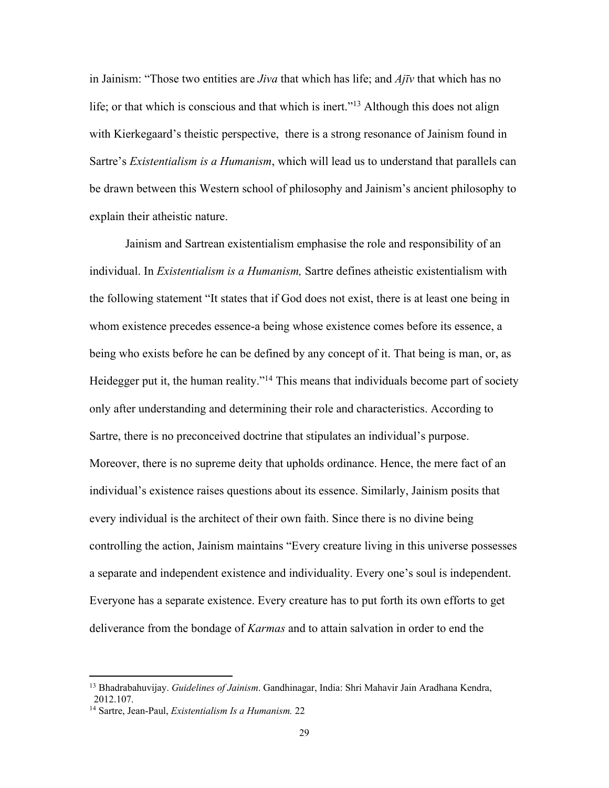in Jainism: "Those two entities are *Jiva* that which has life; and *Ajīv* that which has no life; or that which is conscious and that which is inert."<sup>13</sup> Although this does not align with Kierkegaard's theistic perspective, there is a strong resonance of Jainism found in Sartre's *Existentialism is a Humanism*, which will lead us to understand that parallels can be drawn between this Western school of philosophy and Jainism's ancient philosophy to explain their atheistic nature.

Jainism and Sartrean existentialism emphasise the role and responsibility of an individual. In *Existentialism is a Humanism,* Sartre defines atheistic existentialism with the following statement "It states that if God does not exist, there is at least one being in whom existence precedes essence-a being whose existence comes before its essence, a being who exists before he can be defined by any concept of it. That being is man, or, as Heidegger put it, the human reality."<sup>14</sup> This means that individuals become part of society only after understanding and determining their role and characteristics. According to Sartre, there is no preconceived doctrine that stipulates an individual's purpose. Moreover, there is no supreme deity that upholds ordinance. Hence, the mere fact of an individual's existence raises questions about its essence. Similarly, Jainism posits that every individual is the architect of their own faith. Since there is no divine being controlling the action, Jainism maintains "Every creature living in this universe possesses a separate and independent existence and individuality. Every one's soul is independent. Everyone has a separate existence. Every creature has to put forth its own efforts to get deliverance from the bondage of *Karmas* and to attain salvation in order to end the

<sup>13</sup> Bhadrabahuvijay. *Guidelines of Jainism*. Gandhinagar, India: Shri Mahavir Jain Aradhana Kendra, 2012.107.

<sup>14</sup> Sartre, Jean-Paul, *Existentialism Is a Humanism.* 22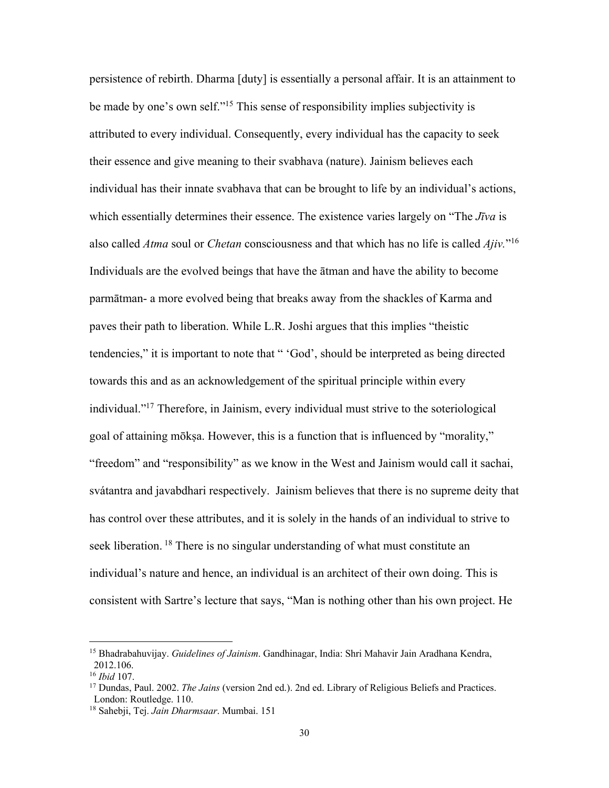persistence of rebirth. Dharma [duty] is essentially a personal affair. It is an attainment to be made by one's own self."15 This sense of responsibility implies subjectivity is attributed to every individual. Consequently, every individual has the capacity to seek their essence and give meaning to their svabhava (nature). Jainism believes each individual has their innate svabhava that can be brought to life by an individual's actions, which essentially determines their essence. The existence varies largely on "The *Jīva* is also called *Atma* soul or *Chetan* consciousness and that which has no life is called *Ajiv.*"16 Individuals are the evolved beings that have the ātman and have the ability to become parmātman- a more evolved being that breaks away from the shackles of Karma and paves their path to liberation. While L.R. Joshi argues that this implies "theistic tendencies," it is important to note that " 'God', should be interpreted as being directed towards this and as an acknowledgement of the spiritual principle within every individual."17 Therefore, in Jainism, every individual must strive to the soteriological goal of attaining mōkṣa. However, this is a function that is influenced by "morality," "freedom" and "responsibility" as we know in the West and Jainism would call it sachai, svátantra and javabdhari respectively. Jainism believes that there is no supreme deity that has control over these attributes, and it is solely in the hands of an individual to strive to seek liberation. <sup>18</sup> There is no singular understanding of what must constitute an individual's nature and hence, an individual is an architect of their own doing. This is consistent with Sartre's lecture that says, "Man is nothing other than his own project. He

<sup>15</sup> Bhadrabahuvijay. *Guidelines of Jainism*. Gandhinagar, India: Shri Mahavir Jain Aradhana Kendra, 2012.106.

<sup>16</sup> *Ibid* 107.

<sup>&</sup>lt;sup>17</sup> Dundas, Paul. 2002. *The Jains* (version 2nd ed.). 2nd ed. Library of Religious Beliefs and Practices. London: Routledge. 110.

<sup>18</sup> Sahebji, Tej. *Jain Dharmsaar*. Mumbai. 151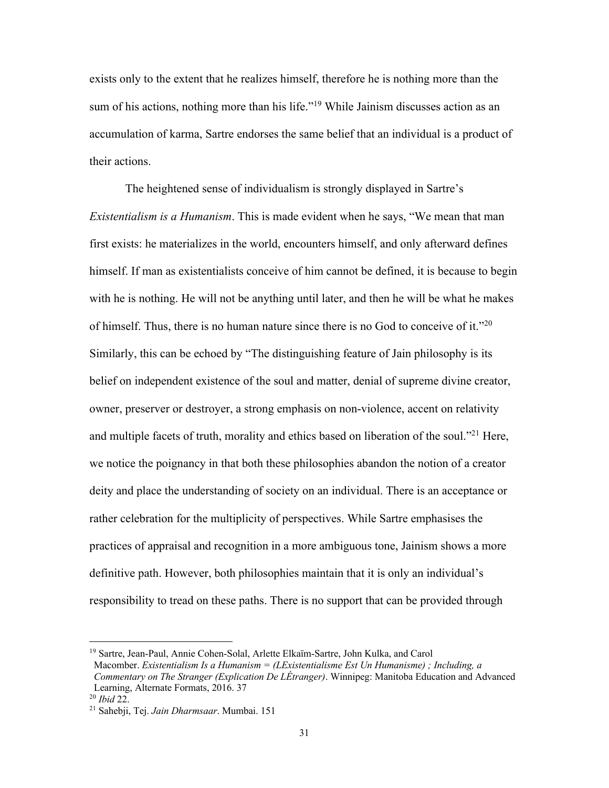exists only to the extent that he realizes himself, therefore he is nothing more than the sum of his actions, nothing more than his life."<sup>19</sup> While Jainism discusses action as an accumulation of karma, Sartre endorses the same belief that an individual is a product of their actions.

The heightened sense of individualism is strongly displayed in Sartre's *Existentialism is a Humanism*. This is made evident when he says, "We mean that man first exists: he materializes in the world, encounters himself, and only afterward defines himself. If man as existentialists conceive of him cannot be defined, it is because to begin with he is nothing. He will not be anything until later, and then he will be what he makes of himself. Thus, there is no human nature since there is no God to conceive of it."20 Similarly, this can be echoed by "The distinguishing feature of Jain philosophy is its belief on independent existence of the soul and matter, denial of supreme divine creator, owner, preserver or destroyer, a strong emphasis on non-violence, accent on relativity and multiple facets of truth, morality and ethics based on liberation of the soul."21 Here, we notice the poignancy in that both these philosophies abandon the notion of a creator deity and place the understanding of society on an individual. There is an acceptance or rather celebration for the multiplicity of perspectives. While Sartre emphasises the practices of appraisal and recognition in a more ambiguous tone, Jainism shows a more definitive path. However, both philosophies maintain that it is only an individual's responsibility to tread on these paths. There is no support that can be provided through

<sup>&</sup>lt;sup>19</sup> Sartre, Jean-Paul, Annie Cohen-Solal, Arlette Elkaïm-Sartre, John Kulka, and Carol Macomber. *Existentialism Is a Humanism = (LExistentialisme Est Un Humanisme) ; Including, a Commentary on The Stranger (Explication De LÉtranger)*. Winnipeg: Manitoba Education and Advanced Learning, Alternate Formats, 2016. 37

<sup>20</sup> *Ibid* 22.

<sup>21</sup> Sahebji, Tej. *Jain Dharmsaar*. Mumbai. 151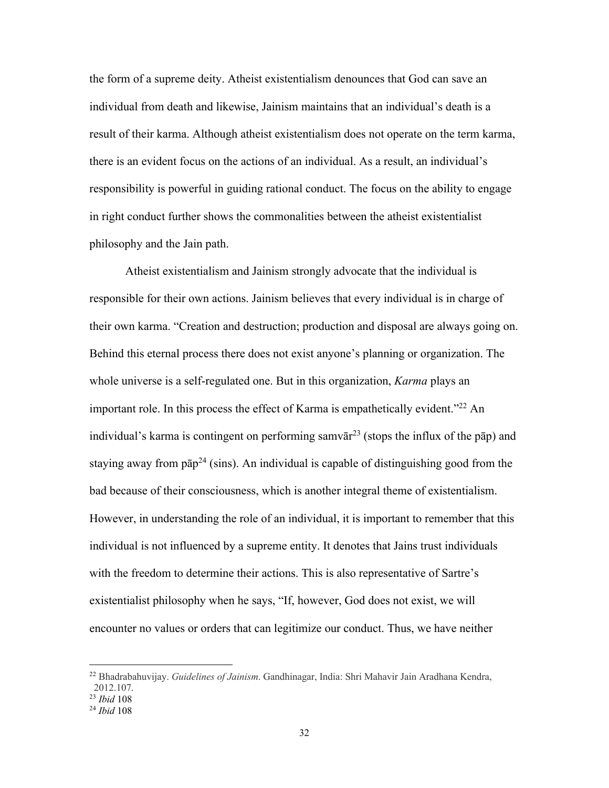the form of a supreme deity. Atheist existentialism denounces that God can save an individual from death and likewise, Jainism maintains that an individual's death is a result of their karma. Although atheist existentialism does not operate on the term karma, there is an evident focus on the actions of an individual. As a result, an individual's responsibility is powerful in guiding rational conduct. The focus on the ability to engage in right conduct further shows the commonalities between the atheist existentialist philosophy and the Jain path.

Atheist existentialism and Jainism strongly advocate that the individual is responsible for their own actions. Jainism believes that every individual is in charge of their own karma. "Creation and destruction; production and disposal are always going on. Behind this eternal process there does not exist anyone's planning or organization. The whole universe is a self-regulated one. But in this organization, *Karma* plays an important role. In this process the effect of Karma is empathetically evident."<sup>22</sup> An individual's karma is contingent on performing samvār<sup>23</sup> (stops the influx of the pap) and staying away from  $p\bar{a}p^{24}$  (sins). An individual is capable of distinguishing good from the bad because of their consciousness, which is another integral theme of existentialism. However, in understanding the role of an individual, it is important to remember that this individual is not influenced by a supreme entity. It denotes that Jains trust individuals with the freedom to determine their actions. This is also representative of Sartre's existentialist philosophy when he says, "If, however, God does not exist, we will encounter no values or orders that can legitimize our conduct. Thus, we have neither

<sup>22</sup> Bhadrabahuvijay. *Guidelines of Jainism*. Gandhinagar, India: Shri Mahavir Jain Aradhana Kendra, 2012.107.

<sup>23</sup> *Ibid* 108

<sup>24</sup> *Ibid* 108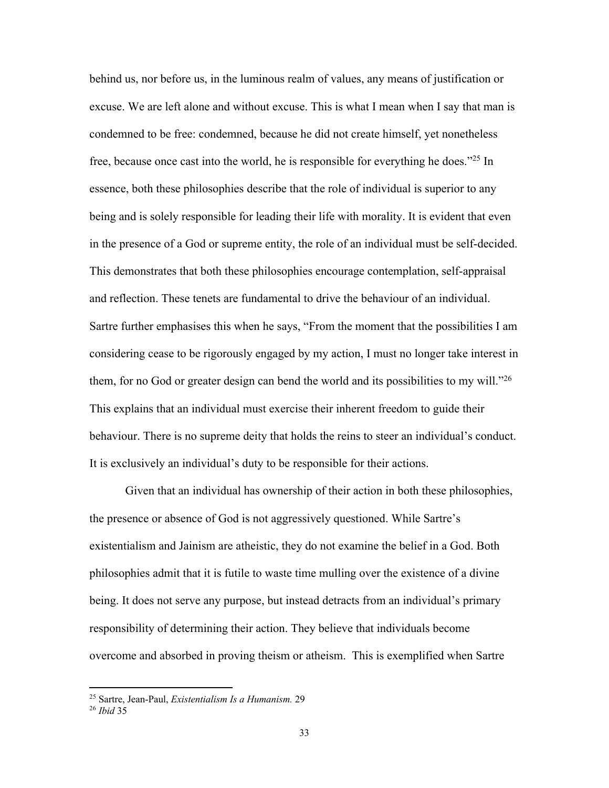behind us, nor before us, in the luminous realm of values, any means of justification or excuse. We are left alone and without excuse. This is what I mean when I say that man is condemned to be free: condemned, because he did not create himself, yet nonetheless free, because once cast into the world, he is responsible for everything he does."25 In essence, both these philosophies describe that the role of individual is superior to any being and is solely responsible for leading their life with morality. It is evident that even in the presence of a God or supreme entity, the role of an individual must be self-decided. This demonstrates that both these philosophies encourage contemplation, self-appraisal and reflection. These tenets are fundamental to drive the behaviour of an individual. Sartre further emphasises this when he says, "From the moment that the possibilities I am considering cease to be rigorously engaged by my action, I must no longer take interest in them, for no God or greater design can bend the world and its possibilities to my will.<sup>"26</sup> This explains that an individual must exercise their inherent freedom to guide their behaviour. There is no supreme deity that holds the reins to steer an individual's conduct. It is exclusively an individual's duty to be responsible for their actions.

Given that an individual has ownership of their action in both these philosophies, the presence or absence of God is not aggressively questioned. While Sartre's existentialism and Jainism are atheistic, they do not examine the belief in a God. Both philosophies admit that it is futile to waste time mulling over the existence of a divine being. It does not serve any purpose, but instead detracts from an individual's primary responsibility of determining their action. They believe that individuals become overcome and absorbed in proving theism or atheism. This is exemplified when Sartre

<sup>25</sup> Sartre, Jean-Paul, *Existentialism Is a Humanism.* 29

<sup>26</sup> *Ibid* 35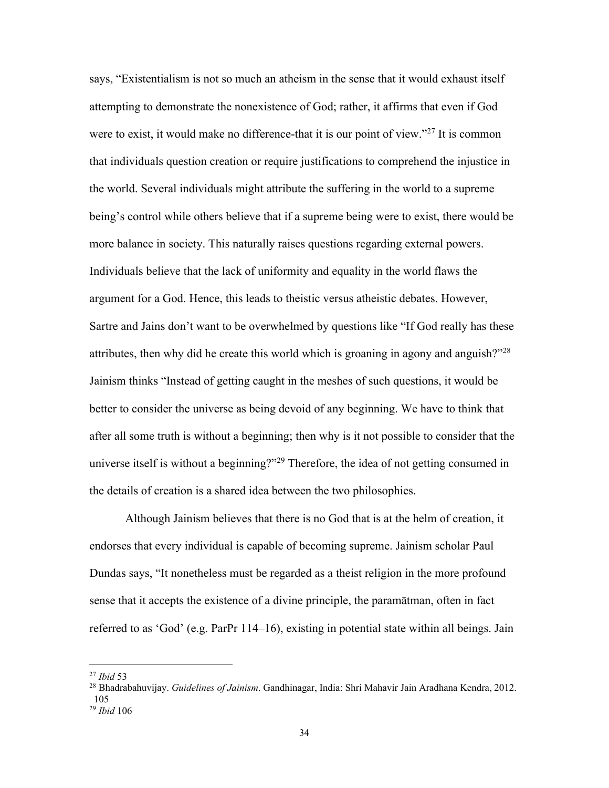says, "Existentialism is not so much an atheism in the sense that it would exhaust itself attempting to demonstrate the nonexistence of God; rather, it affirms that even if God were to exist, it would make no difference-that it is our point of view."<sup>27</sup> It is common that individuals question creation or require justifications to comprehend the injustice in the world. Several individuals might attribute the suffering in the world to a supreme being's control while others believe that if a supreme being were to exist, there would be more balance in society. This naturally raises questions regarding external powers. Individuals believe that the lack of uniformity and equality in the world flaws the argument for a God. Hence, this leads to theistic versus atheistic debates. However, Sartre and Jains don't want to be overwhelmed by questions like "If God really has these attributes, then why did he create this world which is groaning in agony and anguish?"<sup>28</sup> Jainism thinks "Instead of getting caught in the meshes of such questions, it would be better to consider the universe as being devoid of any beginning. We have to think that after all some truth is without a beginning; then why is it not possible to consider that the universe itself is without a beginning?"<sup>29</sup> Therefore, the idea of not getting consumed in the details of creation is a shared idea between the two philosophies.

Although Jainism believes that there is no God that is at the helm of creation, it endorses that every individual is capable of becoming supreme. Jainism scholar Paul Dundas says, "It nonetheless must be regarded as a theist religion in the more profound sense that it accepts the existence of a divine principle, the paramātman, often in fact referred to as 'God' (e.g. ParPr 114–16), existing in potential state within all beings. Jain

<sup>27</sup> *Ibid* 53

<sup>28</sup> Bhadrabahuvijay. *Guidelines of Jainism*. Gandhinagar, India: Shri Mahavir Jain Aradhana Kendra, 2012. 105

<sup>29</sup> *Ibid* 106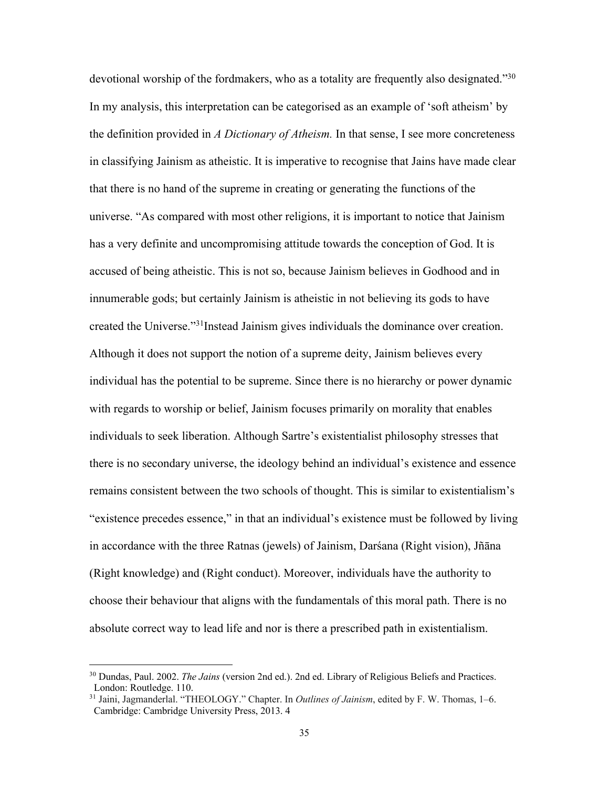devotional worship of the fordmakers, who as a totality are frequently also designated."<sup>30</sup> In my analysis, this interpretation can be categorised as an example of 'soft atheism' by the definition provided in *A Dictionary of Atheism.* In that sense, I see more concreteness in classifying Jainism as atheistic. It is imperative to recognise that Jains have made clear that there is no hand of the supreme in creating or generating the functions of the universe. "As compared with most other religions, it is important to notice that Jainism has a very definite and uncompromising attitude towards the conception of God. It is accused of being atheistic. This is not so, because Jainism believes in Godhood and in innumerable gods; but certainly Jainism is atheistic in not believing its gods to have created the Universe."31Instead Jainism gives individuals the dominance over creation. Although it does not support the notion of a supreme deity, Jainism believes every individual has the potential to be supreme. Since there is no hierarchy or power dynamic with regards to worship or belief, Jainism focuses primarily on morality that enables individuals to seek liberation. Although Sartre's existentialist philosophy stresses that there is no secondary universe, the ideology behind an individual's existence and essence remains consistent between the two schools of thought. This is similar to existentialism's "existence precedes essence," in that an individual's existence must be followed by living in accordance with the three Ratnas (jewels) of Jainism, Darśana (Right vision), Jñāna (Right knowledge) and (Right conduct). Moreover, individuals have the authority to choose their behaviour that aligns with the fundamentals of this moral path. There is no absolute correct way to lead life and nor is there a prescribed path in existentialism.

<sup>30</sup> Dundas, Paul. 2002. *The Jains* (version 2nd ed.). 2nd ed. Library of Religious Beliefs and Practices. London: Routledge. 110.

<sup>31</sup> Jaini, Jagmanderlal. "THEOLOGY." Chapter. In *Outlines of Jainism*, edited by F. W. Thomas, 1–6. Cambridge: Cambridge University Press, 2013. 4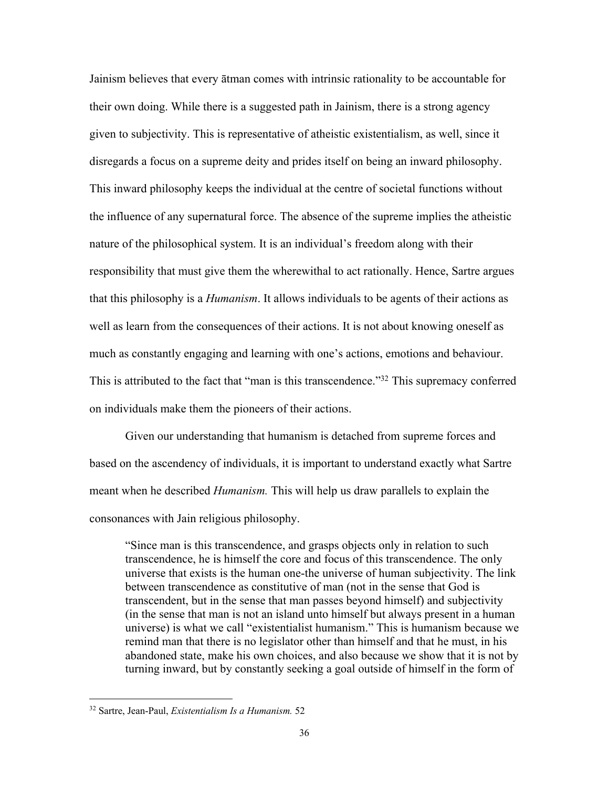Jainism believes that every ātman comes with intrinsic rationality to be accountable for their own doing. While there is a suggested path in Jainism, there is a strong agency given to subjectivity. This is representative of atheistic existentialism, as well, since it disregards a focus on a supreme deity and prides itself on being an inward philosophy. This inward philosophy keeps the individual at the centre of societal functions without the influence of any supernatural force. The absence of the supreme implies the atheistic nature of the philosophical system. It is an individual's freedom along with their responsibility that must give them the wherewithal to act rationally. Hence, Sartre argues that this philosophy is a *Humanism*. It allows individuals to be agents of their actions as well as learn from the consequences of their actions. It is not about knowing oneself as much as constantly engaging and learning with one's actions, emotions and behaviour. This is attributed to the fact that "man is this transcendence."<sup>32</sup> This supremacy conferred on individuals make them the pioneers of their actions.

Given our understanding that humanism is detached from supreme forces and based on the ascendency of individuals, it is important to understand exactly what Sartre meant when he described *Humanism.* This will help us draw parallels to explain the consonances with Jain religious philosophy.

"Since man is this transcendence, and grasps objects only in relation to such transcendence, he is himself the core and focus of this transcendence. The only universe that exists is the human one-the universe of human subjectivity. The link between transcendence as constitutive of man (not in the sense that God is transcendent, but in the sense that man passes beyond himself) and subjectivity (in the sense that man is not an island unto himself but always present in a human universe) is what we call "existentialist humanism." This is humanism because we remind man that there is no legislator other than himself and that he must, in his abandoned state, make his own choices, and also because we show that it is not by turning inward, but by constantly seeking a goal outside of himself in the form of

<sup>32</sup> Sartre, Jean-Paul, *Existentialism Is a Humanism.* 52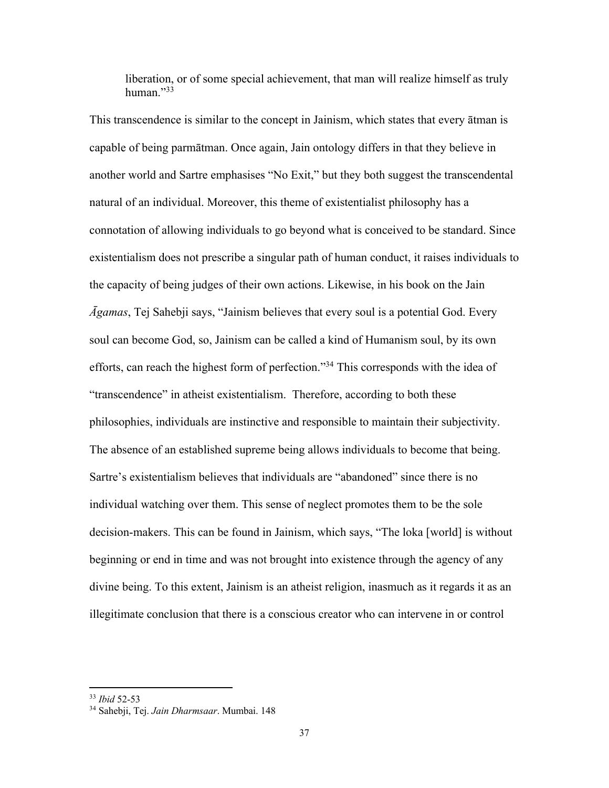liberation, or of some special achievement, that man will realize himself as truly human<sup>"33</sup>

This transcendence is similar to the concept in Jainism, which states that every ātman is capable of being parmātman. Once again, Jain ontology differs in that they believe in another world and Sartre emphasises "No Exit," but they both suggest the transcendental natural of an individual. Moreover, this theme of existentialist philosophy has a connotation of allowing individuals to go beyond what is conceived to be standard. Since existentialism does not prescribe a singular path of human conduct, it raises individuals to the capacity of being judges of their own actions. Likewise, in his book on the Jain *Āgamas*, Tej Sahebji says, "Jainism believes that every soul is a potential God. Every soul can become God, so, Jainism can be called a kind of Humanism soul, by its own efforts, can reach the highest form of perfection."34 This corresponds with the idea of "transcendence" in atheist existentialism. Therefore, according to both these philosophies, individuals are instinctive and responsible to maintain their subjectivity. The absence of an established supreme being allows individuals to become that being. Sartre's existentialism believes that individuals are "abandoned" since there is no individual watching over them. This sense of neglect promotes them to be the sole decision-makers. This can be found in Jainism, which says, "The loka [world] is without beginning or end in time and was not brought into existence through the agency of any divine being. To this extent, Jainism is an atheist religion, inasmuch as it regards it as an illegitimate conclusion that there is a conscious creator who can intervene in or control

<sup>33</sup> *Ibid* 52-53

<sup>34</sup> Sahebji, Tej. *Jain Dharmsaar*. Mumbai. 148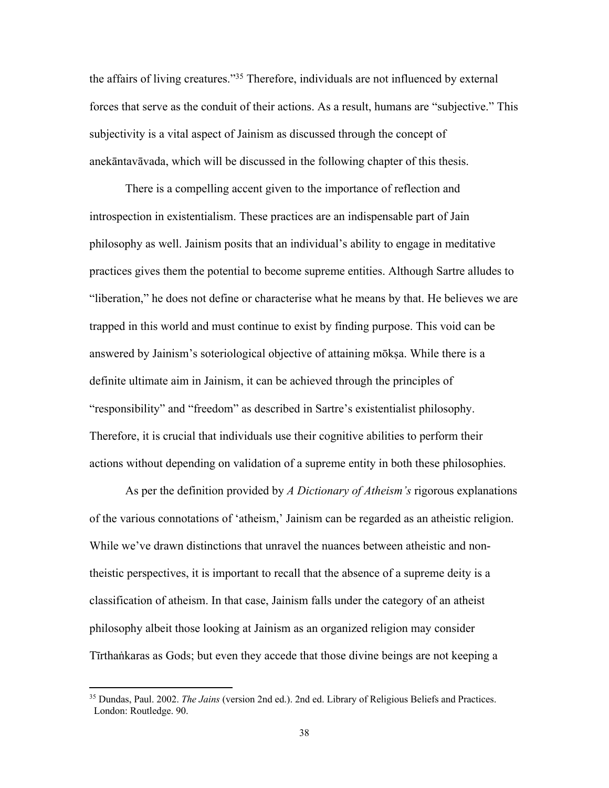the affairs of living creatures."35 Therefore, individuals are not influenced by external forces that serve as the conduit of their actions. As a result, humans are "subjective." This subjectivity is a vital aspect of Jainism as discussed through the concept of anekāntavāvada, which will be discussed in the following chapter of this thesis.

There is a compelling accent given to the importance of reflection and introspection in existentialism. These practices are an indispensable part of Jain philosophy as well. Jainism posits that an individual's ability to engage in meditative practices gives them the potential to become supreme entities. Although Sartre alludes to "liberation," he does not define or characterise what he means by that. He believes we are trapped in this world and must continue to exist by finding purpose. This void can be answered by Jainism's soteriological objective of attaining mōkṣa. While there is a definite ultimate aim in Jainism, it can be achieved through the principles of "responsibility" and "freedom" as described in Sartre's existentialist philosophy. Therefore, it is crucial that individuals use their cognitive abilities to perform their actions without depending on validation of a supreme entity in both these philosophies.

As per the definition provided by *A Dictionary of Atheism's* rigorous explanations of the various connotations of 'atheism,' Jainism can be regarded as an atheistic religion. While we've drawn distinctions that unravel the nuances between atheistic and nontheistic perspectives, it is important to recall that the absence of a supreme deity is a classification of atheism. In that case, Jainism falls under the category of an atheist philosophy albeit those looking at Jainism as an organized religion may consider Tīrthaṅkaras as Gods; but even they accede that those divine beings are not keeping a

<sup>35</sup> Dundas, Paul. 2002. *The Jains* (version 2nd ed.). 2nd ed. Library of Religious Beliefs and Practices. London: Routledge. 90.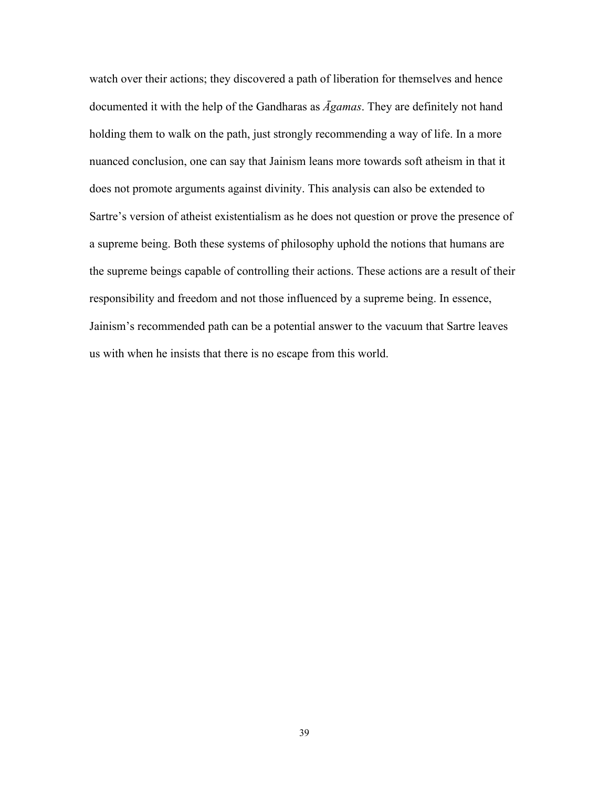watch over their actions; they discovered a path of liberation for themselves and hence documented it with the help of the Gandharas as *Āgamas*. They are definitely not hand holding them to walk on the path, just strongly recommending a way of life. In a more nuanced conclusion, one can say that Jainism leans more towards soft atheism in that it does not promote arguments against divinity. This analysis can also be extended to Sartre's version of atheist existentialism as he does not question or prove the presence of a supreme being. Both these systems of philosophy uphold the notions that humans are the supreme beings capable of controlling their actions. These actions are a result of their responsibility and freedom and not those influenced by a supreme being. In essence, Jainism's recommended path can be a potential answer to the vacuum that Sartre leaves us with when he insists that there is no escape from this world.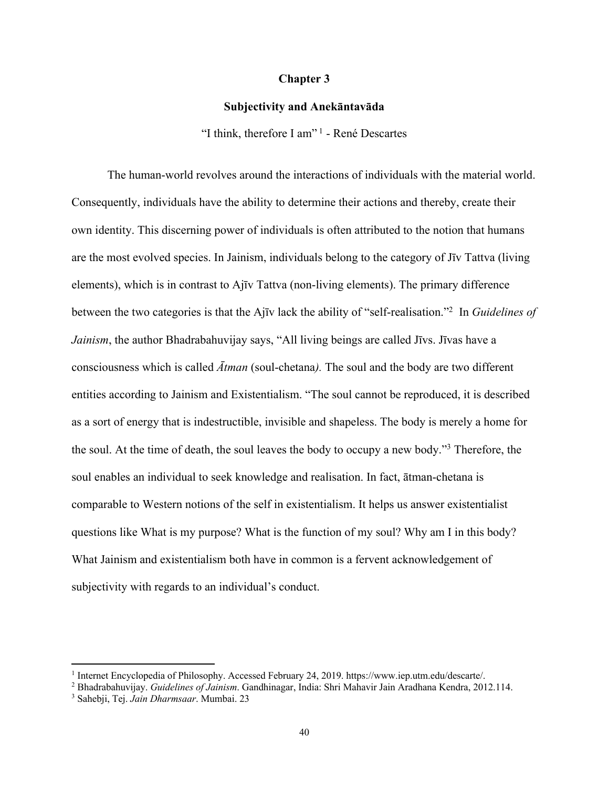## **Chapter 3**

## **Subjectivity and Anekāntavāda**

"I think, therefore I am" <sup>1</sup> - René Descartes

The human-world revolves around the interactions of individuals with the material world. Consequently, individuals have the ability to determine their actions and thereby, create their own identity. This discerning power of individuals is often attributed to the notion that humans are the most evolved species. In Jainism, individuals belong to the category of Jīv Tattva (living elements), which is in contrast to Ajīv Tattva (non-living elements). The primary difference between the two categories is that the Ajīv lack the ability of "self-realisation."2 In *Guidelines of Jainism*, the author Bhadrabahuvijay says, "All living beings are called Jīvs. Jīvas have a consciousness which is called *Ātman* (soul-chetana*).* The soul and the body are two different entities according to Jainism and Existentialism. "The soul cannot be reproduced, it is described as a sort of energy that is indestructible, invisible and shapeless. The body is merely a home for the soul. At the time of death, the soul leaves the body to occupy a new body."3 Therefore, the soul enables an individual to seek knowledge and realisation. In fact, ātman-chetana is comparable to Western notions of the self in existentialism. It helps us answer existentialist questions like What is my purpose? What is the function of my soul? Why am I in this body? What Jainism and existentialism both have in common is a fervent acknowledgement of subjectivity with regards to an individual's conduct.

<sup>1</sup> Internet Encyclopedia of Philosophy. Accessed February 24, 2019. https://www.iep.utm.edu/descarte/.

<sup>2</sup> Bhadrabahuvijay. *Guidelines of Jainism*. Gandhinagar, India: Shri Mahavir Jain Aradhana Kendra, 2012.114.

<sup>3</sup> Sahebji, Tej. *Jain Dharmsaar*. Mumbai. 23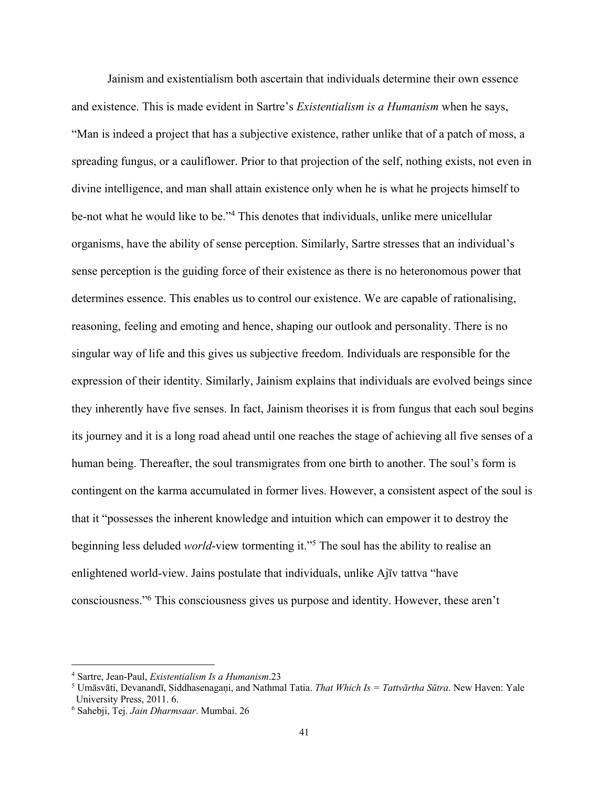Jainism and existentialism both ascertain that individuals determine their own essence and existence. This is made evident in Sartre's *Existentialism is a Humanism* when he says, "Man is indeed a project that has a subjective existence, rather unlike that of a patch of moss, a spreading fungus, or a cauliflower. Prior to that projection of the self, nothing exists, not even in divine intelligence, and man shall attain existence only when he is what he projects himself to be-not what he would like to be."4 This denotes that individuals, unlike mere unicellular organisms, have the ability of sense perception. Similarly, Sartre stresses that an individual's sense perception is the guiding force of their existence as there is no heteronomous power that determines essence. This enables us to control our existence. We are capable of rationalising, reasoning, feeling and emoting and hence, shaping our outlook and personality. There is no singular way of life and this gives us subjective freedom. Individuals are responsible for the expression of their identity. Similarly, Jainism explains that individuals are evolved beings since they inherently have five senses. In fact, Jainism theorises it is from fungus that each soul begins its journey and it is a long road ahead until one reaches the stage of achieving all five senses of a human being. Thereafter, the soul transmigrates from one birth to another. The soul's form is contingent on the karma accumulated in former lives. However, a consistent aspect of the soul is that it "possesses the inherent knowledge and intuition which can empower it to destroy the beginning less deluded *world*-view tormenting it."5 The soul has the ability to realise an enlightened world-view. Jains postulate that individuals, unlike Ajīv tattva "have consciousness."6 This consciousness gives us purpose and identity. However, these aren't

<sup>4</sup> Sartre, Jean-Paul, *Existentialism Is a Humanism*.23

<sup>5</sup> Umāsvāti, Devanandī, Siddhasenagaṇi, and Nathmal Tatia. *That Which Is = Tattvārtha Sūtra*. New Haven: Yale University Press, 2011. 6.

<sup>6</sup> Sahebji, Tej. *Jain Dharmsaar*. Mumbai. 26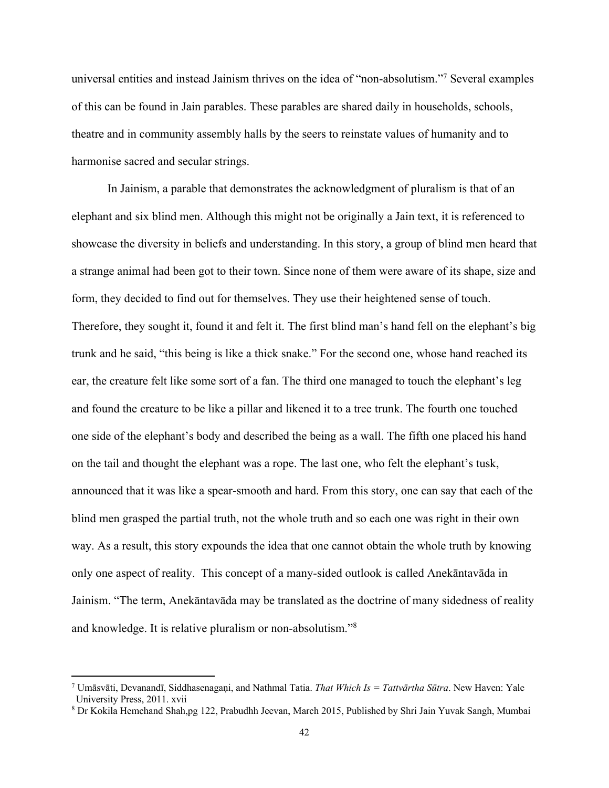universal entities and instead Jainism thrives on the idea of "non-absolutism."7 Several examples of this can be found in Jain parables. These parables are shared daily in households, schools, theatre and in community assembly halls by the seers to reinstate values of humanity and to harmonise sacred and secular strings.

In Jainism, a parable that demonstrates the acknowledgment of pluralism is that of an elephant and six blind men. Although this might not be originally a Jain text, it is referenced to showcase the diversity in beliefs and understanding. In this story, a group of blind men heard that a strange animal had been got to their town. Since none of them were aware of its shape, size and form, they decided to find out for themselves. They use their heightened sense of touch. Therefore, they sought it, found it and felt it. The first blind man's hand fell on the elephant's big trunk and he said, "this being is like a thick snake." For the second one, whose hand reached its ear, the creature felt like some sort of a fan. The third one managed to touch the elephant's leg and found the creature to be like a pillar and likened it to a tree trunk. The fourth one touched one side of the elephant's body and described the being as a wall. The fifth one placed his hand on the tail and thought the elephant was a rope. The last one, who felt the elephant's tusk, announced that it was like a spear-smooth and hard. From this story, one can say that each of the blind men grasped the partial truth, not the whole truth and so each one was right in their own way. As a result, this story expounds the idea that one cannot obtain the whole truth by knowing only one aspect of reality. This concept of a many-sided outlook is called Anekāntavāda in Jainism. "The term, Anekāntavāda may be translated as the doctrine of many sidedness of reality and knowledge. It is relative pluralism or non-absolutism."8

<sup>7</sup> Umāsvāti, Devanandī, Siddhasenagaṇi, and Nathmal Tatia. *That Which Is = Tattvārtha Sūtra*. New Haven: Yale University Press, 2011. xvii

<sup>8</sup> Dr Kokila Hemchand Shah,pg 122, Prabudhh Jeevan, March 2015, Published by Shri Jain Yuvak Sangh, Mumbai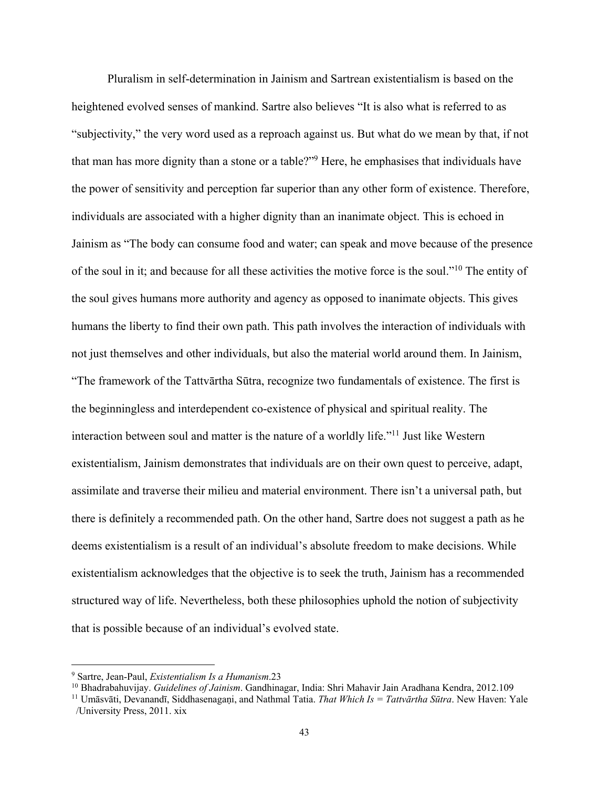Pluralism in self-determination in Jainism and Sartrean existentialism is based on the heightened evolved senses of mankind. Sartre also believes "It is also what is referred to as "subjectivity," the very word used as a reproach against us. But what do we mean by that, if not that man has more dignity than a stone or a table?"9 Here, he emphasises that individuals have the power of sensitivity and perception far superior than any other form of existence. Therefore, individuals are associated with a higher dignity than an inanimate object. This is echoed in Jainism as "The body can consume food and water; can speak and move because of the presence of the soul in it; and because for all these activities the motive force is the soul."10 The entity of the soul gives humans more authority and agency as opposed to inanimate objects. This gives humans the liberty to find their own path. This path involves the interaction of individuals with not just themselves and other individuals, but also the material world around them. In Jainism, "The framework of the Tattvārtha Sūtra, recognize two fundamentals of existence. The first is the beginningless and interdependent co-existence of physical and spiritual reality. The interaction between soul and matter is the nature of a worldly life."11 Just like Western existentialism, Jainism demonstrates that individuals are on their own quest to perceive, adapt, assimilate and traverse their milieu and material environment. There isn't a universal path, but there is definitely a recommended path. On the other hand, Sartre does not suggest a path as he deems existentialism is a result of an individual's absolute freedom to make decisions. While existentialism acknowledges that the objective is to seek the truth, Jainism has a recommended structured way of life. Nevertheless, both these philosophies uphold the notion of subjectivity that is possible because of an individual's evolved state.

<sup>9</sup> Sartre, Jean-Paul, *Existentialism Is a Humanism*.23

<sup>10</sup> Bhadrabahuvijay. *Guidelines of Jainism*. Gandhinagar, India: Shri Mahavir Jain Aradhana Kendra, 2012.109

<sup>&</sup>lt;sup>11</sup> Umāsvāti, Devanandī, Siddhasenagani, and Nathmal Tatia. *That Which Is = Tattvārtha Sūtra*. New Haven: Yale /University Press, 2011. xix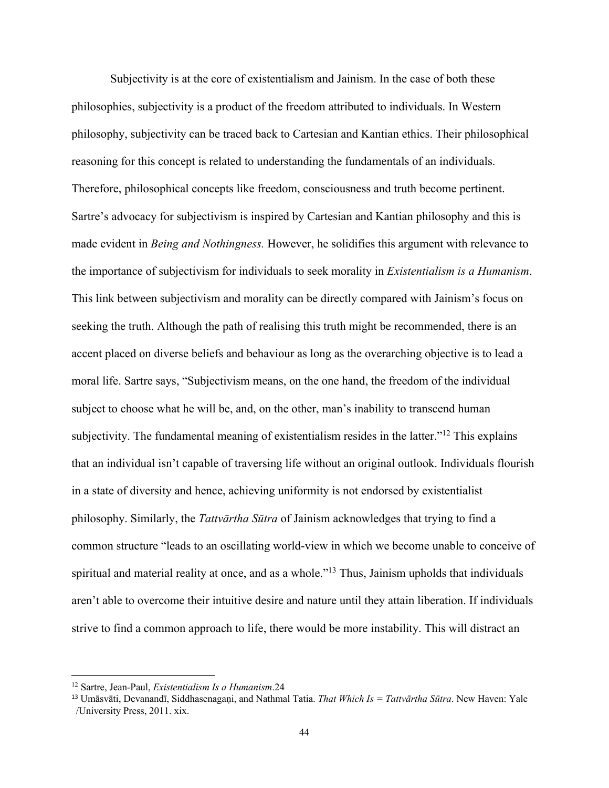Subjectivity is at the core of existentialism and Jainism. In the case of both these philosophies, subjectivity is a product of the freedom attributed to individuals. In Western philosophy, subjectivity can be traced back to Cartesian and Kantian ethics. Their philosophical reasoning for this concept is related to understanding the fundamentals of an individuals. Therefore, philosophical concepts like freedom, consciousness and truth become pertinent. Sartre's advocacy for subjectivism is inspired by Cartesian and Kantian philosophy and this is made evident in *Being and Nothingness.* However, he solidifies this argument with relevance to the importance of subjectivism for individuals to seek morality in *Existentialism is a Humanism*. This link between subjectivism and morality can be directly compared with Jainism's focus on seeking the truth. Although the path of realising this truth might be recommended, there is an accent placed on diverse beliefs and behaviour as long as the overarching objective is to lead a moral life. Sartre says, "Subjectivism means, on the one hand, the freedom of the individual subject to choose what he will be, and, on the other, man's inability to transcend human subjectivity. The fundamental meaning of existentialism resides in the latter."<sup>12</sup> This explains that an individual isn't capable of traversing life without an original outlook. Individuals flourish in a state of diversity and hence, achieving uniformity is not endorsed by existentialist philosophy. Similarly, the *Tattvārtha Sūtra* of Jainism acknowledges that trying to find a common structure "leads to an oscillating world-view in which we become unable to conceive of spiritual and material reality at once, and as a whole."13 Thus, Jainism upholds that individuals aren't able to overcome their intuitive desire and nature until they attain liberation. If individuals strive to find a common approach to life, there would be more instability. This will distract an

<sup>12</sup> Sartre, Jean-Paul, *Existentialism Is a Humanism*.24

<sup>&</sup>lt;sup>13</sup> Umāsvāti, Devanandī, Siddhasenagani, and Nathmal Tatia. *That Which Is = Tattvārtha Sūtra*. New Haven: Yale /University Press, 2011. xix.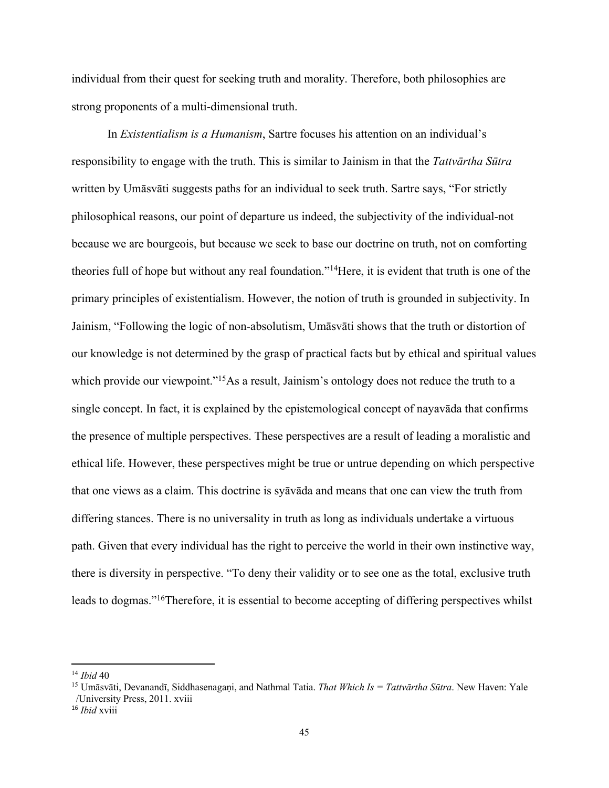individual from their quest for seeking truth and morality. Therefore, both philosophies are strong proponents of a multi-dimensional truth.

In *Existentialism is a Humanism*, Sartre focuses his attention on an individual's responsibility to engage with the truth. This is similar to Jainism in that the *Tattvārtha Sūtra*  written by Umāsvāti suggests paths for an individual to seek truth. Sartre says, "For strictly philosophical reasons, our point of departure us indeed, the subjectivity of the individual-not because we are bourgeois, but because we seek to base our doctrine on truth, not on comforting theories full of hope but without any real foundation."14Here, it is evident that truth is one of the primary principles of existentialism. However, the notion of truth is grounded in subjectivity. In Jainism, "Following the logic of non-absolutism, Umāsvāti shows that the truth or distortion of our knowledge is not determined by the grasp of practical facts but by ethical and spiritual values which provide our viewpoint."<sup>15</sup>As a result, Jainism's ontology does not reduce the truth to a single concept. In fact, it is explained by the epistemological concept of nayavāda that confirms the presence of multiple perspectives. These perspectives are a result of leading a moralistic and ethical life. However, these perspectives might be true or untrue depending on which perspective that one views as a claim. This doctrine is syāvāda and means that one can view the truth from differing stances. There is no universality in truth as long as individuals undertake a virtuous path. Given that every individual has the right to perceive the world in their own instinctive way, there is diversity in perspective. "To deny their validity or to see one as the total, exclusive truth leads to dogmas."16Therefore, it is essential to become accepting of differing perspectives whilst

<sup>14</sup> *Ibid* 40

<sup>&</sup>lt;sup>15</sup> Umāsvāti, Devanandī, Siddhasenagani, and Nathmal Tatia. *That Which Is = Tattvārtha Sūtra*. New Haven: Yale /University Press, 2011. xviii

<sup>16</sup> *Ibid* xviii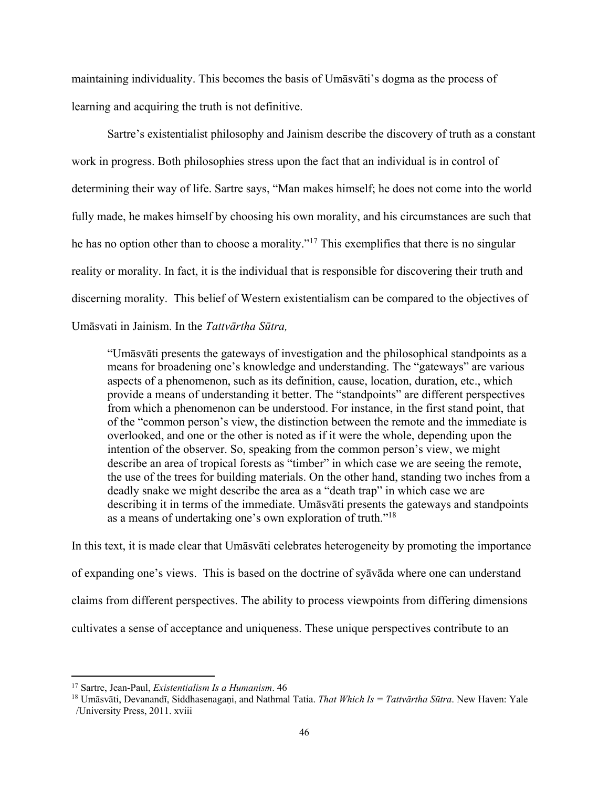maintaining individuality. This becomes the basis of Umāsvāti's dogma as the process of learning and acquiring the truth is not definitive.

Sartre's existentialist philosophy and Jainism describe the discovery of truth as a constant work in progress. Both philosophies stress upon the fact that an individual is in control of determining their way of life. Sartre says, "Man makes himself; he does not come into the world fully made, he makes himself by choosing his own morality, and his circumstances are such that he has no option other than to choose a morality."17 This exemplifies that there is no singular reality or morality. In fact, it is the individual that is responsible for discovering their truth and discerning morality. This belief of Western existentialism can be compared to the objectives of Umāsvati in Jainism. In the *Tattvārtha Sūtra,*

"Umāsvāti presents the gateways of investigation and the philosophical standpoints as a means for broadening one's knowledge and understanding. The "gateways" are various aspects of a phenomenon, such as its definition, cause, location, duration, etc., which provide a means of understanding it better. The "standpoints" are different perspectives from which a phenomenon can be understood. For instance, in the first stand point, that of the "common person's view, the distinction between the remote and the immediate is overlooked, and one or the other is noted as if it were the whole, depending upon the intention of the observer. So, speaking from the common person's view, we might describe an area of tropical forests as "timber" in which case we are seeing the remote, the use of the trees for building materials. On the other hand, standing two inches from a deadly snake we might describe the area as a "death trap" in which case we are describing it in terms of the immediate. Umāsvāti presents the gateways and standpoints as a means of undertaking one's own exploration of truth."18

In this text, it is made clear that Umāsvāti celebrates heterogeneity by promoting the importance of expanding one's views. This is based on the doctrine of syāvāda where one can understand claims from different perspectives. The ability to process viewpoints from differing dimensions cultivates a sense of acceptance and uniqueness. These unique perspectives contribute to an

<sup>17</sup> Sartre, Jean-Paul, *Existentialism Is a Humanism*. 46

<sup>&</sup>lt;sup>18</sup> Umāsvāti, Devanandī, Siddhasenagani, and Nathmal Tatia. *That Which Is = Tattvārtha Sūtra*. New Haven: Yale /University Press, 2011. xviii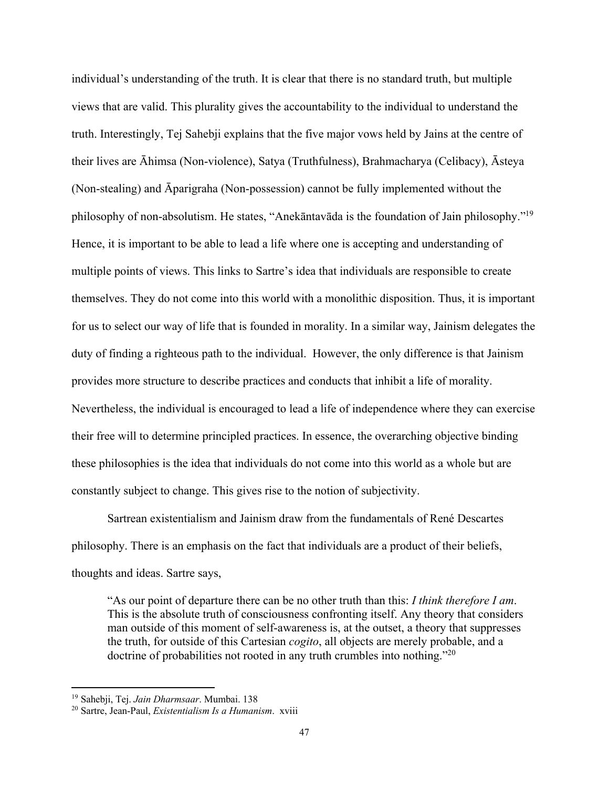individual's understanding of the truth. It is clear that there is no standard truth, but multiple views that are valid. This plurality gives the accountability to the individual to understand the truth. Interestingly, Tej Sahebji explains that the five major vows held by Jains at the centre of their lives are Āhimsa (Non-violence), Satya (Truthfulness), Brahmacharya (Celibacy), Āsteya (Non-stealing) and Āparigraha (Non-possession) cannot be fully implemented without the philosophy of non-absolutism. He states, "Anekāntavāda is the foundation of Jain philosophy."19 Hence, it is important to be able to lead a life where one is accepting and understanding of multiple points of views. This links to Sartre's idea that individuals are responsible to create themselves. They do not come into this world with a monolithic disposition. Thus, it is important for us to select our way of life that is founded in morality. In a similar way, Jainism delegates the duty of finding a righteous path to the individual. However, the only difference is that Jainism provides more structure to describe practices and conducts that inhibit a life of morality. Nevertheless, the individual is encouraged to lead a life of independence where they can exercise their free will to determine principled practices. In essence, the overarching objective binding these philosophies is the idea that individuals do not come into this world as a whole but are constantly subject to change. This gives rise to the notion of subjectivity.

Sartrean existentialism and Jainism draw from the fundamentals of René Descartes philosophy. There is an emphasis on the fact that individuals are a product of their beliefs, thoughts and ideas. Sartre says,

"As our point of departure there can be no other truth than this: *I think therefore I am*. This is the absolute truth of consciousness confronting itself. Any theory that considers man outside of this moment of self-awareness is, at the outset, a theory that suppresses the truth, for outside of this Cartesian *cogito*, all objects are merely probable, and a doctrine of probabilities not rooted in any truth crumbles into nothing."20

<sup>19</sup> Sahebji, Tej. *Jain Dharmsaar*. Mumbai. 138

<sup>20</sup> Sartre, Jean-Paul, *Existentialism Is a Humanism*. xviii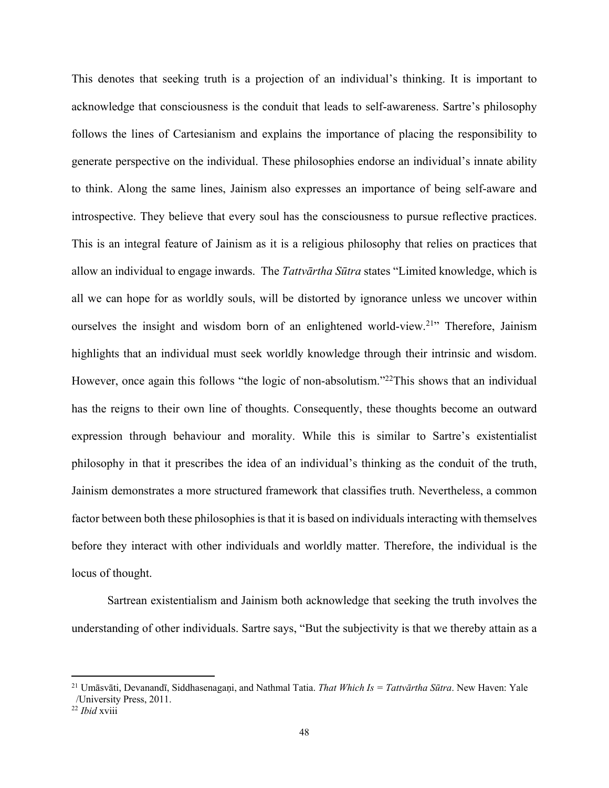This denotes that seeking truth is a projection of an individual's thinking. It is important to acknowledge that consciousness is the conduit that leads to self-awareness. Sartre's philosophy follows the lines of Cartesianism and explains the importance of placing the responsibility to generate perspective on the individual. These philosophies endorse an individual's innate ability to think. Along the same lines, Jainism also expresses an importance of being self-aware and introspective. They believe that every soul has the consciousness to pursue reflective practices. This is an integral feature of Jainism as it is a religious philosophy that relies on practices that allow an individual to engage inwards. The *Tattvārtha Sūtra* states "Limited knowledge, which is all we can hope for as worldly souls, will be distorted by ignorance unless we uncover within ourselves the insight and wisdom born of an enlightened world-view.<sup>21</sup>" Therefore, Jainism highlights that an individual must seek worldly knowledge through their intrinsic and wisdom. However, once again this follows "the logic of non-absolutism."<sup>22</sup>This shows that an individual has the reigns to their own line of thoughts. Consequently, these thoughts become an outward expression through behaviour and morality. While this is similar to Sartre's existentialist philosophy in that it prescribes the idea of an individual's thinking as the conduit of the truth, Jainism demonstrates a more structured framework that classifies truth. Nevertheless, a common factor between both these philosophies is that it is based on individuals interacting with themselves before they interact with other individuals and worldly matter. Therefore, the individual is the locus of thought.

Sartrean existentialism and Jainism both acknowledge that seeking the truth involves the understanding of other individuals. Sartre says, "But the subjectivity is that we thereby attain as a

<sup>21</sup> Umāsvāti, Devanandī, Siddhasenagaṇi, and Nathmal Tatia. *That Which Is = Tattvārtha Sūtra*. New Haven: Yale /University Press, 2011.

<sup>22</sup> *Ibid* xviii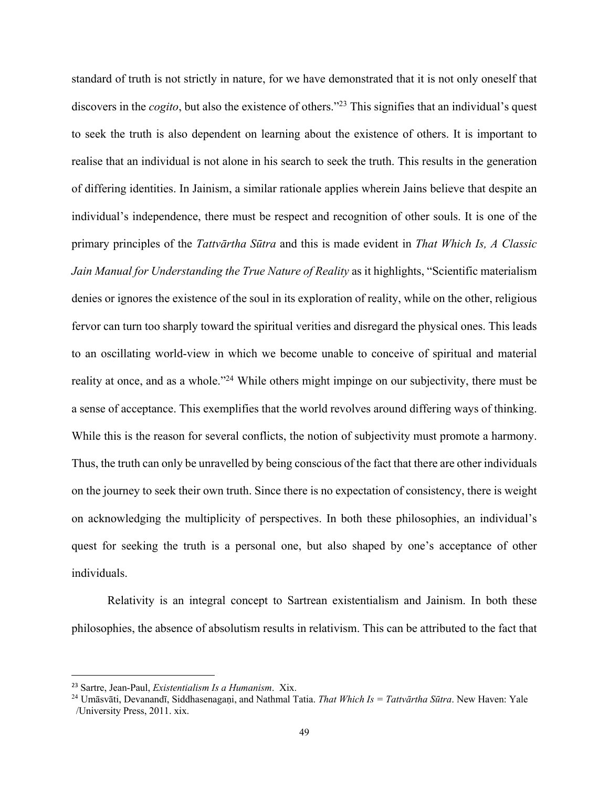standard of truth is not strictly in nature, for we have demonstrated that it is not only oneself that discovers in the *cogito*, but also the existence of others.<sup>"23</sup> This signifies that an individual's quest to seek the truth is also dependent on learning about the existence of others. It is important to realise that an individual is not alone in his search to seek the truth. This results in the generation of differing identities. In Jainism, a similar rationale applies wherein Jains believe that despite an individual's independence, there must be respect and recognition of other souls. It is one of the primary principles of the *Tattvārtha Sūtra* and this is made evident in *That Which Is, A Classic Jain Manual for Understanding the True Nature of Reality* as it highlights, "Scientific materialism denies or ignores the existence of the soul in its exploration of reality, while on the other, religious fervor can turn too sharply toward the spiritual verities and disregard the physical ones. This leads to an oscillating world-view in which we become unable to conceive of spiritual and material reality at once, and as a whole."24 While others might impinge on our subjectivity, there must be a sense of acceptance. This exemplifies that the world revolves around differing ways of thinking. While this is the reason for several conflicts, the notion of subjectivity must promote a harmony. Thus, the truth can only be unravelled by being conscious of the fact that there are other individuals on the journey to seek their own truth. Since there is no expectation of consistency, there is weight on acknowledging the multiplicity of perspectives. In both these philosophies, an individual's quest for seeking the truth is a personal one, but also shaped by one's acceptance of other individuals.

Relativity is an integral concept to Sartrean existentialism and Jainism. In both these philosophies, the absence of absolutism results in relativism. This can be attributed to the fact that

 <sup>23</sup> Sartre, Jean-Paul, *Existentialism Is a Humanism*. Xix.

<sup>24</sup> Umāsvāti, Devanandī, Siddhasenagaṇi, and Nathmal Tatia. *That Which Is = Tattvārtha Sūtra*. New Haven: Yale /University Press, 2011. xix.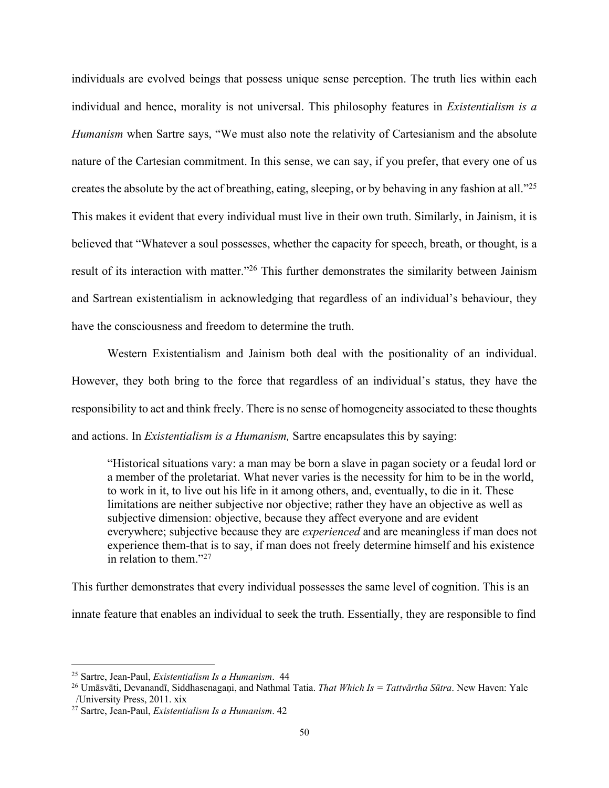individuals are evolved beings that possess unique sense perception. The truth lies within each individual and hence, morality is not universal. This philosophy features in *Existentialism is a Humanism* when Sartre says, "We must also note the relativity of Cartesianism and the absolute nature of the Cartesian commitment. In this sense, we can say, if you prefer, that every one of us creates the absolute by the act of breathing, eating, sleeping, or by behaving in any fashion at all.<sup>"25</sup> This makes it evident that every individual must live in their own truth. Similarly, in Jainism, it is believed that "Whatever a soul possesses, whether the capacity for speech, breath, or thought, is a result of its interaction with matter."26 This further demonstrates the similarity between Jainism and Sartrean existentialism in acknowledging that regardless of an individual's behaviour, they have the consciousness and freedom to determine the truth.

Western Existentialism and Jainism both deal with the positionality of an individual. However, they both bring to the force that regardless of an individual's status, they have the responsibility to act and think freely. There is no sense of homogeneity associated to these thoughts and actions. In *Existentialism is a Humanism,* Sartre encapsulates this by saying:

"Historical situations vary: a man may be born a slave in pagan society or a feudal lord or a member of the proletariat. What never varies is the necessity for him to be in the world, to work in it, to live out his life in it among others, and, eventually, to die in it. These limitations are neither subjective nor objective; rather they have an objective as well as subjective dimension: objective, because they affect everyone and are evident everywhere; subjective because they are *experienced* and are meaningless if man does not experience them-that is to say, if man does not freely determine himself and his existence in relation to them."27

This further demonstrates that every individual possesses the same level of cognition. This is an innate feature that enables an individual to seek the truth. Essentially, they are responsible to find

<sup>25</sup> Sartre, Jean-Paul, *Existentialism Is a Humanism*. 44

<sup>26</sup> Umāsvāti, Devanandī, Siddhasenagaṇi, and Nathmal Tatia. *That Which Is = Tattvārtha Sūtra*. New Haven: Yale /University Press, 2011. xix

<sup>27</sup> Sartre, Jean-Paul, *Existentialism Is a Humanism*. 42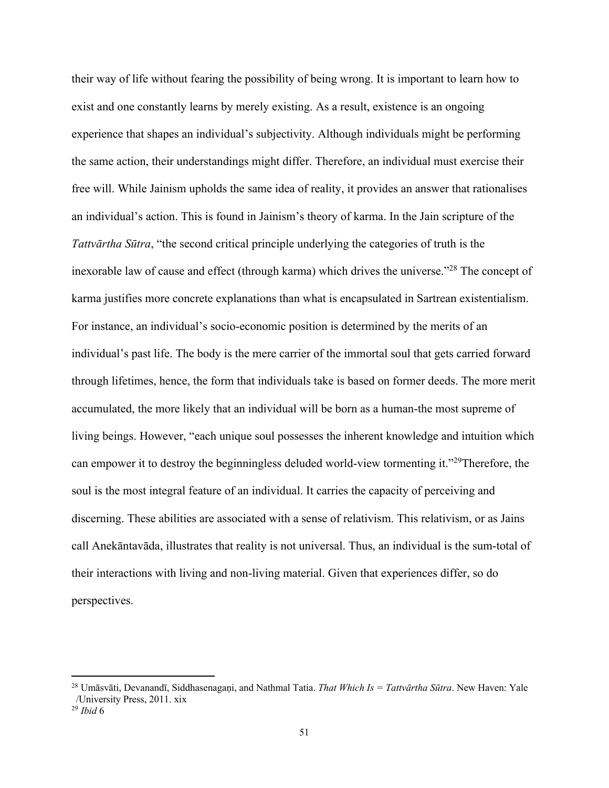their way of life without fearing the possibility of being wrong. It is important to learn how to exist and one constantly learns by merely existing. As a result, existence is an ongoing experience that shapes an individual's subjectivity. Although individuals might be performing the same action, their understandings might differ. Therefore, an individual must exercise their free will. While Jainism upholds the same idea of reality, it provides an answer that rationalises an individual's action. This is found in Jainism's theory of karma. In the Jain scripture of the *Tattvārtha Sūtra*, "the second critical principle underlying the categories of truth is the inexorable law of cause and effect (through karma) which drives the universe."<sup>28</sup> The concept of karma justifies more concrete explanations than what is encapsulated in Sartrean existentialism. For instance, an individual's socio-economic position is determined by the merits of an individual's past life. The body is the mere carrier of the immortal soul that gets carried forward through lifetimes, hence, the form that individuals take is based on former deeds. The more merit accumulated, the more likely that an individual will be born as a human-the most supreme of living beings. However, "each unique soul possesses the inherent knowledge and intuition which can empower it to destroy the beginningless deluded world-view tormenting it."29Therefore, the soul is the most integral feature of an individual. It carries the capacity of perceiving and discerning. These abilities are associated with a sense of relativism. This relativism, or as Jains call Anekāntavāda, illustrates that reality is not universal. Thus, an individual is the sum-total of their interactions with living and non-living material. Given that experiences differ, so do perspectives.

<sup>28</sup> Umāsvāti, Devanandī, Siddhasenagaṇi, and Nathmal Tatia. *That Which Is = Tattvārtha Sūtra*. New Haven: Yale /University Press, 2011. xix

<sup>29</sup> *Ibid* 6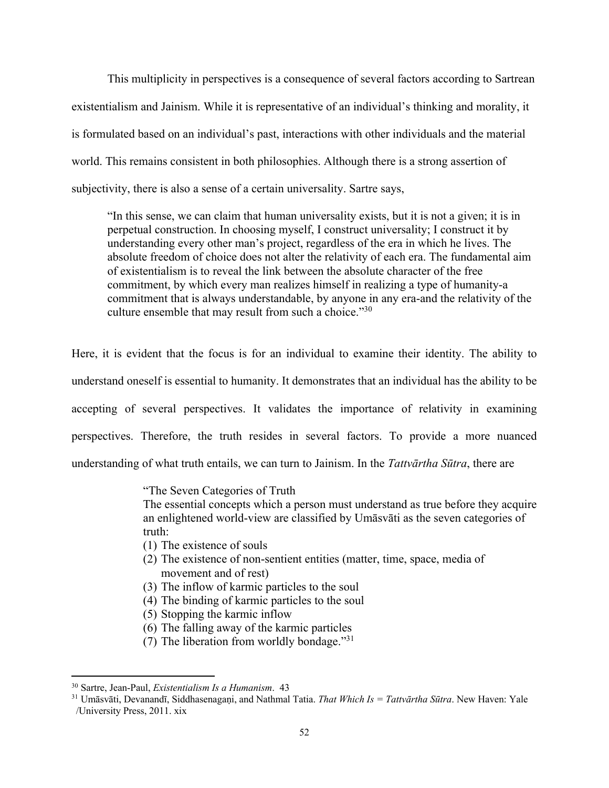This multiplicity in perspectives is a consequence of several factors according to Sartrean existentialism and Jainism. While it is representative of an individual's thinking and morality, it is formulated based on an individual's past, interactions with other individuals and the material world. This remains consistent in both philosophies. Although there is a strong assertion of subjectivity, there is also a sense of a certain universality. Sartre says,

"In this sense, we can claim that human universality exists, but it is not a given; it is in perpetual construction. In choosing myself, I construct universality; I construct it by understanding every other man's project, regardless of the era in which he lives. The absolute freedom of choice does not alter the relativity of each era. The fundamental aim of existentialism is to reveal the link between the absolute character of the free commitment, by which every man realizes himself in realizing a type of humanity-a commitment that is always understandable, by anyone in any era-and the relativity of the culture ensemble that may result from such a choice."30

Here, it is evident that the focus is for an individual to examine their identity. The ability to understand oneself is essential to humanity. It demonstrates that an individual has the ability to be accepting of several perspectives. It validates the importance of relativity in examining perspectives. Therefore, the truth resides in several factors. To provide a more nuanced understanding of what truth entails, we can turn to Jainism. In the *Tattvārtha Sūtra*, there are

"The Seven Categories of Truth

The essential concepts which a person must understand as true before they acquire an enlightened world-view are classified by Umāsvāti as the seven categories of truth:

- (1) The existence of souls
- (2) The existence of non-sentient entities (matter, time, space, media of movement and of rest)
- (3) The inflow of karmic particles to the soul
- (4) The binding of karmic particles to the soul
- (5) Stopping the karmic inflow
- (6) The falling away of the karmic particles
- (7) The liberation from worldly bondage."31

<sup>30</sup> Sartre, Jean-Paul, *Existentialism Is a Humanism*. 43

<sup>31</sup> Umāsvāti, Devanandī, Siddhasenagaṇi, and Nathmal Tatia. *That Which Is = Tattvārtha Sūtra*. New Haven: Yale /University Press, 2011. xix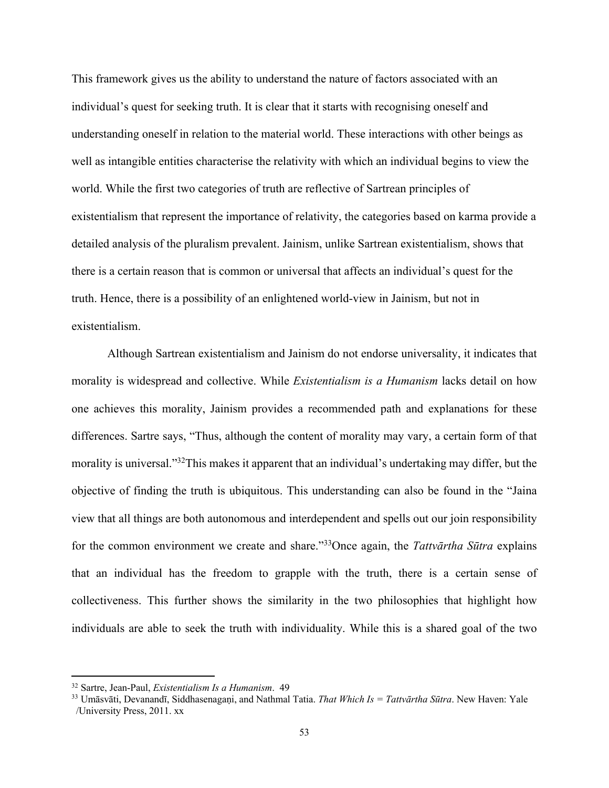This framework gives us the ability to understand the nature of factors associated with an individual's quest for seeking truth. It is clear that it starts with recognising oneself and understanding oneself in relation to the material world. These interactions with other beings as well as intangible entities characterise the relativity with which an individual begins to view the world. While the first two categories of truth are reflective of Sartrean principles of existentialism that represent the importance of relativity, the categories based on karma provide a detailed analysis of the pluralism prevalent. Jainism, unlike Sartrean existentialism, shows that there is a certain reason that is common or universal that affects an individual's quest for the truth. Hence, there is a possibility of an enlightened world-view in Jainism, but not in existentialism.

Although Sartrean existentialism and Jainism do not endorse universality, it indicates that morality is widespread and collective. While *Existentialism is a Humanism* lacks detail on how one achieves this morality, Jainism provides a recommended path and explanations for these differences. Sartre says, "Thus, although the content of morality may vary, a certain form of that morality is universal."32This makes it apparent that an individual's undertaking may differ, but the objective of finding the truth is ubiquitous. This understanding can also be found in the "Jaina view that all things are both autonomous and interdependent and spells out our join responsibility for the common environment we create and share."33Once again, the *Tattvārtha Sūtra* explains that an individual has the freedom to grapple with the truth, there is a certain sense of collectiveness. This further shows the similarity in the two philosophies that highlight how individuals are able to seek the truth with individuality. While this is a shared goal of the two

<sup>32</sup> Sartre, Jean-Paul, *Existentialism Is a Humanism*. 49

<sup>33</sup> Umāsvāti, Devanandī, Siddhasenagaṇi, and Nathmal Tatia. *That Which Is = Tattvārtha Sūtra*. New Haven: Yale /University Press, 2011. xx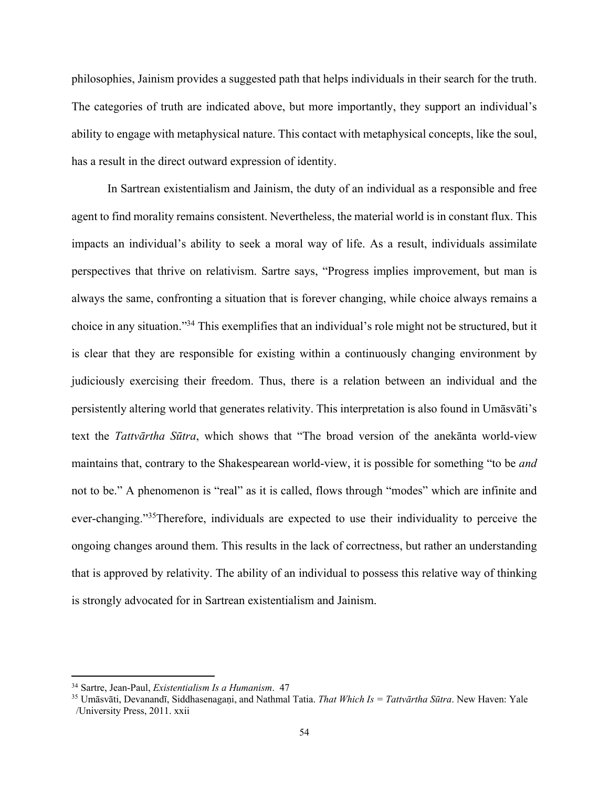philosophies, Jainism provides a suggested path that helps individuals in their search for the truth. The categories of truth are indicated above, but more importantly, they support an individual's ability to engage with metaphysical nature. This contact with metaphysical concepts, like the soul, has a result in the direct outward expression of identity.

In Sartrean existentialism and Jainism, the duty of an individual as a responsible and free agent to find morality remains consistent. Nevertheless, the material world is in constant flux. This impacts an individual's ability to seek a moral way of life. As a result, individuals assimilate perspectives that thrive on relativism. Sartre says, "Progress implies improvement, but man is always the same, confronting a situation that is forever changing, while choice always remains a choice in any situation."34 This exemplifies that an individual's role might not be structured, but it is clear that they are responsible for existing within a continuously changing environment by judiciously exercising their freedom. Thus, there is a relation between an individual and the persistently altering world that generates relativity. This interpretation is also found in Umāsvāti's text the *Tattvārtha Sūtra*, which shows that "The broad version of the anekānta world-view maintains that, contrary to the Shakespearean world-view, it is possible for something "to be *and*  not to be." A phenomenon is "real" as it is called, flows through "modes" which are infinite and ever-changing."35Therefore, individuals are expected to use their individuality to perceive the ongoing changes around them. This results in the lack of correctness, but rather an understanding that is approved by relativity. The ability of an individual to possess this relative way of thinking is strongly advocated for in Sartrean existentialism and Jainism.

<sup>34</sup> Sartre, Jean-Paul, *Existentialism Is a Humanism*. 47

<sup>35</sup> Umāsvāti, Devanandī, Siddhasenagaṇi, and Nathmal Tatia. *That Which Is = Tattvārtha Sūtra*. New Haven: Yale /University Press, 2011. xxii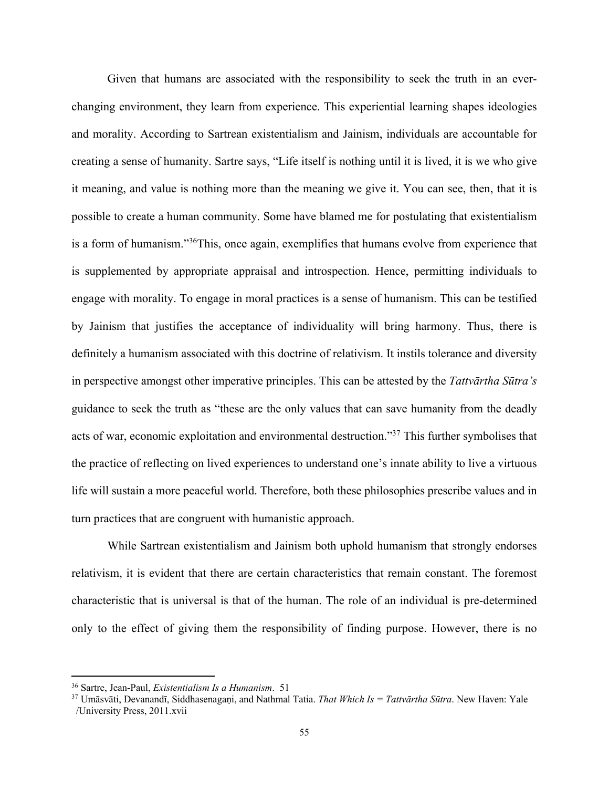Given that humans are associated with the responsibility to seek the truth in an everchanging environment, they learn from experience. This experiential learning shapes ideologies and morality. According to Sartrean existentialism and Jainism, individuals are accountable for creating a sense of humanity. Sartre says, "Life itself is nothing until it is lived, it is we who give it meaning, and value is nothing more than the meaning we give it. You can see, then, that it is possible to create a human community. Some have blamed me for postulating that existentialism is a form of humanism."36This, once again, exemplifies that humans evolve from experience that is supplemented by appropriate appraisal and introspection. Hence, permitting individuals to engage with morality. To engage in moral practices is a sense of humanism. This can be testified by Jainism that justifies the acceptance of individuality will bring harmony. Thus, there is definitely a humanism associated with this doctrine of relativism. It instils tolerance and diversity in perspective amongst other imperative principles. This can be attested by the *Tattvārtha Sūtra's* guidance to seek the truth as "these are the only values that can save humanity from the deadly acts of war, economic exploitation and environmental destruction."37 This further symbolises that the practice of reflecting on lived experiences to understand one's innate ability to live a virtuous life will sustain a more peaceful world. Therefore, both these philosophies prescribe values and in turn practices that are congruent with humanistic approach.

While Sartrean existentialism and Jainism both uphold humanism that strongly endorses relativism, it is evident that there are certain characteristics that remain constant. The foremost characteristic that is universal is that of the human. The role of an individual is pre-determined only to the effect of giving them the responsibility of finding purpose. However, there is no

<sup>36</sup> Sartre, Jean-Paul, *Existentialism Is a Humanism*. 51

<sup>37</sup> Umāsvāti, Devanandī, Siddhasenagaṇi, and Nathmal Tatia. *That Which Is = Tattvārtha Sūtra*. New Haven: Yale /University Press, 2011.xvii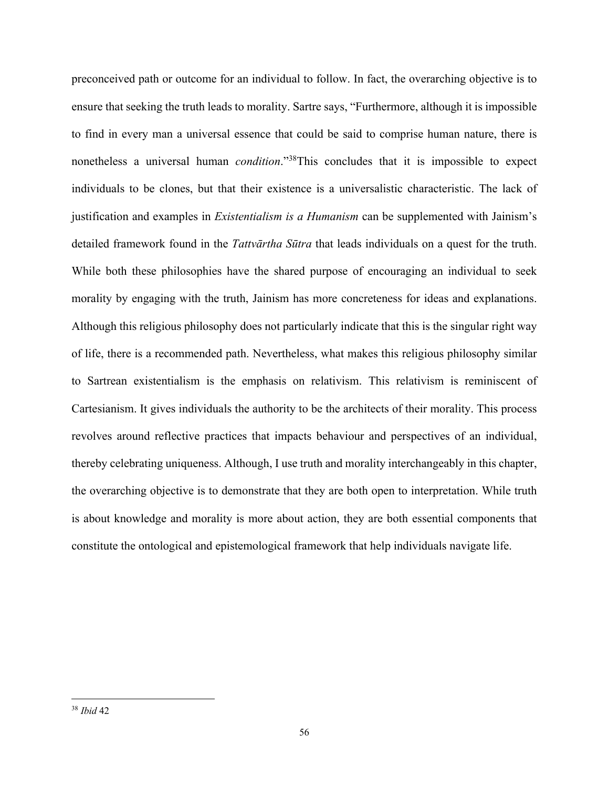preconceived path or outcome for an individual to follow. In fact, the overarching objective is to ensure that seeking the truth leads to morality. Sartre says, "Furthermore, although it is impossible to find in every man a universal essence that could be said to comprise human nature, there is nonetheless a universal human *condition*."38This concludes that it is impossible to expect individuals to be clones, but that their existence is a universalistic characteristic. The lack of justification and examples in *Existentialism is a Humanism* can be supplemented with Jainism's detailed framework found in the *Tattvārtha Sūtra* that leads individuals on a quest for the truth. While both these philosophies have the shared purpose of encouraging an individual to seek morality by engaging with the truth, Jainism has more concreteness for ideas and explanations. Although this religious philosophy does not particularly indicate that this is the singular right way of life, there is a recommended path. Nevertheless, what makes this religious philosophy similar to Sartrean existentialism is the emphasis on relativism. This relativism is reminiscent of Cartesianism. It gives individuals the authority to be the architects of their morality. This process revolves around reflective practices that impacts behaviour and perspectives of an individual, thereby celebrating uniqueness. Although, I use truth and morality interchangeably in this chapter, the overarching objective is to demonstrate that they are both open to interpretation. While truth is about knowledge and morality is more about action, they are both essential components that constitute the ontological and epistemological framework that help individuals navigate life.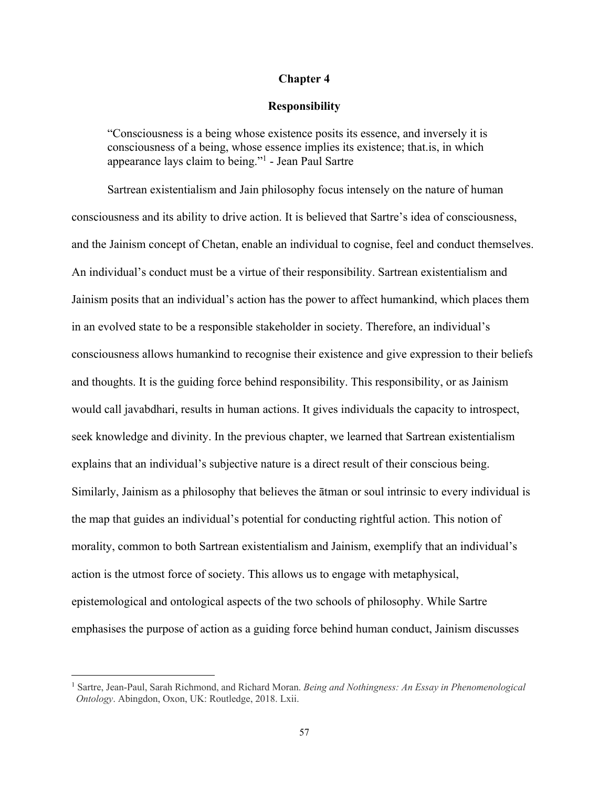## **Chapter 4**

## **Responsibility**

"Consciousness is a being whose existence posits its essence, and inversely it is consciousness of a being, whose essence implies its existence; that.is, in which appearance lays claim to being."1 - Jean Paul Sartre

Sartrean existentialism and Jain philosophy focus intensely on the nature of human consciousness and its ability to drive action. It is believed that Sartre's idea of consciousness, and the Jainism concept of Chetan, enable an individual to cognise, feel and conduct themselves. An individual's conduct must be a virtue of their responsibility. Sartrean existentialism and Jainism posits that an individual's action has the power to affect humankind, which places them in an evolved state to be a responsible stakeholder in society. Therefore, an individual's consciousness allows humankind to recognise their existence and give expression to their beliefs and thoughts. It is the guiding force behind responsibility. This responsibility, or as Jainism would call javabdhari, results in human actions. It gives individuals the capacity to introspect, seek knowledge and divinity. In the previous chapter, we learned that Sartrean existentialism explains that an individual's subjective nature is a direct result of their conscious being. Similarly, Jainism as a philosophy that believes the ātman or soul intrinsic to every individual is the map that guides an individual's potential for conducting rightful action. This notion of morality, common to both Sartrean existentialism and Jainism, exemplify that an individual's action is the utmost force of society. This allows us to engage with metaphysical, epistemological and ontological aspects of the two schools of philosophy. While Sartre emphasises the purpose of action as a guiding force behind human conduct, Jainism discusses

<sup>1</sup> Sartre, Jean-Paul, Sarah Richmond, and Richard Moran. *Being and Nothingness: An Essay in Phenomenological Ontology*. Abingdon, Oxon, UK: Routledge, 2018. Lxii.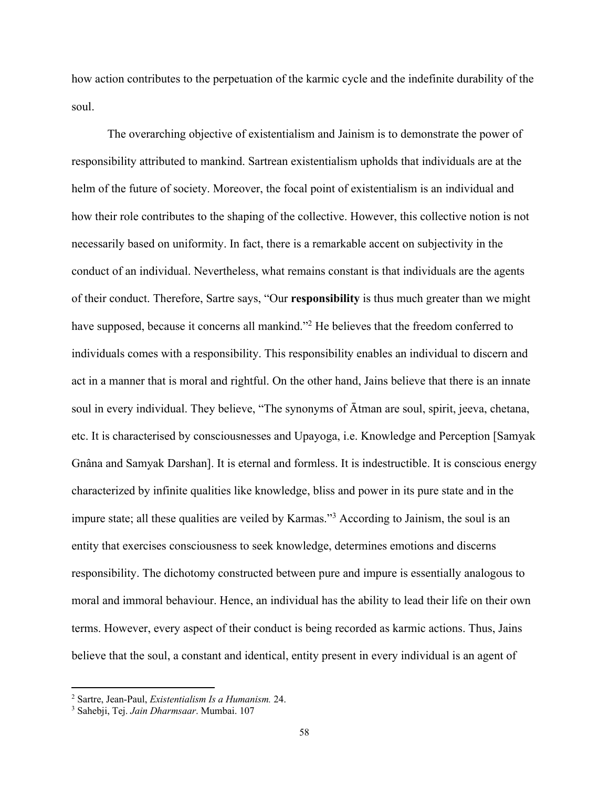how action contributes to the perpetuation of the karmic cycle and the indefinite durability of the soul.

The overarching objective of existentialism and Jainism is to demonstrate the power of responsibility attributed to mankind. Sartrean existentialism upholds that individuals are at the helm of the future of society. Moreover, the focal point of existentialism is an individual and how their role contributes to the shaping of the collective. However, this collective notion is not necessarily based on uniformity. In fact, there is a remarkable accent on subjectivity in the conduct of an individual. Nevertheless, what remains constant is that individuals are the agents of their conduct. Therefore, Sartre says, "Our **responsibility** is thus much greater than we might have supposed, because it concerns all mankind."<sup>2</sup> He believes that the freedom conferred to individuals comes with a responsibility. This responsibility enables an individual to discern and act in a manner that is moral and rightful. On the other hand, Jains believe that there is an innate soul in every individual. They believe, "The synonyms of Ātman are soul, spirit, jeeva, chetana, etc. It is characterised by consciousnesses and Upayoga, i.e. Knowledge and Perception [Samyak Gnâna and Samyak Darshan]. It is eternal and formless. It is indestructible. It is conscious energy characterized by infinite qualities like knowledge, bliss and power in its pure state and in the impure state; all these qualities are veiled by Karmas."<sup>3</sup> According to Jainism, the soul is an entity that exercises consciousness to seek knowledge, determines emotions and discerns responsibility. The dichotomy constructed between pure and impure is essentially analogous to moral and immoral behaviour. Hence, an individual has the ability to lead their life on their own terms. However, every aspect of their conduct is being recorded as karmic actions. Thus, Jains believe that the soul, a constant and identical, entity present in every individual is an agent of

<sup>2</sup> Sartre, Jean-Paul, *Existentialism Is a Humanism.* 24.

<sup>3</sup> Sahebji, Tej. *Jain Dharmsaar*. Mumbai. 107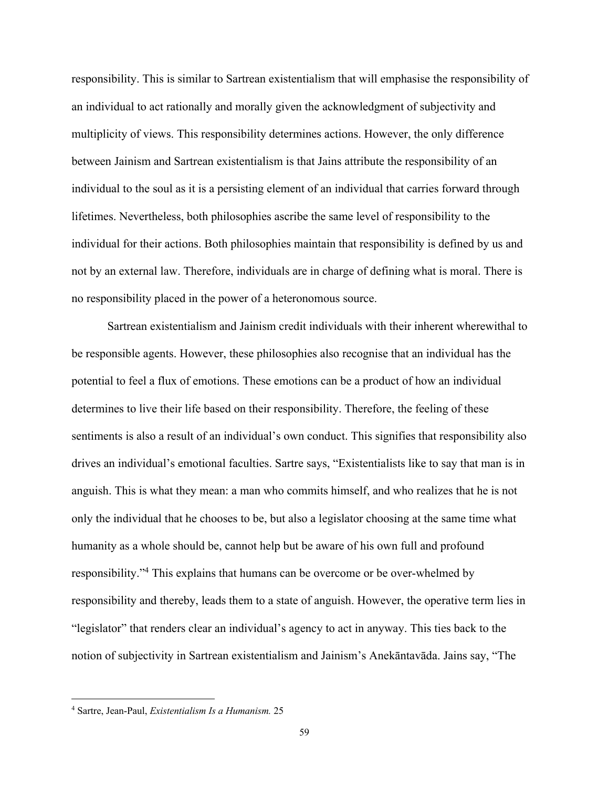responsibility. This is similar to Sartrean existentialism that will emphasise the responsibility of an individual to act rationally and morally given the acknowledgment of subjectivity and multiplicity of views. This responsibility determines actions. However, the only difference between Jainism and Sartrean existentialism is that Jains attribute the responsibility of an individual to the soul as it is a persisting element of an individual that carries forward through lifetimes. Nevertheless, both philosophies ascribe the same level of responsibility to the individual for their actions. Both philosophies maintain that responsibility is defined by us and not by an external law. Therefore, individuals are in charge of defining what is moral. There is no responsibility placed in the power of a heteronomous source.

Sartrean existentialism and Jainism credit individuals with their inherent wherewithal to be responsible agents. However, these philosophies also recognise that an individual has the potential to feel a flux of emotions. These emotions can be a product of how an individual determines to live their life based on their responsibility. Therefore, the feeling of these sentiments is also a result of an individual's own conduct. This signifies that responsibility also drives an individual's emotional faculties. Sartre says, "Existentialists like to say that man is in anguish. This is what they mean: a man who commits himself, and who realizes that he is not only the individual that he chooses to be, but also a legislator choosing at the same time what humanity as a whole should be, cannot help but be aware of his own full and profound responsibility."4 This explains that humans can be overcome or be over-whelmed by responsibility and thereby, leads them to a state of anguish. However, the operative term lies in "legislator" that renders clear an individual's agency to act in anyway. This ties back to the notion of subjectivity in Sartrean existentialism and Jainism's Anekāntavāda. Jains say, "The

<sup>4</sup> Sartre, Jean-Paul, *Existentialism Is a Humanism.* 25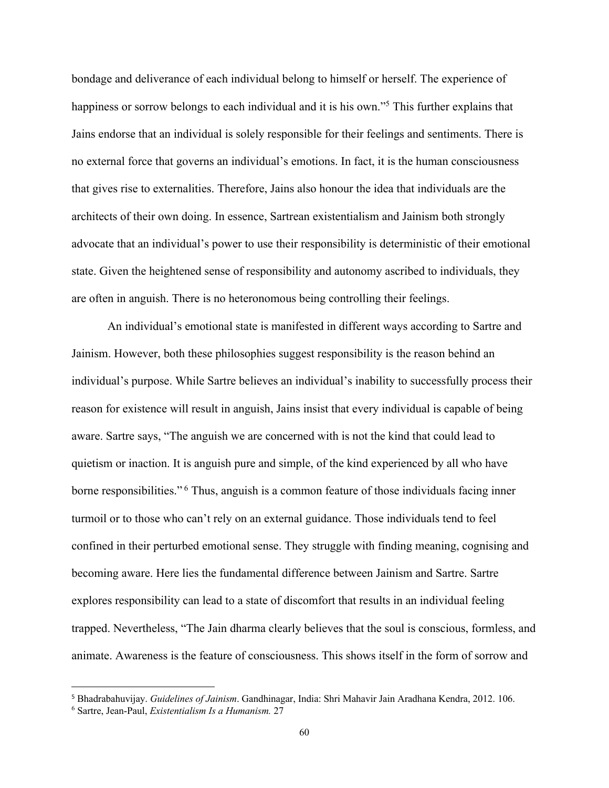bondage and deliverance of each individual belong to himself or herself. The experience of happiness or sorrow belongs to each individual and it is his own."<sup>5</sup> This further explains that Jains endorse that an individual is solely responsible for their feelings and sentiments. There is no external force that governs an individual's emotions. In fact, it is the human consciousness that gives rise to externalities. Therefore, Jains also honour the idea that individuals are the architects of their own doing. In essence, Sartrean existentialism and Jainism both strongly advocate that an individual's power to use their responsibility is deterministic of their emotional state. Given the heightened sense of responsibility and autonomy ascribed to individuals, they are often in anguish. There is no heteronomous being controlling their feelings.

An individual's emotional state is manifested in different ways according to Sartre and Jainism. However, both these philosophies suggest responsibility is the reason behind an individual's purpose. While Sartre believes an individual's inability to successfully process their reason for existence will result in anguish, Jains insist that every individual is capable of being aware. Sartre says, "The anguish we are concerned with is not the kind that could lead to quietism or inaction. It is anguish pure and simple, of the kind experienced by all who have borne responsibilities."<sup>6</sup> Thus, anguish is a common feature of those individuals facing inner turmoil or to those who can't rely on an external guidance. Those individuals tend to feel confined in their perturbed emotional sense. They struggle with finding meaning, cognising and becoming aware. Here lies the fundamental difference between Jainism and Sartre. Sartre explores responsibility can lead to a state of discomfort that results in an individual feeling trapped. Nevertheless, "The Jain dharma clearly believes that the soul is conscious, formless, and animate. Awareness is the feature of consciousness. This shows itself in the form of sorrow and

 <sup>5</sup> Bhadrabahuvijay. *Guidelines of Jainism*. Gandhinagar, India: Shri Mahavir Jain Aradhana Kendra, 2012. 106.

<sup>6</sup> Sartre, Jean-Paul, *Existentialism Is a Humanism.* 27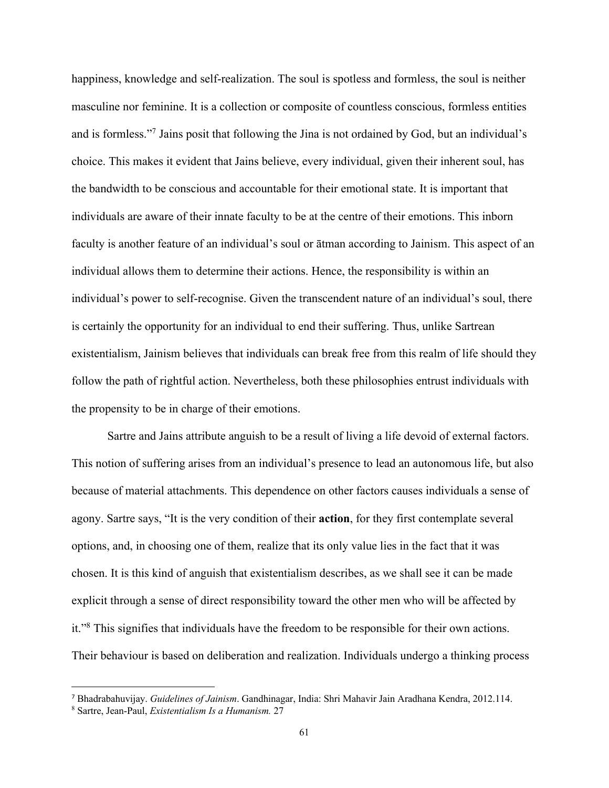happiness, knowledge and self-realization. The soul is spotless and formless, the soul is neither masculine nor feminine. It is a collection or composite of countless conscious, formless entities and is formless."7 Jains posit that following the Jina is not ordained by God, but an individual's choice. This makes it evident that Jains believe, every individual, given their inherent soul, has the bandwidth to be conscious and accountable for their emotional state. It is important that individuals are aware of their innate faculty to be at the centre of their emotions. This inborn faculty is another feature of an individual's soul or ātman according to Jainism. This aspect of an individual allows them to determine their actions. Hence, the responsibility is within an individual's power to self-recognise. Given the transcendent nature of an individual's soul, there is certainly the opportunity for an individual to end their suffering. Thus, unlike Sartrean existentialism, Jainism believes that individuals can break free from this realm of life should they follow the path of rightful action. Nevertheless, both these philosophies entrust individuals with the propensity to be in charge of their emotions.

Sartre and Jains attribute anguish to be a result of living a life devoid of external factors. This notion of suffering arises from an individual's presence to lead an autonomous life, but also because of material attachments. This dependence on other factors causes individuals a sense of agony. Sartre says, "It is the very condition of their **action**, for they first contemplate several options, and, in choosing one of them, realize that its only value lies in the fact that it was chosen. It is this kind of anguish that existentialism describes, as we shall see it can be made explicit through a sense of direct responsibility toward the other men who will be affected by it."8 This signifies that individuals have the freedom to be responsible for their own actions. Their behaviour is based on deliberation and realization. Individuals undergo a thinking process

 <sup>7</sup> Bhadrabahuvijay. *Guidelines of Jainism*. Gandhinagar, India: Shri Mahavir Jain Aradhana Kendra, 2012.114.

<sup>8</sup> Sartre, Jean-Paul, *Existentialism Is a Humanism.* 27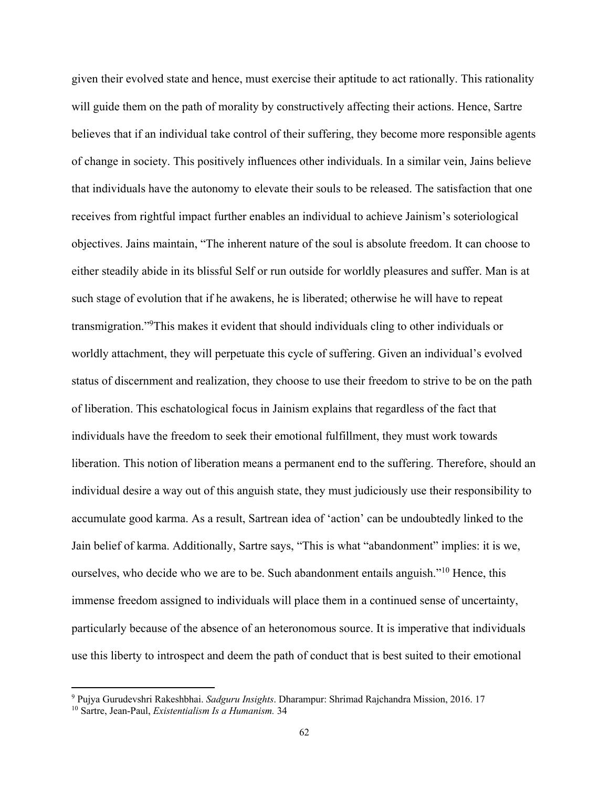given their evolved state and hence, must exercise their aptitude to act rationally. This rationality will guide them on the path of morality by constructively affecting their actions. Hence, Sartre believes that if an individual take control of their suffering, they become more responsible agents of change in society. This positively influences other individuals. In a similar vein, Jains believe that individuals have the autonomy to elevate their souls to be released. The satisfaction that one receives from rightful impact further enables an individual to achieve Jainism's soteriological objectives. Jains maintain, "The inherent nature of the soul is absolute freedom. It can choose to either steadily abide in its blissful Self or run outside for worldly pleasures and suffer. Man is at such stage of evolution that if he awakens, he is liberated; otherwise he will have to repeat transmigration."9This makes it evident that should individuals cling to other individuals or worldly attachment, they will perpetuate this cycle of suffering. Given an individual's evolved status of discernment and realization, they choose to use their freedom to strive to be on the path of liberation. This eschatological focus in Jainism explains that regardless of the fact that individuals have the freedom to seek their emotional fulfillment, they must work towards liberation. This notion of liberation means a permanent end to the suffering. Therefore, should an individual desire a way out of this anguish state, they must judiciously use their responsibility to accumulate good karma. As a result, Sartrean idea of 'action' can be undoubtedly linked to the Jain belief of karma. Additionally, Sartre says, "This is what "abandonment" implies: it is we, ourselves, who decide who we are to be. Such abandonment entails anguish."<sup>10</sup> Hence, this immense freedom assigned to individuals will place them in a continued sense of uncertainty, particularly because of the absence of an heteronomous source. It is imperative that individuals use this liberty to introspect and deem the path of conduct that is best suited to their emotional

<sup>9</sup> Pujya Gurudevshri Rakeshbhai. *Sadguru Insights*. Dharampur: Shrimad Rajchandra Mission, 2016. 17

<sup>10</sup> Sartre, Jean-Paul, *Existentialism Is a Humanism.* 34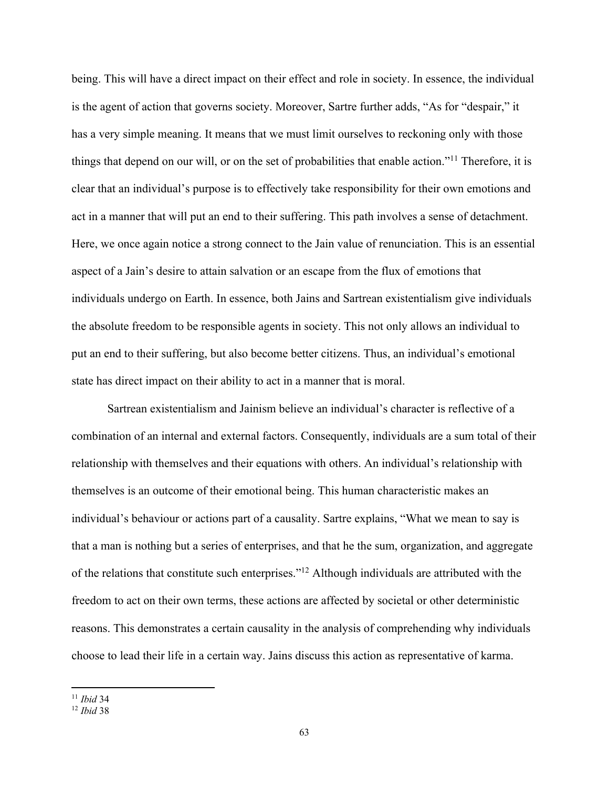being. This will have a direct impact on their effect and role in society. In essence, the individual is the agent of action that governs society. Moreover, Sartre further adds, "As for "despair," it has a very simple meaning. It means that we must limit ourselves to reckoning only with those things that depend on our will, or on the set of probabilities that enable action."11 Therefore, it is clear that an individual's purpose is to effectively take responsibility for their own emotions and act in a manner that will put an end to their suffering. This path involves a sense of detachment. Here, we once again notice a strong connect to the Jain value of renunciation. This is an essential aspect of a Jain's desire to attain salvation or an escape from the flux of emotions that individuals undergo on Earth. In essence, both Jains and Sartrean existentialism give individuals the absolute freedom to be responsible agents in society. This not only allows an individual to put an end to their suffering, but also become better citizens. Thus, an individual's emotional state has direct impact on their ability to act in a manner that is moral.

Sartrean existentialism and Jainism believe an individual's character is reflective of a combination of an internal and external factors. Consequently, individuals are a sum total of their relationship with themselves and their equations with others. An individual's relationship with themselves is an outcome of their emotional being. This human characteristic makes an individual's behaviour or actions part of a causality. Sartre explains, "What we mean to say is that a man is nothing but a series of enterprises, and that he the sum, organization, and aggregate of the relations that constitute such enterprises."12 Although individuals are attributed with the freedom to act on their own terms, these actions are affected by societal or other deterministic reasons. This demonstrates a certain causality in the analysis of comprehending why individuals choose to lead their life in a certain way. Jains discuss this action as representative of karma.

<sup>11</sup> *Ibid* 34

<sup>12</sup> *Ibid* 38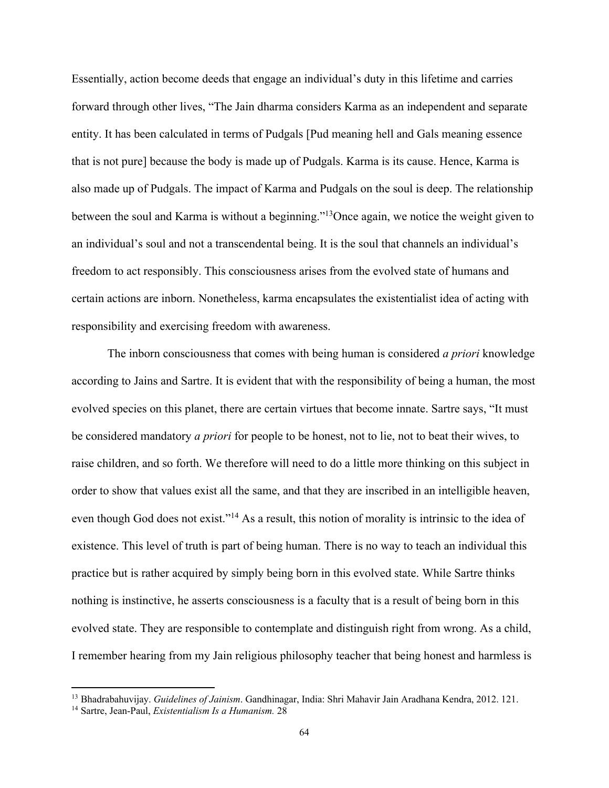Essentially, action become deeds that engage an individual's duty in this lifetime and carries forward through other lives, "The Jain dharma considers Karma as an independent and separate entity. It has been calculated in terms of Pudgals [Pud meaning hell and Gals meaning essence that is not pure] because the body is made up of Pudgals. Karma is its cause. Hence, Karma is also made up of Pudgals. The impact of Karma and Pudgals on the soul is deep. The relationship between the soul and Karma is without a beginning."<sup>13</sup>Once again, we notice the weight given to an individual's soul and not a transcendental being. It is the soul that channels an individual's freedom to act responsibly. This consciousness arises from the evolved state of humans and certain actions are inborn. Nonetheless, karma encapsulates the existentialist idea of acting with responsibility and exercising freedom with awareness.

The inborn consciousness that comes with being human is considered *a priori* knowledge according to Jains and Sartre. It is evident that with the responsibility of being a human, the most evolved species on this planet, there are certain virtues that become innate. Sartre says, "It must be considered mandatory *a priori* for people to be honest, not to lie, not to beat their wives, to raise children, and so forth. We therefore will need to do a little more thinking on this subject in order to show that values exist all the same, and that they are inscribed in an intelligible heaven, even though God does not exist."<sup>14</sup> As a result, this notion of morality is intrinsic to the idea of existence. This level of truth is part of being human. There is no way to teach an individual this practice but is rather acquired by simply being born in this evolved state. While Sartre thinks nothing is instinctive, he asserts consciousness is a faculty that is a result of being born in this evolved state. They are responsible to contemplate and distinguish right from wrong. As a child, I remember hearing from my Jain religious philosophy teacher that being honest and harmless is

<sup>13</sup> Bhadrabahuvijay. *Guidelines of Jainism*. Gandhinagar, India: Shri Mahavir Jain Aradhana Kendra, 2012. 121.

<sup>14</sup> Sartre, Jean-Paul, *Existentialism Is a Humanism.* 28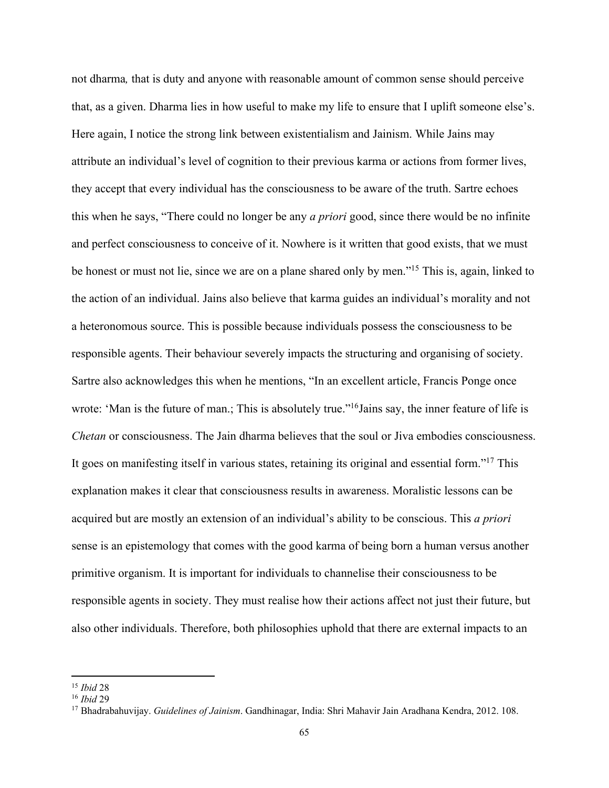not dharma*,* that is duty and anyone with reasonable amount of common sense should perceive that, as a given. Dharma lies in how useful to make my life to ensure that I uplift someone else's. Here again, I notice the strong link between existentialism and Jainism. While Jains may attribute an individual's level of cognition to their previous karma or actions from former lives, they accept that every individual has the consciousness to be aware of the truth. Sartre echoes this when he says, "There could no longer be any *a priori* good, since there would be no infinite and perfect consciousness to conceive of it. Nowhere is it written that good exists, that we must be honest or must not lie, since we are on a plane shared only by men."<sup>15</sup> This is, again, linked to the action of an individual. Jains also believe that karma guides an individual's morality and not a heteronomous source. This is possible because individuals possess the consciousness to be responsible agents. Their behaviour severely impacts the structuring and organising of society. Sartre also acknowledges this when he mentions, "In an excellent article, Francis Ponge once wrote: 'Man is the future of man.; This is absolutely true."<sup>16</sup>Jains say, the inner feature of life is *Chetan* or consciousness. The Jain dharma believes that the soul or Jiva embodies consciousness. It goes on manifesting itself in various states, retaining its original and essential form."17 This explanation makes it clear that consciousness results in awareness. Moralistic lessons can be acquired but are mostly an extension of an individual's ability to be conscious. This *a priori* sense is an epistemology that comes with the good karma of being born a human versus another primitive organism. It is important for individuals to channelise their consciousness to be responsible agents in society. They must realise how their actions affect not just their future, but also other individuals. Therefore, both philosophies uphold that there are external impacts to an

<sup>15</sup> *Ibid* 28

<sup>16</sup> *Ibid* 29

<sup>17</sup> Bhadrabahuvijay. *Guidelines of Jainism*. Gandhinagar, India: Shri Mahavir Jain Aradhana Kendra, 2012. 108.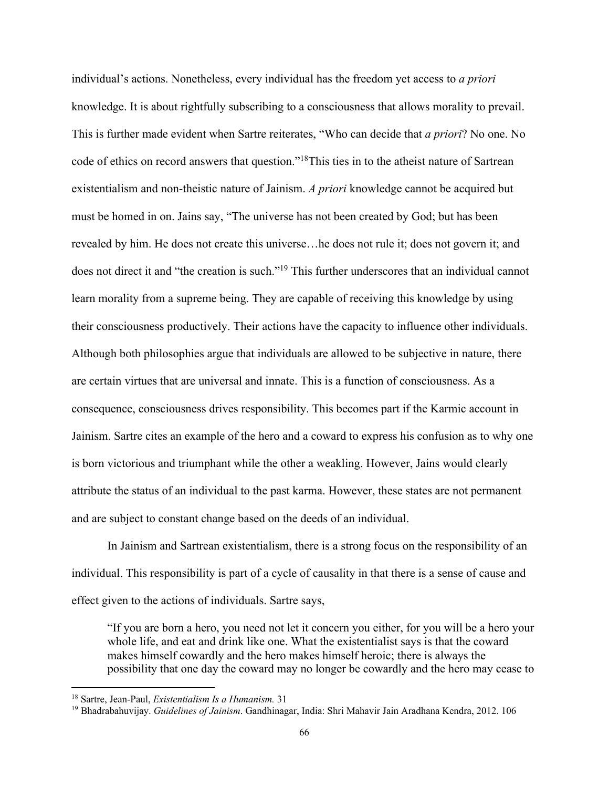individual's actions. Nonetheless, every individual has the freedom yet access to *a priori* knowledge. It is about rightfully subscribing to a consciousness that allows morality to prevail. This is further made evident when Sartre reiterates, "Who can decide that *a priori*? No one. No code of ethics on record answers that question."18This ties in to the atheist nature of Sartrean existentialism and non-theistic nature of Jainism. *A priori* knowledge cannot be acquired but must be homed in on. Jains say, "The universe has not been created by God; but has been revealed by him. He does not create this universe…he does not rule it; does not govern it; and does not direct it and "the creation is such."<sup>19</sup> This further underscores that an individual cannot learn morality from a supreme being. They are capable of receiving this knowledge by using their consciousness productively. Their actions have the capacity to influence other individuals. Although both philosophies argue that individuals are allowed to be subjective in nature, there are certain virtues that are universal and innate. This is a function of consciousness. As a consequence, consciousness drives responsibility. This becomes part if the Karmic account in Jainism. Sartre cites an example of the hero and a coward to express his confusion as to why one is born victorious and triumphant while the other a weakling. However, Jains would clearly attribute the status of an individual to the past karma. However, these states are not permanent and are subject to constant change based on the deeds of an individual.

In Jainism and Sartrean existentialism, there is a strong focus on the responsibility of an individual. This responsibility is part of a cycle of causality in that there is a sense of cause and effect given to the actions of individuals. Sartre says,

"If you are born a hero, you need not let it concern you either, for you will be a hero your whole life, and eat and drink like one. What the existentialist says is that the coward makes himself cowardly and the hero makes himself heroic; there is always the possibility that one day the coward may no longer be cowardly and the hero may cease to

<sup>18</sup> Sartre, Jean-Paul, *Existentialism Is a Humanism.* 31

<sup>19</sup> Bhadrabahuvijay. *Guidelines of Jainism*. Gandhinagar, India: Shri Mahavir Jain Aradhana Kendra, 2012. 106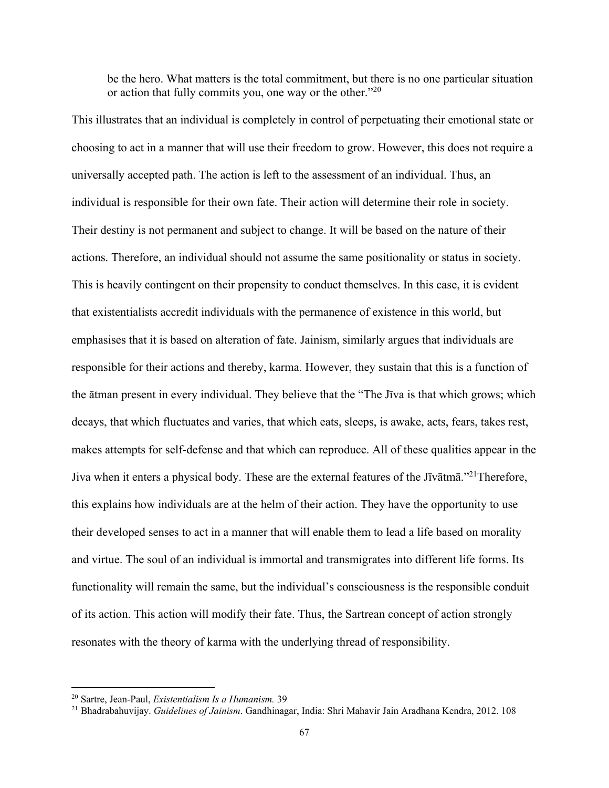be the hero. What matters is the total commitment, but there is no one particular situation or action that fully commits you, one way or the other."<sup>20</sup>

This illustrates that an individual is completely in control of perpetuating their emotional state or choosing to act in a manner that will use their freedom to grow. However, this does not require a universally accepted path. The action is left to the assessment of an individual. Thus, an individual is responsible for their own fate. Their action will determine their role in society. Their destiny is not permanent and subject to change. It will be based on the nature of their actions. Therefore, an individual should not assume the same positionality or status in society. This is heavily contingent on their propensity to conduct themselves. In this case, it is evident that existentialists accredit individuals with the permanence of existence in this world, but emphasises that it is based on alteration of fate. Jainism, similarly argues that individuals are responsible for their actions and thereby, karma. However, they sustain that this is a function of the ātman present in every individual. They believe that the "The Jīva is that which grows; which decays, that which fluctuates and varies, that which eats, sleeps, is awake, acts, fears, takes rest, makes attempts for self-defense and that which can reproduce. All of these qualities appear in the Jiva when it enters a physical body. These are the external features of the Jīvātmā."21Therefore, this explains how individuals are at the helm of their action. They have the opportunity to use their developed senses to act in a manner that will enable them to lead a life based on morality and virtue. The soul of an individual is immortal and transmigrates into different life forms. Its functionality will remain the same, but the individual's consciousness is the responsible conduit of its action. This action will modify their fate. Thus, the Sartrean concept of action strongly resonates with the theory of karma with the underlying thread of responsibility.

<sup>20</sup> Sartre, Jean-Paul, *Existentialism Is a Humanism.* 39

<sup>21</sup> Bhadrabahuvijay. *Guidelines of Jainism*. Gandhinagar, India: Shri Mahavir Jain Aradhana Kendra, 2012. 108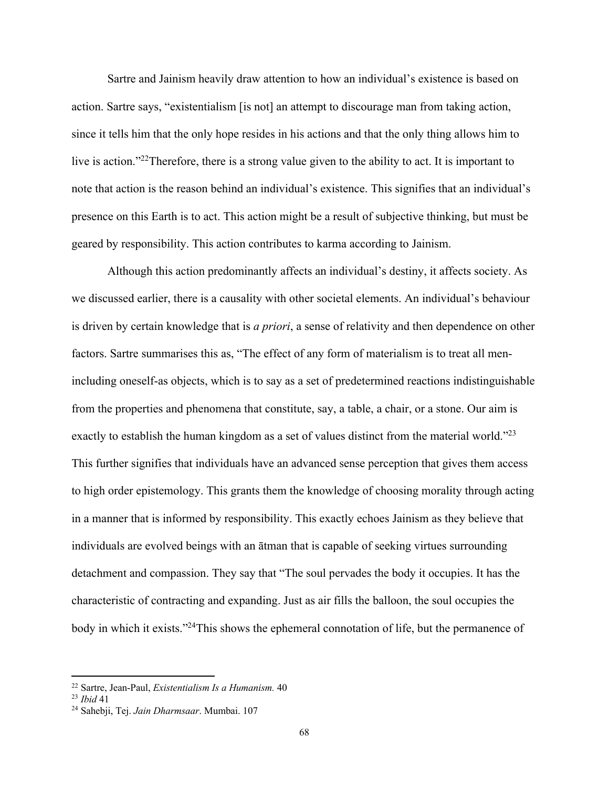Sartre and Jainism heavily draw attention to how an individual's existence is based on action. Sartre says, "existentialism [is not] an attempt to discourage man from taking action, since it tells him that the only hope resides in his actions and that the only thing allows him to live is action."<sup>22</sup>Therefore, there is a strong value given to the ability to act. It is important to note that action is the reason behind an individual's existence. This signifies that an individual's presence on this Earth is to act. This action might be a result of subjective thinking, but must be geared by responsibility. This action contributes to karma according to Jainism.

Although this action predominantly affects an individual's destiny, it affects society. As we discussed earlier, there is a causality with other societal elements. An individual's behaviour is driven by certain knowledge that is *a priori*, a sense of relativity and then dependence on other factors. Sartre summarises this as, "The effect of any form of materialism is to treat all menincluding oneself-as objects, which is to say as a set of predetermined reactions indistinguishable from the properties and phenomena that constitute, say, a table, a chair, or a stone. Our aim is exactly to establish the human kingdom as a set of values distinct from the material world."<sup>23</sup> This further signifies that individuals have an advanced sense perception that gives them access to high order epistemology. This grants them the knowledge of choosing morality through acting in a manner that is informed by responsibility. This exactly echoes Jainism as they believe that individuals are evolved beings with an ātman that is capable of seeking virtues surrounding detachment and compassion. They say that "The soul pervades the body it occupies. It has the characteristic of contracting and expanding. Just as air fills the balloon, the soul occupies the body in which it exists."<sup>24</sup>This shows the ephemeral connotation of life, but the permanence of

<sup>22</sup> Sartre, Jean-Paul, *Existentialism Is a Humanism.* 40

<sup>23</sup> *Ibid* 41

<sup>24</sup> Sahebji, Tej. *Jain Dharmsaar*. Mumbai. 107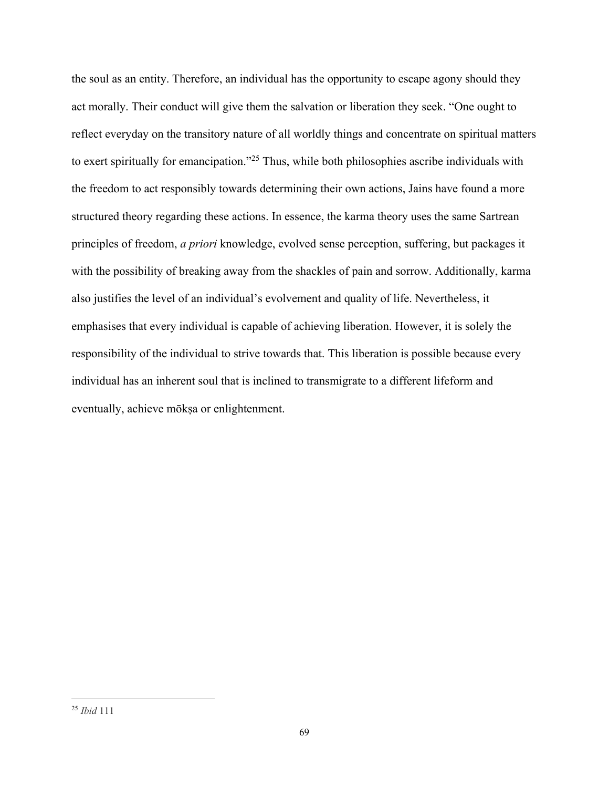the soul as an entity. Therefore, an individual has the opportunity to escape agony should they act morally. Their conduct will give them the salvation or liberation they seek. "One ought to reflect everyday on the transitory nature of all worldly things and concentrate on spiritual matters to exert spiritually for emancipation."25 Thus, while both philosophies ascribe individuals with the freedom to act responsibly towards determining their own actions, Jains have found a more structured theory regarding these actions. In essence, the karma theory uses the same Sartrean principles of freedom, *a priori* knowledge, evolved sense perception, suffering, but packages it with the possibility of breaking away from the shackles of pain and sorrow. Additionally, karma also justifies the level of an individual's evolvement and quality of life. Nevertheless, it emphasises that every individual is capable of achieving liberation. However, it is solely the responsibility of the individual to strive towards that. This liberation is possible because every individual has an inherent soul that is inclined to transmigrate to a different lifeform and eventually, achieve mōkṣa or enlightenment.

<sup>25</sup> *Ibid* 111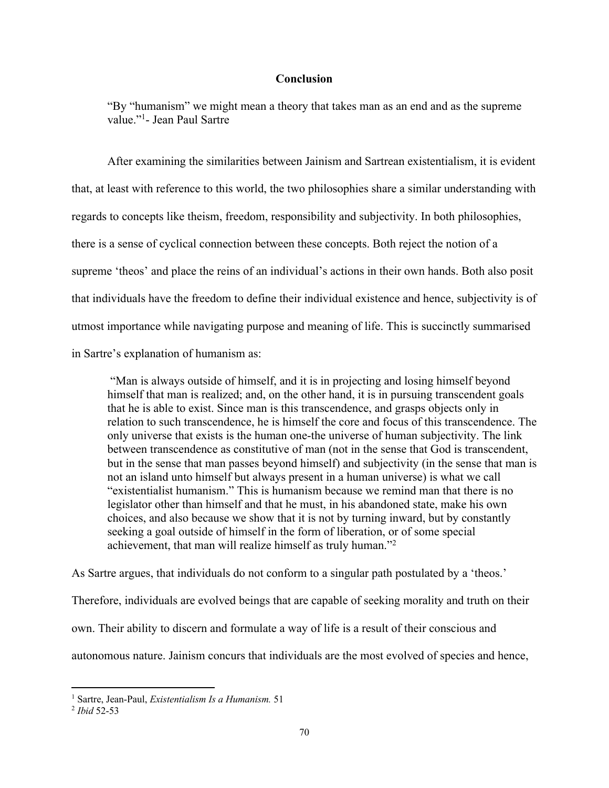## **Conclusion**

"By "humanism" we might mean a theory that takes man as an end and as the supreme value."1 - Jean Paul Sartre

After examining the similarities between Jainism and Sartrean existentialism, it is evident that, at least with reference to this world, the two philosophies share a similar understanding with regards to concepts like theism, freedom, responsibility and subjectivity. In both philosophies, there is a sense of cyclical connection between these concepts. Both reject the notion of a supreme 'theos' and place the reins of an individual's actions in their own hands. Both also posit that individuals have the freedom to define their individual existence and hence, subjectivity is of utmost importance while navigating purpose and meaning of life. This is succinctly summarised in Sartre's explanation of humanism as:

"Man is always outside of himself, and it is in projecting and losing himself beyond himself that man is realized; and, on the other hand, it is in pursuing transcendent goals that he is able to exist. Since man is this transcendence, and grasps objects only in relation to such transcendence, he is himself the core and focus of this transcendence. The only universe that exists is the human one-the universe of human subjectivity. The link between transcendence as constitutive of man (not in the sense that God is transcendent, but in the sense that man passes beyond himself) and subjectivity (in the sense that man is not an island unto himself but always present in a human universe) is what we call "existentialist humanism." This is humanism because we remind man that there is no legislator other than himself and that he must, in his abandoned state, make his own choices, and also because we show that it is not by turning inward, but by constantly seeking a goal outside of himself in the form of liberation, or of some special achievement, that man will realize himself as truly human."2

As Sartre argues, that individuals do not conform to a singular path postulated by a 'theos.'

Therefore, individuals are evolved beings that are capable of seeking morality and truth on their

own. Their ability to discern and formulate a way of life is a result of their conscious and

autonomous nature. Jainism concurs that individuals are the most evolved of species and hence,

<sup>1</sup> Sartre, Jean-Paul, *Existentialism Is a Humanism.* 51

<sup>2</sup> *Ibid* 52-53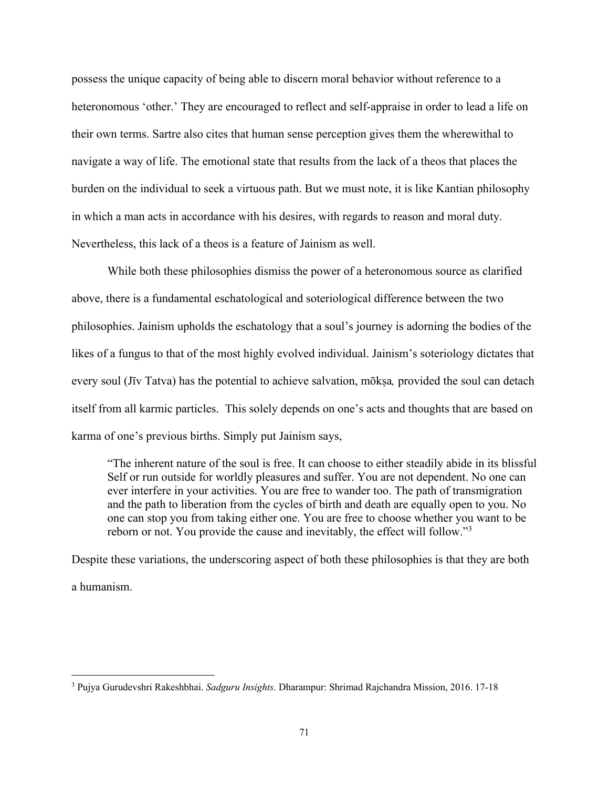possess the unique capacity of being able to discern moral behavior without reference to a heteronomous 'other.' They are encouraged to reflect and self-appraise in order to lead a life on their own terms. Sartre also cites that human sense perception gives them the wherewithal to navigate a way of life. The emotional state that results from the lack of a theos that places the burden on the individual to seek a virtuous path. But we must note, it is like Kantian philosophy in which a man acts in accordance with his desires, with regards to reason and moral duty. Nevertheless, this lack of a theos is a feature of Jainism as well.

While both these philosophies dismiss the power of a heteronomous source as clarified above, there is a fundamental eschatological and soteriological difference between the two philosophies. Jainism upholds the eschatology that a soul's journey is adorning the bodies of the likes of a fungus to that of the most highly evolved individual. Jainism's soteriology dictates that every soul (Jīv Tatva) has the potential to achieve salvation, mōkṣa*,* provided the soul can detach itself from all karmic particles. This solely depends on one's acts and thoughts that are based on karma of one's previous births. Simply put Jainism says,

"The inherent nature of the soul is free. It can choose to either steadily abide in its blissful Self or run outside for worldly pleasures and suffer. You are not dependent. No one can ever interfere in your activities. You are free to wander too. The path of transmigration and the path to liberation from the cycles of birth and death are equally open to you. No one can stop you from taking either one. You are free to choose whether you want to be reborn or not. You provide the cause and inevitably, the effect will follow."3

Despite these variations, the underscoring aspect of both these philosophies is that they are both a humanism.

<sup>3</sup> Pujya Gurudevshri Rakeshbhai. *Sadguru Insights*. Dharampur: Shrimad Rajchandra Mission, 2016. 17-18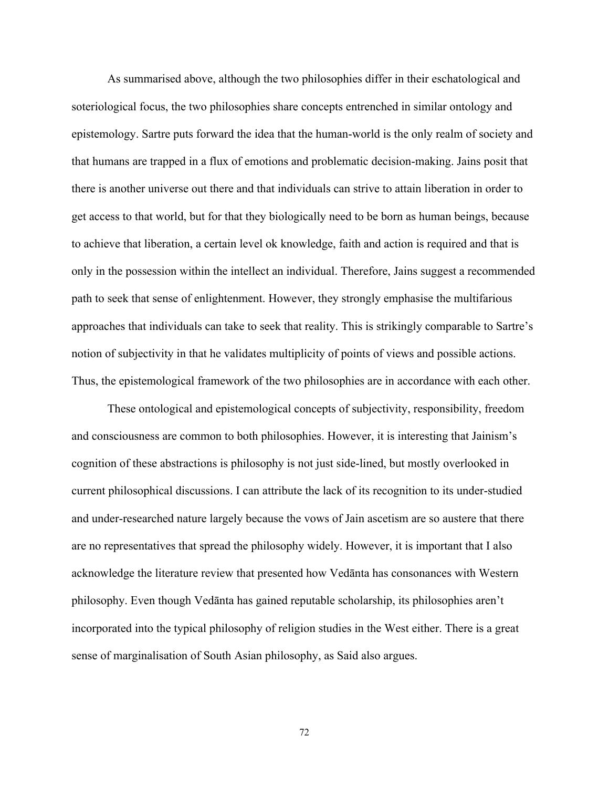As summarised above, although the two philosophies differ in their eschatological and soteriological focus, the two philosophies share concepts entrenched in similar ontology and epistemology. Sartre puts forward the idea that the human-world is the only realm of society and that humans are trapped in a flux of emotions and problematic decision-making. Jains posit that there is another universe out there and that individuals can strive to attain liberation in order to get access to that world, but for that they biologically need to be born as human beings, because to achieve that liberation, a certain level ok knowledge, faith and action is required and that is only in the possession within the intellect an individual. Therefore, Jains suggest a recommended path to seek that sense of enlightenment. However, they strongly emphasise the multifarious approaches that individuals can take to seek that reality. This is strikingly comparable to Sartre's notion of subjectivity in that he validates multiplicity of points of views and possible actions. Thus, the epistemological framework of the two philosophies are in accordance with each other.

These ontological and epistemological concepts of subjectivity, responsibility, freedom and consciousness are common to both philosophies. However, it is interesting that Jainism's cognition of these abstractions is philosophy is not just side-lined, but mostly overlooked in current philosophical discussions. I can attribute the lack of its recognition to its under-studied and under-researched nature largely because the vows of Jain ascetism are so austere that there are no representatives that spread the philosophy widely. However, it is important that I also acknowledge the literature review that presented how Vedānta has consonances with Western philosophy. Even though Vedānta has gained reputable scholarship, its philosophies aren't incorporated into the typical philosophy of religion studies in the West either. There is a great sense of marginalisation of South Asian philosophy, as Said also argues.

72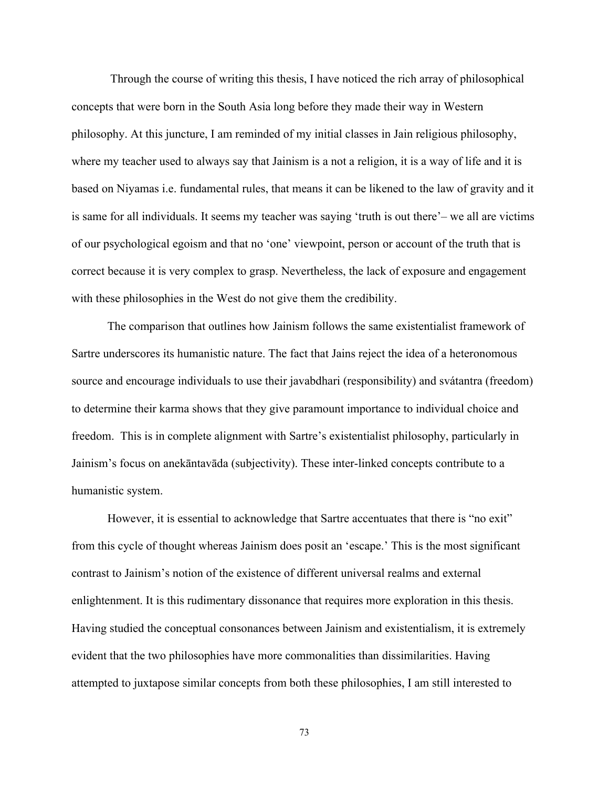Through the course of writing this thesis, I have noticed the rich array of philosophical concepts that were born in the South Asia long before they made their way in Western philosophy. At this juncture, I am reminded of my initial classes in Jain religious philosophy, where my teacher used to always say that Jainism is a not a religion, it is a way of life and it is based on Niyamas i.e. fundamental rules, that means it can be likened to the law of gravity and it is same for all individuals. It seems my teacher was saying 'truth is out there'– we all are victims of our psychological egoism and that no 'one' viewpoint, person or account of the truth that is correct because it is very complex to grasp. Nevertheless, the lack of exposure and engagement with these philosophies in the West do not give them the credibility.

The comparison that outlines how Jainism follows the same existentialist framework of Sartre underscores its humanistic nature. The fact that Jains reject the idea of a heteronomous source and encourage individuals to use their javabdhari (responsibility) and svátantra (freedom) to determine their karma shows that they give paramount importance to individual choice and freedom. This is in complete alignment with Sartre's existentialist philosophy, particularly in Jainism's focus on anekāntavāda (subjectivity). These inter-linked concepts contribute to a humanistic system.

However, it is essential to acknowledge that Sartre accentuates that there is "no exit" from this cycle of thought whereas Jainism does posit an 'escape.' This is the most significant contrast to Jainism's notion of the existence of different universal realms and external enlightenment. It is this rudimentary dissonance that requires more exploration in this thesis. Having studied the conceptual consonances between Jainism and existentialism, it is extremely evident that the two philosophies have more commonalities than dissimilarities. Having attempted to juxtapose similar concepts from both these philosophies, I am still interested to

73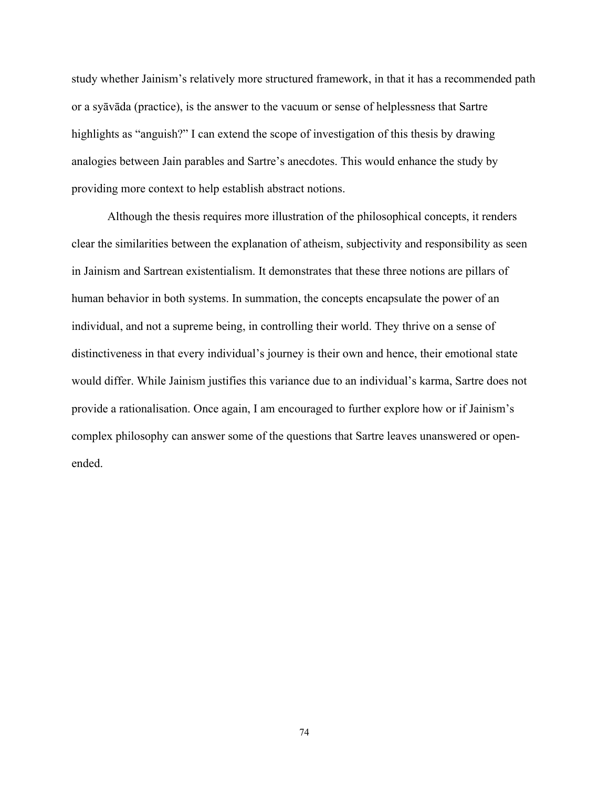study whether Jainism's relatively more structured framework, in that it has a recommended path or a syāvāda (practice), is the answer to the vacuum or sense of helplessness that Sartre highlights as "anguish?" I can extend the scope of investigation of this thesis by drawing analogies between Jain parables and Sartre's anecdotes. This would enhance the study by providing more context to help establish abstract notions.

Although the thesis requires more illustration of the philosophical concepts, it renders clear the similarities between the explanation of atheism, subjectivity and responsibility as seen in Jainism and Sartrean existentialism. It demonstrates that these three notions are pillars of human behavior in both systems. In summation, the concepts encapsulate the power of an individual, and not a supreme being, in controlling their world. They thrive on a sense of distinctiveness in that every individual's journey is their own and hence, their emotional state would differ. While Jainism justifies this variance due to an individual's karma, Sartre does not provide a rationalisation. Once again, I am encouraged to further explore how or if Jainism's complex philosophy can answer some of the questions that Sartre leaves unanswered or openended.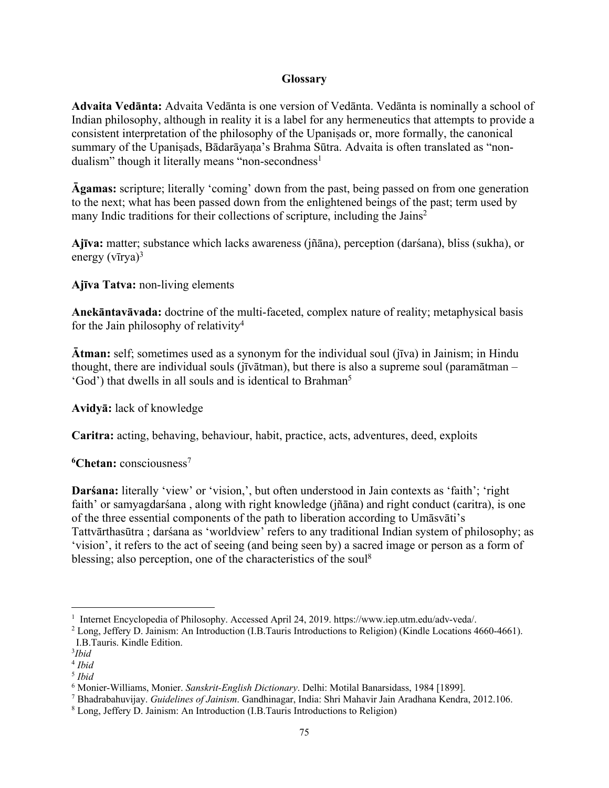## **Glossary**

**Advaita Vedānta:** Advaita Vedānta is one version of Vedānta. Vedānta is nominally a school of Indian philosophy, although in reality it is a label for any hermeneutics that attempts to provide a consistent interpretation of the philosophy of the Upaniṣads or, more formally, the canonical summary of the Upaniṣads, Bādarāyaņa's Brahma Sūtra. Advaita is often translated as "nondualism" though it literally means "non-secondness<sup>1</sup>

**Āgamas:** scripture; literally 'coming' down from the past, being passed on from one generation to the next; what has been passed down from the enlightened beings of the past; term used by many Indic traditions for their collections of scripture, including the Jains2

**Ajīva:** matter; substance which lacks awareness (jñāna), perception (darśana), bliss (sukha), or energy  $(v \bar{u}rya)^3$ 

**Ajīva Tatva:** non-living elements

**Anekāntavāvada:** doctrine of the multi-faceted, complex nature of reality; metaphysical basis for the Jain philosophy of relativity<sup>4</sup>

**Ātman:** self; sometimes used as a synonym for the individual soul (jīva) in Jainism; in Hindu thought, there are individual souls (jīvātman), but there is also a supreme soul (paramātman – 'God') that dwells in all souls and is identical to Brahman<sup>5</sup>

**Avidyā:** lack of knowledge

**Caritra:** acting, behaving, behaviour, habit, practice, acts, adventures, deed, exploits

<sup>6</sup>Chetan: consciousness<sup>7</sup>

**Darśana:** literally 'view' or 'vision,', but often understood in Jain contexts as 'faith'; 'right faith' or samyagdarśana , along with right knowledge (jñāna) and right conduct (caritra), is one of the three essential components of the path to liberation according to Umāsvāti's Tattvārthasūtra ; darśana as 'worldview' refers to any traditional Indian system of philosophy; as 'vision', it refers to the act of seeing (and being seen by) a sacred image or person as a form of blessing; also perception, one of the characteristics of the soul<sup>8</sup>

<sup>&</sup>lt;sup>1</sup> Internet Encyclopedia of Philosophy. Accessed April 24, 2019. https://www.iep.utm.edu/adv-veda/.

<sup>2</sup> Long, Jeffery D. Jainism: An Introduction (I.B.Tauris Introductions to Religion) (Kindle Locations 4660-4661). I.B.Tauris. Kindle Edition.

<sup>3</sup> *Ibid*

<sup>4</sup> *Ibid*

<sup>5</sup> *Ibid*

<sup>6</sup> Monier-Williams, Monier. *Sanskrit-English Dictionary*. Delhi: Motilal Banarsidass, 1984 [1899].

<sup>7</sup> Bhadrabahuvijay. *Guidelines of Jainism*. Gandhinagar, India: Shri Mahavir Jain Aradhana Kendra, 2012.106.

<sup>8</sup> Long, Jeffery D. Jainism: An Introduction (I.B.Tauris Introductions to Religion)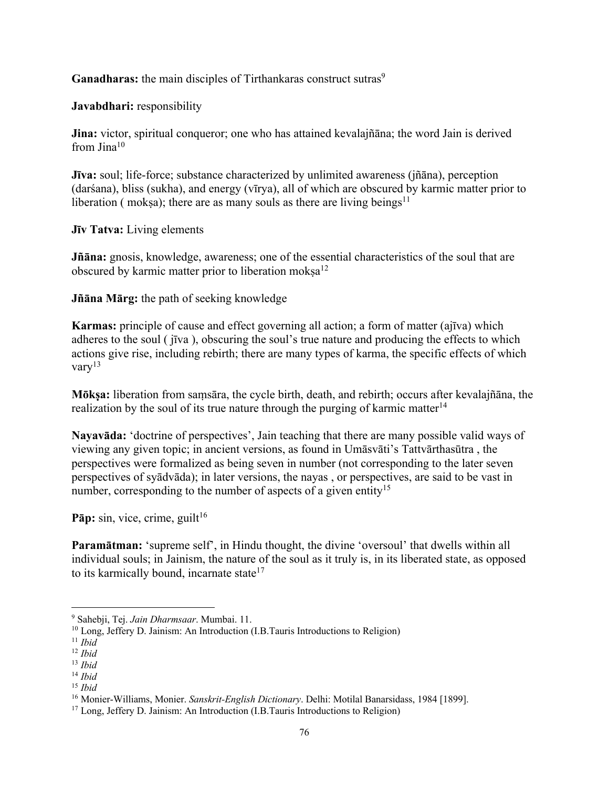Ganadharas: the main disciples of Tirthankaras construct sutras<sup>9</sup>

**Javabdhari:** responsibility

**Jina:** victor, spiritual conqueror; one who has attained kevalajñāna; the word Jain is derived from Jina<sup>10</sup>

**Jīva:** soul; life-force; substance characterized by unlimited awareness (jñāna), perception (darśana), bliss (sukha), and energy (vīrya), all of which are obscured by karmic matter prior to liberation ( moksa); there are as many souls as there are living beings<sup>11</sup>

**Jīv Tatva:** Living elements

**Jñāna:** gnosis, knowledge, awareness; one of the essential characteristics of the soul that are obscured by karmic matter prior to liberation moksa<sup>12</sup>

**Jñāna Mārg:** the path of seeking knowledge

**Karmas:** principle of cause and effect governing all action; a form of matter (ajīva) which adheres to the soul ( jīva ), obscuring the soul's true nature and producing the effects to which actions give rise, including rebirth; there are many types of karma, the specific effects of which vary $^{13}$ 

**Mōkṣa:** liberation from saṃsāra, the cycle birth, death, and rebirth; occurs after kevalajñāna, the realization by the soul of its true nature through the purging of karmic matter<sup>14</sup>

**Nayavāda:** 'doctrine of perspectives', Jain teaching that there are many possible valid ways of viewing any given topic; in ancient versions, as found in Umāsvāti's Tattvārthasūtra , the perspectives were formalized as being seven in number (not corresponding to the later seven perspectives of syādvāda); in later versions, the nayas , or perspectives, are said to be vast in number, corresponding to the number of aspects of a given entity<sup>15</sup>

**Pāp:** sin, vice, crime, guilt<sup>16</sup>

**Paramātman:** 'supreme self', in Hindu thought, the divine 'oversoul' that dwells within all individual souls; in Jainism, the nature of the soul as it truly is, in its liberated state, as opposed to its karmically bound, incarnate state<sup>17</sup>

<sup>9</sup> Sahebji, Tej. *Jain Dharmsaar*. Mumbai. 11.

<sup>&</sup>lt;sup>10</sup> Long, Jeffery D. Jainism: An Introduction (I.B.Tauris Introductions to Religion)<sup>11</sup> *Ibid* 

<sup>12</sup> *Ibid*

<sup>13</sup> *Ibid*

<sup>14</sup> *Ibid*

<sup>15</sup> *Ibid*

<sup>16</sup> Monier-Williams, Monier. *Sanskrit-English Dictionary*. Delhi: Motilal Banarsidass, 1984 [1899].

<sup>&</sup>lt;sup>17</sup> Long, Jeffery D. Jainism: An Introduction (I.B.Tauris Introductions to Religion)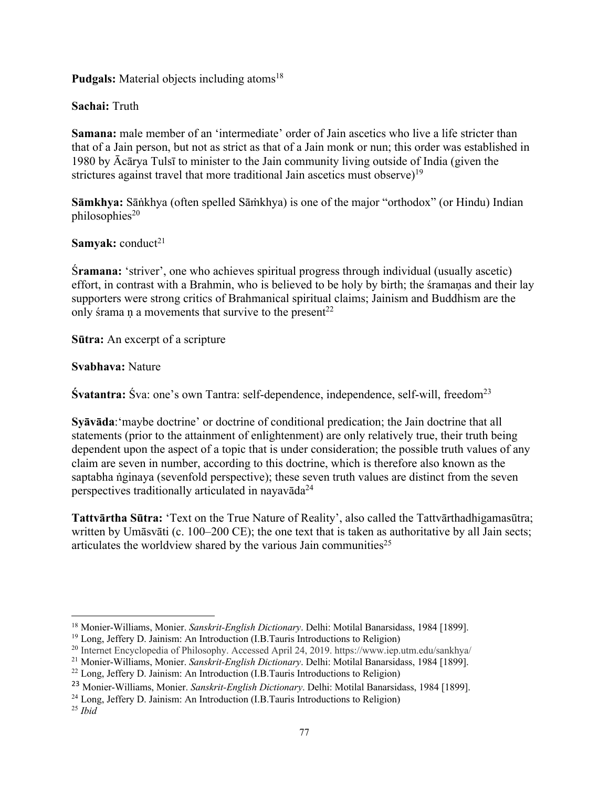**Pudgals:** Material objects including atoms<sup>18</sup>

**Sachai:** Truth

**Samana:** male member of an 'intermediate' order of Jain ascetics who live a life stricter than that of a Jain person, but not as strict as that of a Jain monk or nun; this order was established in 1980 by Ācārya Tulsī to minister to the Jain community living outside of India (given the strictures against travel that more traditional Jain ascetics must observe)<sup>19</sup>

**Sāmkhya:** Sāṅkhya (often spelled Sāṁkhya) is one of the major "orthodox" (or Hindu) Indian  $philosophies<sup>20</sup>$ 

**Samyak:** conduct<sup>21</sup>

Ś**ramana:** 'striver', one who achieves spiritual progress through individual (usually ascetic) effort, in contrast with a Brahmin, who is believed to be holy by birth; the śramaṇas and their lay supporters were strong critics of Brahmanical spiritual claims; Jainism and Buddhism are the only śrama n a movements that survive to the present<sup>22</sup>

**Sūtra:** An excerpt of a scripture

**Svabhava:** Nature

**Śvatantra:** Śva: one's own Tantra: self-dependence, independence, self-will, freedom<sup>23</sup>

**Syāvāda**:'maybe doctrine' or doctrine of conditional predication; the Jain doctrine that all statements (prior to the attainment of enlightenment) are only relatively true, their truth being dependent upon the aspect of a topic that is under consideration; the possible truth values of any claim are seven in number, according to this doctrine, which is therefore also known as the saptabha ṅginaya (sevenfold perspective); these seven truth values are distinct from the seven perspectives traditionally articulated in nayavāda<sup>24</sup>

**Tattvārtha Sūtra:** 'Text on the True Nature of Reality', also called the Tattvārthadhigamasūtra; written by Umāsvāti (c. 100–200 CE); the one text that is taken as authoritative by all Jain sects; articulates the worldview shared by the various Jain communities<sup>25</sup>

<sup>18</sup> Monier-Williams, Monier. *Sanskrit-English Dictionary*. Delhi: Motilal Banarsidass, 1984 [1899].

<sup>&</sup>lt;sup>19</sup> Long, Jeffery D. Jainism: An Introduction (I.B.Tauris Introductions to Religion)<br><sup>20</sup> Internet Encyclopedia of Philosophy. Accessed April 24, 2019. https://www.iep.utm.edu/sankhya/

<sup>21</sup> Monier-Williams, Monier. *Sanskrit-English Dictionary*. Delhi: Motilal Banarsidass, 1984 [1899].

<sup>22</sup> Long, Jeffery D. Jainism: An Introduction (I.B.Tauris Introductions to Religion)

<sup>23</sup> Monier-Williams, Monier. *Sanskrit-English Dictionary*. Delhi: Motilal Banarsidass, 1984 [1899].

<sup>24</sup> Long, Jeffery D. Jainism: An Introduction (I.B.Tauris Introductions to Religion) 25 *Ibid*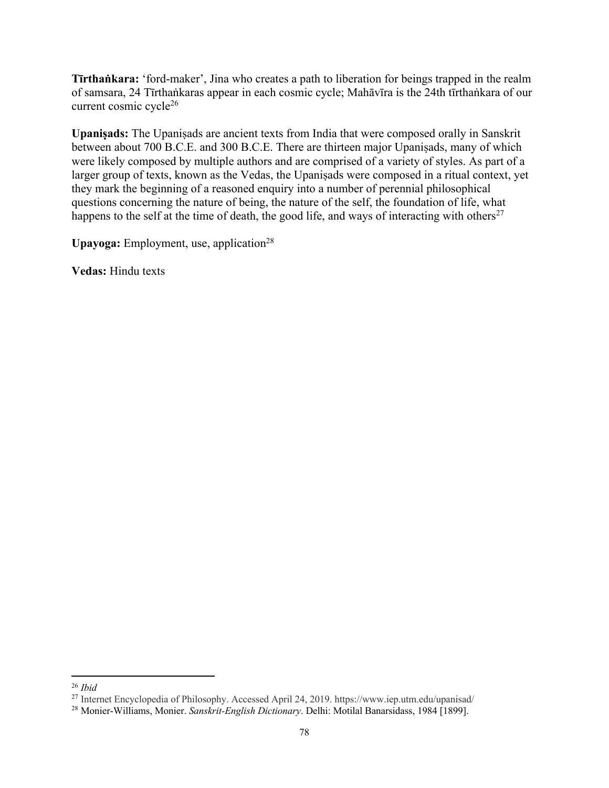**Tīrthaṅkara:** 'ford-maker', Jina who creates a path to liberation for beings trapped in the realm of samsara, 24 Tīrthaṅkaras appear in each cosmic cycle; Mahāvīra is the 24th tīrthaṅkara of our current cosmic cycle26

**Upaniṣads:** The Upaniṣads are ancient texts from India that were composed orally in Sanskrit between about 700 B.C.E. and 300 B.C.E. There are thirteen major Upaniṣads, many of which were likely composed by multiple authors and are comprised of a variety of styles. As part of a larger group of texts, known as the Vedas, the Upaniṣads were composed in a ritual context, yet they mark the beginning of a reasoned enquiry into a number of perennial philosophical questions concerning the nature of being, the nature of the self, the foundation of life, what happens to the self at the time of death, the good life, and ways of interacting with others<sup>27</sup>

**Upayoga:** Employment, use, application<sup>28</sup>

**Vedas:** Hindu texts

<sup>26</sup> *Ibid*

<sup>27</sup> Internet Encyclopedia of Philosophy. Accessed April 24, 2019. https://www.iep.utm.edu/upanisad/

<sup>28</sup> Monier-Williams, Monier. *Sanskrit-English Dictionary*. Delhi: Motilal Banarsidass, 1984 [1899].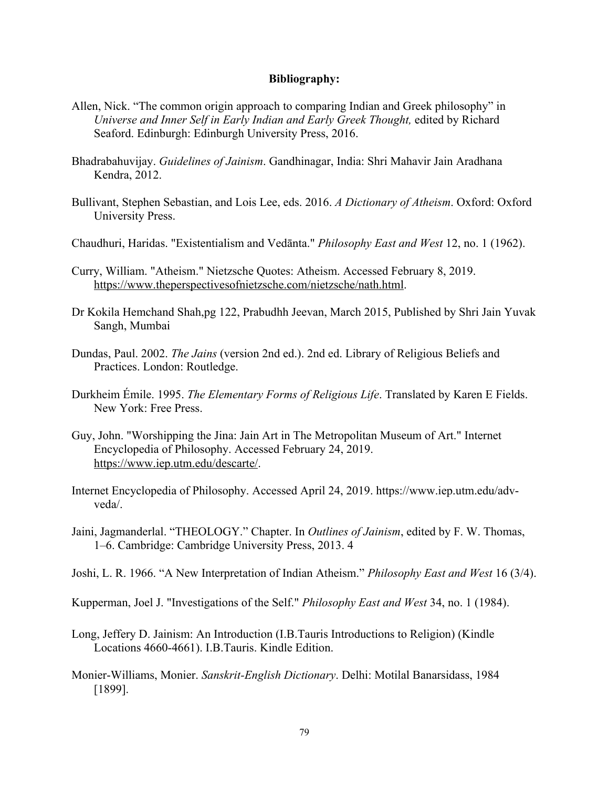## **Bibliography:**

- Allen, Nick. "The common origin approach to comparing Indian and Greek philosophy" in *Universe and Inner Self in Early Indian and Early Greek Thought,* edited by Richard Seaford. Edinburgh: Edinburgh University Press, 2016.
- Bhadrabahuvijay. *Guidelines of Jainism*. Gandhinagar, India: Shri Mahavir Jain Aradhana Kendra, 2012.
- Bullivant, Stephen Sebastian, and Lois Lee, eds. 2016. *A Dictionary of Atheism*. Oxford: Oxford University Press.
- Chaudhuri, Haridas. "Existentialism and Vedānta." *Philosophy East and West* 12, no. 1 (1962).
- Curry, William. "Atheism." Nietzsche Quotes: Atheism. Accessed February 8, 2019. https://www.theperspectivesofnietzsche.com/nietzsche/nath.html.
- Dr Kokila Hemchand Shah,pg 122, Prabudhh Jeevan, March 2015, Published by Shri Jain Yuvak Sangh, Mumbai
- Dundas, Paul. 2002. *The Jains* (version 2nd ed.). 2nd ed. Library of Religious Beliefs and Practices. London: Routledge.
- Durkheim Émile. 1995. *The Elementary Forms of Religious Life*. Translated by Karen E Fields. New York: Free Press.
- Guy, John. "Worshipping the Jina: Jain Art in The Metropolitan Museum of Art." Internet Encyclopedia of Philosophy. Accessed February 24, 2019. https://www.iep.utm.edu/descarte/.
- Internet Encyclopedia of Philosophy. Accessed April 24, 2019. https://www.iep.utm.edu/advveda/.
- Jaini, Jagmanderlal. "THEOLOGY." Chapter. In *Outlines of Jainism*, edited by F. W. Thomas, 1–6. Cambridge: Cambridge University Press, 2013. 4
- Joshi, L. R. 1966. "A New Interpretation of Indian Atheism." *Philosophy East and West* 16 (3/4).

Kupperman, Joel J. "Investigations of the Self." *Philosophy East and West* 34, no. 1 (1984).

- Long, Jeffery D. Jainism: An Introduction (I.B.Tauris Introductions to Religion) (Kindle Locations 4660-4661). I.B.Tauris. Kindle Edition.
- Monier-Williams, Monier. *Sanskrit-English Dictionary*. Delhi: Motilal Banarsidass, 1984 [1899].